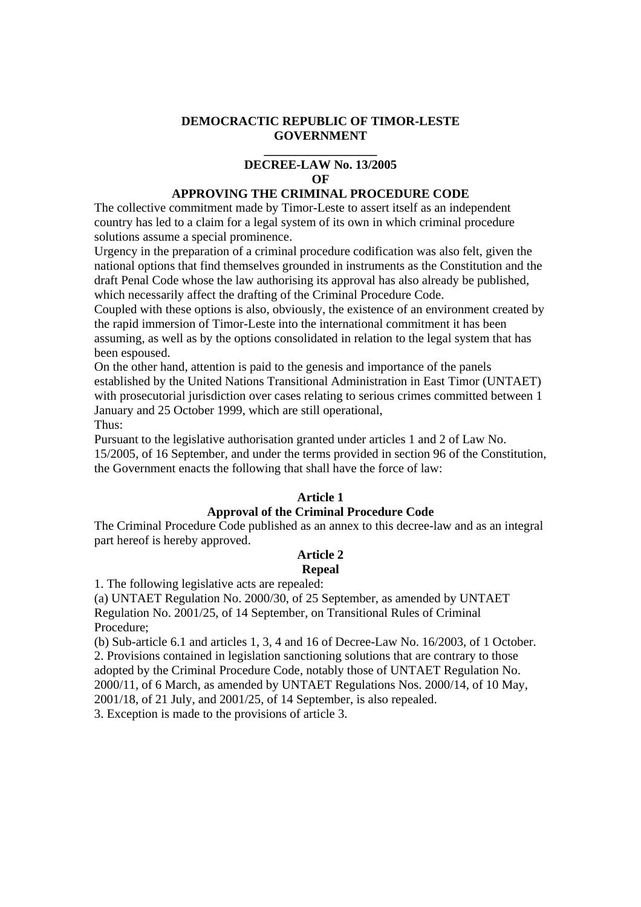### **DEMOCRACTIC REPUBLIC OF TIMOR-LESTE GOVERNMENT**

#### **\_\_\_\_\_\_\_\_\_\_\_\_\_\_\_\_\_\_ DECREE-LAW No. 13/2005**   $\Omega$ **F**

### **APPROVING THE CRIMINAL PROCEDURE CODE**

The collective commitment made by Timor-Leste to assert itself as an independent country has led to a claim for a legal system of its own in which criminal procedure solutions assume a special prominence.

Urgency in the preparation of a criminal procedure codification was also felt, given the national options that find themselves grounded in instruments as the Constitution and the draft Penal Code whose the law authorising its approval has also already be published, which necessarily affect the drafting of the Criminal Procedure Code.

Coupled with these options is also, obviously, the existence of an environment created by the rapid immersion of Timor-Leste into the international commitment it has been assuming, as well as by the options consolidated in relation to the legal system that has been espoused.

On the other hand, attention is paid to the genesis and importance of the panels established by the United Nations Transitional Administration in East Timor (UNTAET) with prosecutorial jurisdiction over cases relating to serious crimes committed between 1 January and 25 October 1999, which are still operational,

Thus:

Pursuant to the legislative authorisation granted under articles 1 and 2 of Law No.

15/2005, of 16 September, and under the terms provided in section 96 of the Constitution, the Government enacts the following that shall have the force of law:

# **Article 1**

# **Approval of the Criminal Procedure Code**

The Criminal Procedure Code published as an annex to this decree-law and as an integral part hereof is hereby approved.

# **Article 2**

# **Repeal**

1. The following legislative acts are repealed:

(a) UNTAET Regulation No. 2000/30, of 25 September, as amended by UNTAET Regulation No. 2001/25, of 14 September, on Transitional Rules of Criminal Procedure;

(b) Sub-article 6.1 and articles 1, 3, 4 and 16 of Decree-Law No. 16/2003, of 1 October. 2. Provisions contained in legislation sanctioning solutions that are contrary to those adopted by the Criminal Procedure Code, notably those of UNTAET Regulation No. 2000/11, of 6 March, as amended by UNTAET Regulations Nos. 2000/14, of 10 May, 2001/18, of 21 July, and 2001/25, of 14 September, is also repealed. 3. Exception is made to the provisions of article 3.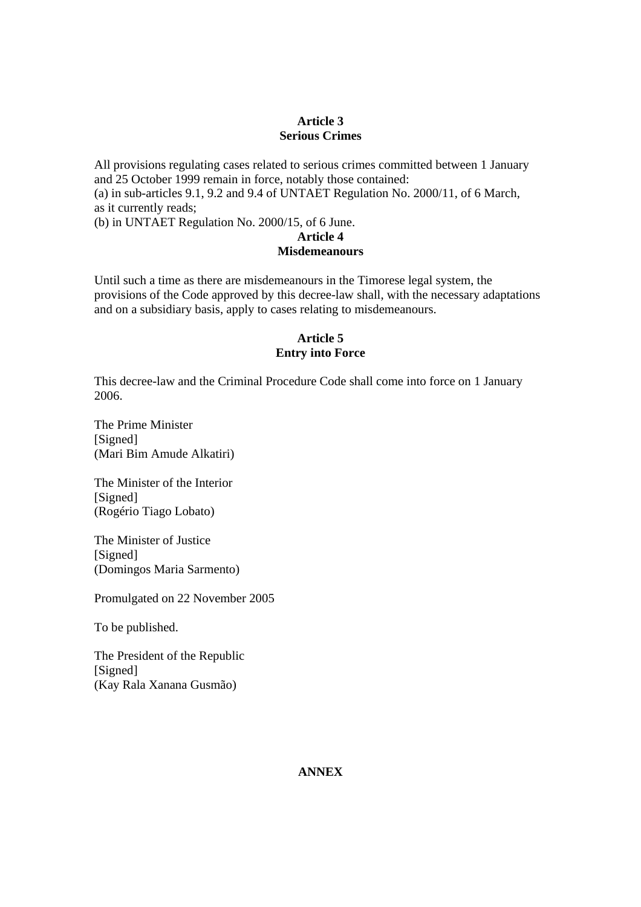# **Article 3 Serious Crimes**

All provisions regulating cases related to serious crimes committed between 1 January and 25 October 1999 remain in force, notably those contained: (a) in sub-articles 9.1, 9.2 and 9.4 of UNTAET Regulation No. 2000/11, of 6 March, as it currently reads;

(b) in UNTAET Regulation No. 2000/15, of 6 June.

# **Article 4 Misdemeanours**

Until such a time as there are misdemeanours in the Timorese legal system, the provisions of the Code approved by this decree-law shall, with the necessary adaptations and on a subsidiary basis, apply to cases relating to misdemeanours.

# **Article 5 Entry into Force**

This decree-law and the Criminal Procedure Code shall come into force on 1 January 2006.

The Prime Minister [Signed] (Mari Bim Amude Alkatiri)

The Minister of the Interior [Signed] (Rogério Tiago Lobato)

The Minister of Justice [Signed] (Domingos Maria Sarmento)

Promulgated on 22 November 2005

To be published.

The President of the Republic [Signed] (Kay Rala Xanana Gusmão)

# **ANNEX**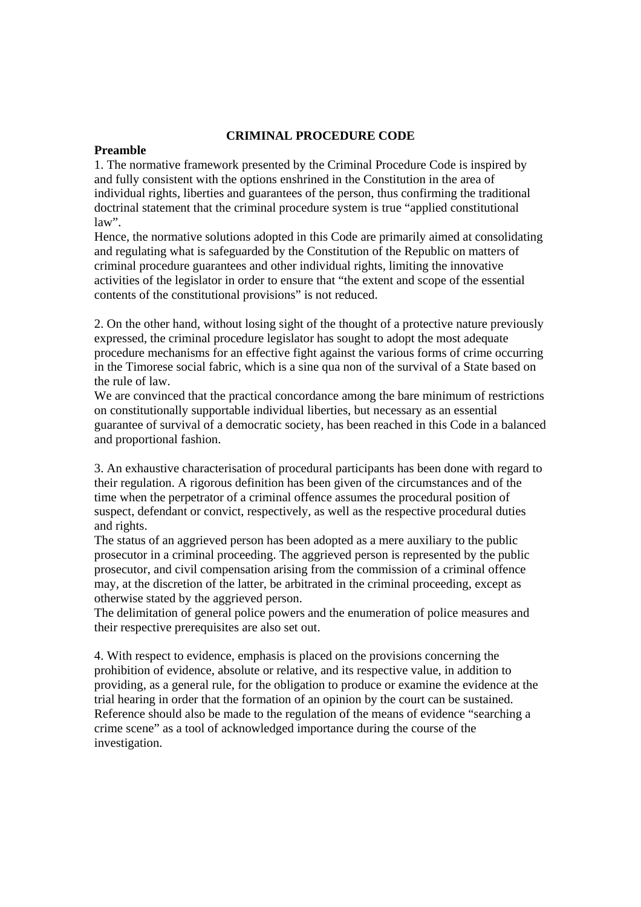#### **CRIMINAL PROCEDURE CODE**

### **Preamble**

1. The normative framework presented by the Criminal Procedure Code is inspired by and fully consistent with the options enshrined in the Constitution in the area of individual rights, liberties and guarantees of the person, thus confirming the traditional doctrinal statement that the criminal procedure system is true "applied constitutional  $law$ ".

Hence, the normative solutions adopted in this Code are primarily aimed at consolidating and regulating what is safeguarded by the Constitution of the Republic on matters of criminal procedure guarantees and other individual rights, limiting the innovative activities of the legislator in order to ensure that "the extent and scope of the essential contents of the constitutional provisions" is not reduced.

2. On the other hand, without losing sight of the thought of a protective nature previously expressed, the criminal procedure legislator has sought to adopt the most adequate procedure mechanisms for an effective fight against the various forms of crime occurring in the Timorese social fabric, which is a sine qua non of the survival of a State based on the rule of law.

We are convinced that the practical concordance among the bare minimum of restrictions on constitutionally supportable individual liberties, but necessary as an essential guarantee of survival of a democratic society, has been reached in this Code in a balanced and proportional fashion.

3. An exhaustive characterisation of procedural participants has been done with regard to their regulation. A rigorous definition has been given of the circumstances and of the time when the perpetrator of a criminal offence assumes the procedural position of suspect, defendant or convict, respectively, as well as the respective procedural duties and rights.

The status of an aggrieved person has been adopted as a mere auxiliary to the public prosecutor in a criminal proceeding. The aggrieved person is represented by the public prosecutor, and civil compensation arising from the commission of a criminal offence may, at the discretion of the latter, be arbitrated in the criminal proceeding, except as otherwise stated by the aggrieved person.

The delimitation of general police powers and the enumeration of police measures and their respective prerequisites are also set out.

4. With respect to evidence, emphasis is placed on the provisions concerning the prohibition of evidence, absolute or relative, and its respective value, in addition to providing, as a general rule, for the obligation to produce or examine the evidence at the trial hearing in order that the formation of an opinion by the court can be sustained. Reference should also be made to the regulation of the means of evidence "searching a crime scene" as a tool of acknowledged importance during the course of the investigation.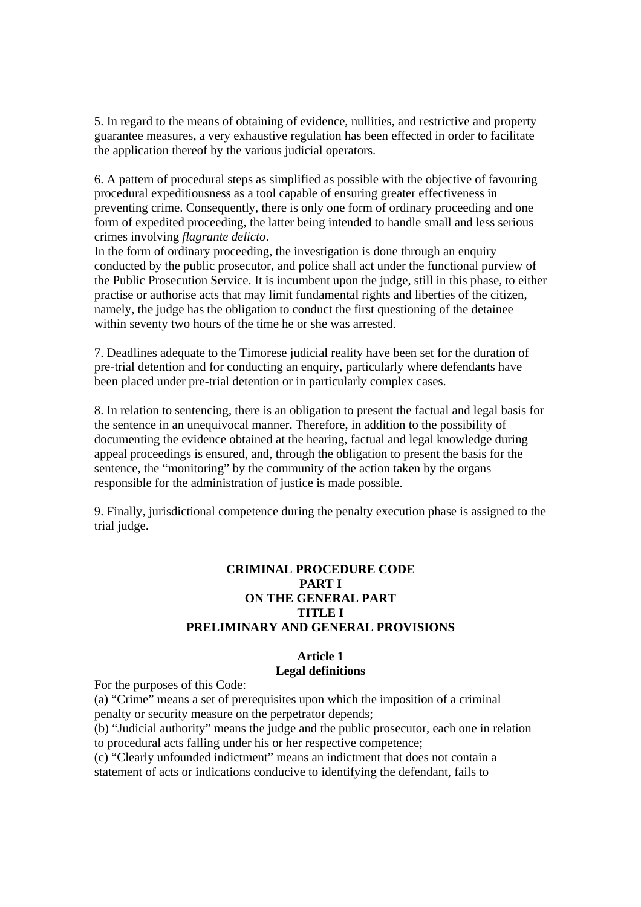5. In regard to the means of obtaining of evidence, nullities, and restrictive and property guarantee measures, a very exhaustive regulation has been effected in order to facilitate the application thereof by the various judicial operators.

6. A pattern of procedural steps as simplified as possible with the objective of favouring procedural expeditiousness as a tool capable of ensuring greater effectiveness in preventing crime. Consequently, there is only one form of ordinary proceeding and one form of expedited proceeding, the latter being intended to handle small and less serious crimes involving *flagrante delicto*.

In the form of ordinary proceeding, the investigation is done through an enquiry conducted by the public prosecutor, and police shall act under the functional purview of the Public Prosecution Service. It is incumbent upon the judge, still in this phase, to either practise or authorise acts that may limit fundamental rights and liberties of the citizen, namely, the judge has the obligation to conduct the first questioning of the detainee within seventy two hours of the time he or she was arrested.

7. Deadlines adequate to the Timorese judicial reality have been set for the duration of pre-trial detention and for conducting an enquiry, particularly where defendants have been placed under pre-trial detention or in particularly complex cases.

8. In relation to sentencing, there is an obligation to present the factual and legal basis for the sentence in an unequivocal manner. Therefore, in addition to the possibility of documenting the evidence obtained at the hearing, factual and legal knowledge during appeal proceedings is ensured, and, through the obligation to present the basis for the sentence, the "monitoring" by the community of the action taken by the organs responsible for the administration of justice is made possible.

9. Finally, jurisdictional competence during the penalty execution phase is assigned to the trial judge.

# **CRIMINAL PROCEDURE CODE PART I ON THE GENERAL PART TITLE I PRELIMINARY AND GENERAL PROVISIONS**

### **Article 1 Legal definitions**

For the purposes of this Code:

(a) "Crime" means a set of prerequisites upon which the imposition of a criminal penalty or security measure on the perpetrator depends; (b) "Judicial authority" means the judge and the public prosecutor, each one in relation to procedural acts falling under his or her respective competence; (c) "Clearly unfounded indictment" means an indictment that does not contain a

statement of acts or indications conducive to identifying the defendant, fails to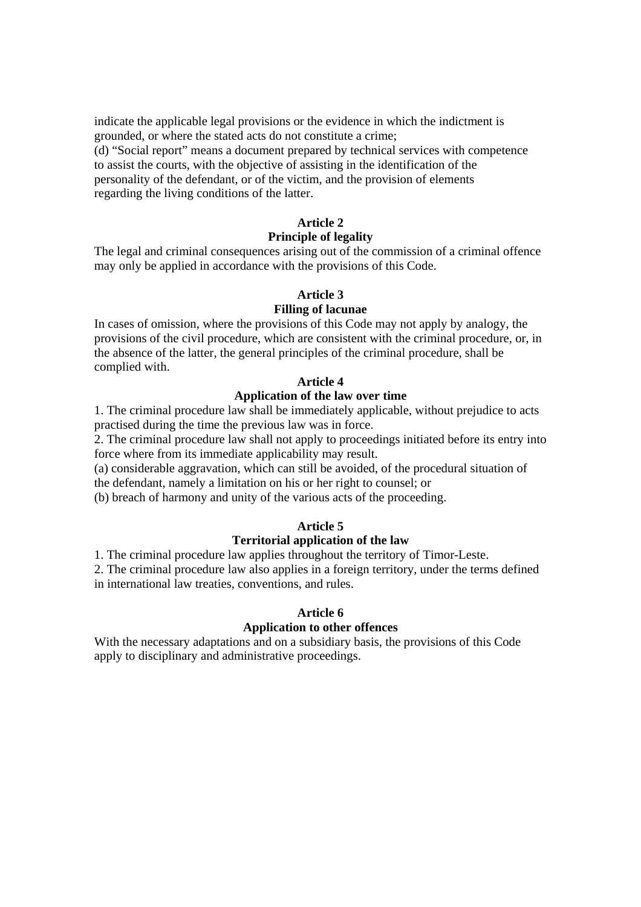indicate the applicable legal provisions or the evidence in which the indictment is grounded, or where the stated acts do not constitute a crime; (d) "Social report" means a document prepared by technical services with competence to assist the courts, with the objective of assisting in the identification of the personality of the defendant, or of the victim, and the provision of elements regarding the living conditions of the latter.

### **Article 2**

#### **Principle of legality**

The legal and criminal consequences arising out of the commission of a criminal offence may only be applied in accordance with the provisions of this Code.

#### **Article 3**

#### **Filling of lacunae**

In cases of omission, where the provisions of this Code may not apply by analogy, the provisions of the civil procedure, which are consistent with the criminal procedure, or, in the absence of the latter, the general principles of the criminal procedure, shall be complied with.

### **Article 4**

# **Application of the law over time**

1. The criminal procedure law shall be immediately applicable, without prejudice to acts practised during the time the previous law was in force.

2. The criminal procedure law shall not apply to proceedings initiated before its entry into force where from its immediate applicability may result.

(a) considerable aggravation, which can still be avoided, of the procedural situation of the defendant, namely a limitation on his or her right to counsel; or

(b) breach of harmony and unity of the various acts of the proceeding.

#### **Article 5**

#### **Territorial application of the law**

1. The criminal procedure law applies throughout the territory of Timor-Leste.

2. The criminal procedure law also applies in a foreign territory, under the terms defined in international law treaties, conventions, and rules.

#### **Article 6**

### **Application to other offences**

With the necessary adaptations and on a subsidiary basis, the provisions of this Code apply to disciplinary and administrative proceedings.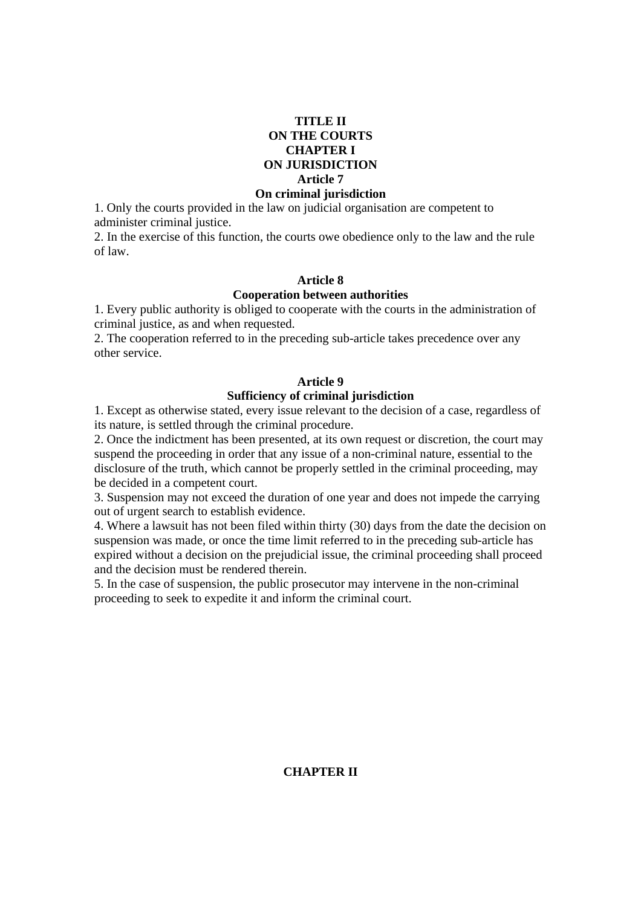### **TITLE II ON THE COURTS CHAPTER I ON JURISDICTION Article 7**

#### **On criminal jurisdiction**

1. Only the courts provided in the law on judicial organisation are competent to administer criminal justice.

2. In the exercise of this function, the courts owe obedience only to the law and the rule of law.

# **Article 8**

#### **Cooperation between authorities**

1. Every public authority is obliged to cooperate with the courts in the administration of criminal justice, as and when requested.

2. The cooperation referred to in the preceding sub-article takes precedence over any other service.

#### **Article 9**

#### **Sufficiency of criminal jurisdiction**

1. Except as otherwise stated, every issue relevant to the decision of a case, regardless of its nature, is settled through the criminal procedure.

2. Once the indictment has been presented, at its own request or discretion, the court may suspend the proceeding in order that any issue of a non-criminal nature, essential to the disclosure of the truth, which cannot be properly settled in the criminal proceeding, may be decided in a competent court.

3. Suspension may not exceed the duration of one year and does not impede the carrying out of urgent search to establish evidence.

4. Where a lawsuit has not been filed within thirty (30) days from the date the decision on suspension was made, or once the time limit referred to in the preceding sub-article has expired without a decision on the prejudicial issue, the criminal proceeding shall proceed and the decision must be rendered therein.

5. In the case of suspension, the public prosecutor may intervene in the non-criminal proceeding to seek to expedite it and inform the criminal court.

### **CHAPTER II**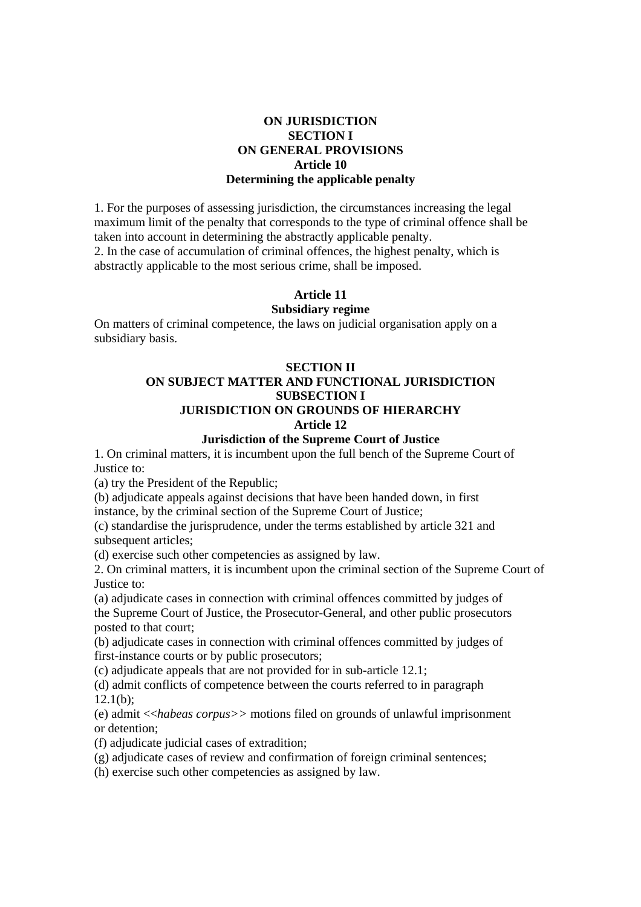# **ON JURISDICTION SECTION I ON GENERAL PROVISIONS Article 10 Determining the applicable penalty**

1. For the purposes of assessing jurisdiction, the circumstances increasing the legal maximum limit of the penalty that corresponds to the type of criminal offence shall be taken into account in determining the abstractly applicable penalty. 2. In the case of accumulation of criminal offences, the highest penalty, which is

abstractly applicable to the most serious crime, shall be imposed.

# **Article 11**

# **Subsidiary regime**

On matters of criminal competence, the laws on judicial organisation apply on a subsidiary basis.

# **SECTION II**

#### **ON SUBJECT MATTER AND FUNCTIONAL JURISDICTION SUBSECTION I JURISDICTION ON GROUNDS OF HIERARCHY Article 12**

# **Jurisdiction of the Supreme Court of Justice**

1. On criminal matters, it is incumbent upon the full bench of the Supreme Court of Justice to:

(a) try the President of the Republic;

(b) adjudicate appeals against decisions that have been handed down, in first

instance, by the criminal section of the Supreme Court of Justice;

(c) standardise the jurisprudence, under the terms established by article 321 and subsequent articles:

(d) exercise such other competencies as assigned by law.

2. On criminal matters, it is incumbent upon the criminal section of the Supreme Court of Justice to:

(a) adjudicate cases in connection with criminal offences committed by judges of the Supreme Court of Justice, the Prosecutor-General, and other public prosecutors posted to that court;

(b) adjudicate cases in connection with criminal offences committed by judges of first-instance courts or by public prosecutors;

(c) adjudicate appeals that are not provided for in sub-article 12.1;

(d) admit conflicts of competence between the courts referred to in paragraph  $12.1(b)$ ;

(e) admit <<*habeas corpus>>* motions filed on grounds of unlawful imprisonment or detention;

(f) adjudicate judicial cases of extradition;

(g) adjudicate cases of review and confirmation of foreign criminal sentences;

(h) exercise such other competencies as assigned by law.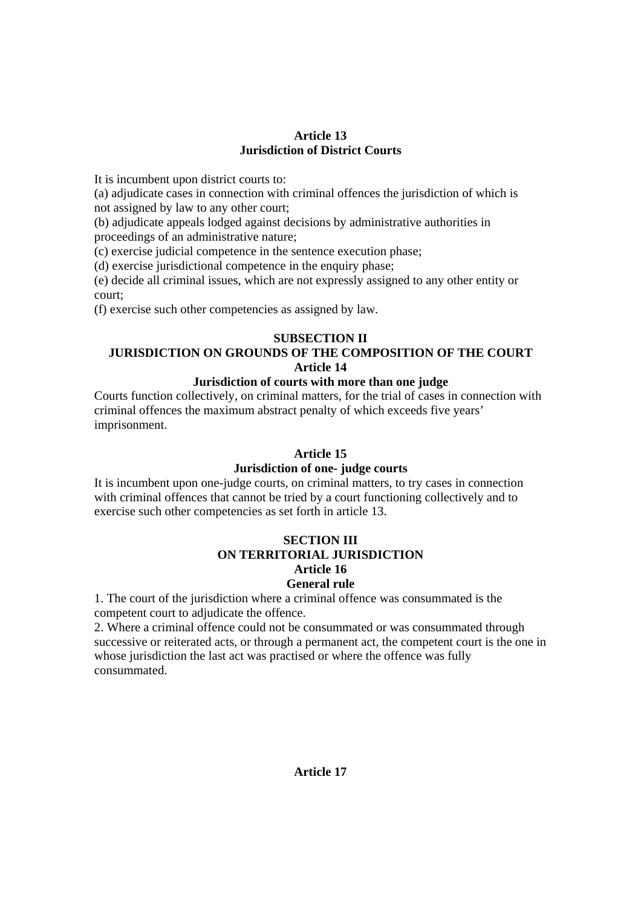### **Article 13 Jurisdiction of District Courts**

It is incumbent upon district courts to:

(a) adjudicate cases in connection with criminal offences the jurisdiction of which is not assigned by law to any other court;

(b) adjudicate appeals lodged against decisions by administrative authorities in proceedings of an administrative nature;

(c) exercise judicial competence in the sentence execution phase;

(d) exercise jurisdictional competence in the enquiry phase;

(e) decide all criminal issues, which are not expressly assigned to any other entity or court;

(f) exercise such other competencies as assigned by law.

# **SUBSECTION II**

# **JURISDICTION ON GROUNDS OF THE COMPOSITION OF THE COURT Article 14**

# **Jurisdiction of courts with more than one judge**

Courts function collectively, on criminal matters, for the trial of cases in connection with criminal offences the maximum abstract penalty of which exceeds five years' imprisonment.

# **Article 15**

# **Jurisdiction of one- judge courts**

It is incumbent upon one-judge courts, on criminal matters, to try cases in connection with criminal offences that cannot be tried by a court functioning collectively and to exercise such other competencies as set forth in article 13.

### **SECTION III ON TERRITORIAL JURISDICTION Article 16 General rule**

1. The court of the jurisdiction where a criminal offence was consummated is the competent court to adjudicate the offence.

2. Where a criminal offence could not be consummated or was consummated through successive or reiterated acts, or through a permanent act, the competent court is the one in whose jurisdiction the last act was practised or where the offence was fully consummated.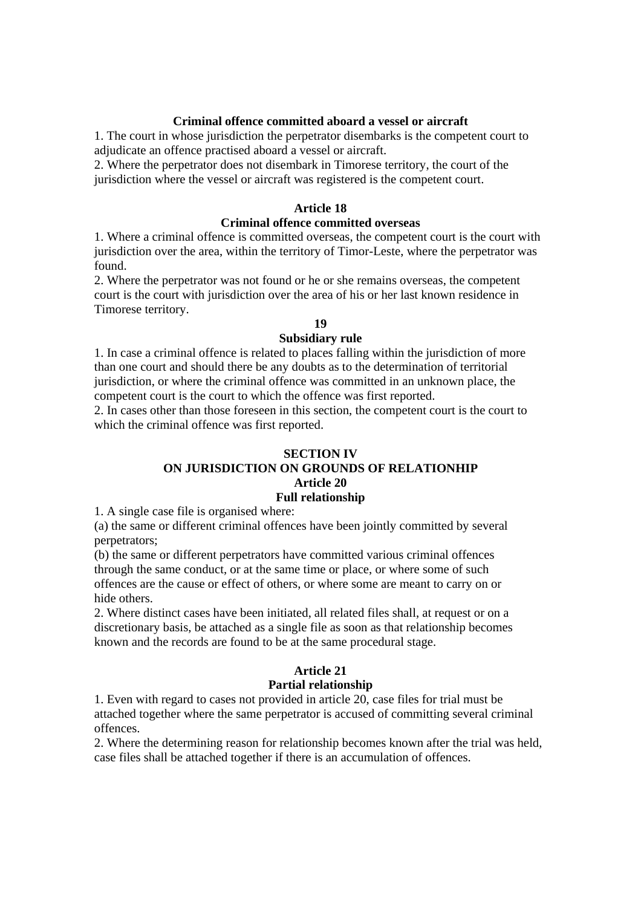#### **Criminal offence committed aboard a vessel or aircraft**

1. The court in whose jurisdiction the perpetrator disembarks is the competent court to adjudicate an offence practised aboard a vessel or aircraft.

2. Where the perpetrator does not disembark in Timorese territory, the court of the jurisdiction where the vessel or aircraft was registered is the competent court.

#### **Article 18**

### **Criminal offence committed overseas**

1. Where a criminal offence is committed overseas, the competent court is the court with jurisdiction over the area, within the territory of Timor-Leste, where the perpetrator was found.

2. Where the perpetrator was not found or he or she remains overseas, the competent court is the court with jurisdiction over the area of his or her last known residence in Timorese territory.

# **19**

#### **Subsidiary rule**

1. In case a criminal offence is related to places falling within the jurisdiction of more than one court and should there be any doubts as to the determination of territorial jurisdiction, or where the criminal offence was committed in an unknown place, the competent court is the court to which the offence was first reported.

2. In cases other than those foreseen in this section, the competent court is the court to which the criminal offence was first reported.

#### **SECTION IV**

### **ON JURISDICTION ON GROUNDS OF RELATIONHIP Article 20 Full relationship**

1. A single case file is organised where:

(a) the same or different criminal offences have been jointly committed by several perpetrators;

(b) the same or different perpetrators have committed various criminal offences through the same conduct, or at the same time or place, or where some of such offences are the cause or effect of others, or where some are meant to carry on or hide others.

2. Where distinct cases have been initiated, all related files shall, at request or on a discretionary basis, be attached as a single file as soon as that relationship becomes known and the records are found to be at the same procedural stage.

# **Article 21**

#### **Partial relationship**

1. Even with regard to cases not provided in article 20, case files for trial must be attached together where the same perpetrator is accused of committing several criminal offences.

2. Where the determining reason for relationship becomes known after the trial was held, case files shall be attached together if there is an accumulation of offences.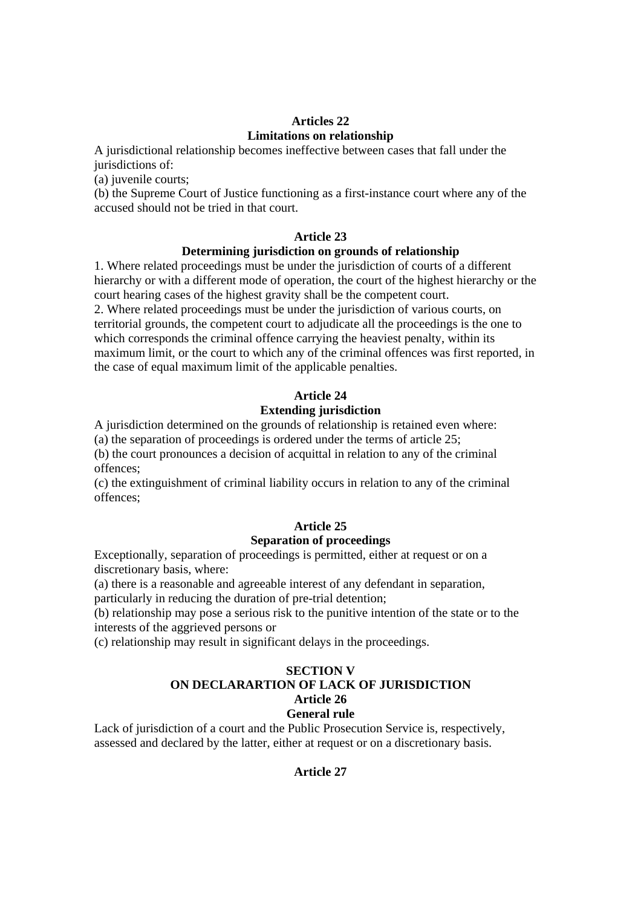# **Articles 22 Limitations on relationship**

A jurisdictional relationship becomes ineffective between cases that fall under the jurisdictions of:

(a) juvenile courts;

(b) the Supreme Court of Justice functioning as a first-instance court where any of the accused should not be tried in that court.

# **Article 23**

# **Determining jurisdiction on grounds of relationship**

1. Where related proceedings must be under the jurisdiction of courts of a different hierarchy or with a different mode of operation, the court of the highest hierarchy or the court hearing cases of the highest gravity shall be the competent court.

2. Where related proceedings must be under the jurisdiction of various courts, on territorial grounds, the competent court to adjudicate all the proceedings is the one to which corresponds the criminal offence carrying the heaviest penalty, within its maximum limit, or the court to which any of the criminal offences was first reported, in the case of equal maximum limit of the applicable penalties.

# **Article 24**

# **Extending jurisdiction**

A jurisdiction determined on the grounds of relationship is retained even where:

(a) the separation of proceedings is ordered under the terms of article 25;

(b) the court pronounces a decision of acquittal in relation to any of the criminal offences;

(c) the extinguishment of criminal liability occurs in relation to any of the criminal offences;

# **Article 25**

# **Separation of proceedings**

Exceptionally, separation of proceedings is permitted, either at request or on a discretionary basis, where:

(a) there is a reasonable and agreeable interest of any defendant in separation,

particularly in reducing the duration of pre-trial detention;

(b) relationship may pose a serious risk to the punitive intention of the state or to the interests of the aggrieved persons or

(c) relationship may result in significant delays in the proceedings.

### **SECTION V ON DECLARARTION OF LACK OF JURISDICTION Article 26 General rule**

Lack of jurisdiction of a court and the Public Prosecution Service is, respectively, assessed and declared by the latter, either at request or on a discretionary basis.

**Article 27**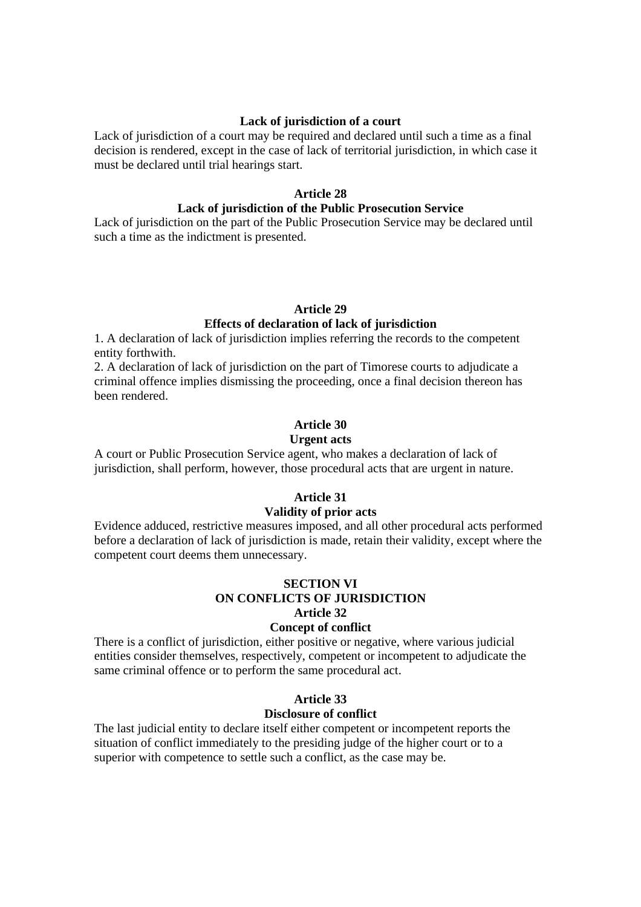#### **Lack of jurisdiction of a court**

Lack of jurisdiction of a court may be required and declared until such a time as a final decision is rendered, except in the case of lack of territorial jurisdiction, in which case it must be declared until trial hearings start.

### **Article 28**

#### **Lack of jurisdiction of the Public Prosecution Service**

Lack of jurisdiction on the part of the Public Prosecution Service may be declared until such a time as the indictment is presented.

#### **Article 29**

### **Effects of declaration of lack of jurisdiction**

1. A declaration of lack of jurisdiction implies referring the records to the competent entity forthwith.

2. A declaration of lack of jurisdiction on the part of Timorese courts to adjudicate a criminal offence implies dismissing the proceeding, once a final decision thereon has been rendered.

#### **Article 30**

#### **Urgent acts**

A court or Public Prosecution Service agent, who makes a declaration of lack of jurisdiction, shall perform, however, those procedural acts that are urgent in nature.

#### **Article 31**

### **Validity of prior acts**

Evidence adduced, restrictive measures imposed, and all other procedural acts performed before a declaration of lack of jurisdiction is made, retain their validity, except where the competent court deems them unnecessary.

# **SECTION VI ON CONFLICTS OF JURISDICTION Article 32**

### **Concept of conflict**

There is a conflict of jurisdiction, either positive or negative, where various judicial entities consider themselves, respectively, competent or incompetent to adjudicate the same criminal offence or to perform the same procedural act.

# **Article 33**

#### **Disclosure of conflict**

The last judicial entity to declare itself either competent or incompetent reports the situation of conflict immediately to the presiding judge of the higher court or to a superior with competence to settle such a conflict, as the case may be.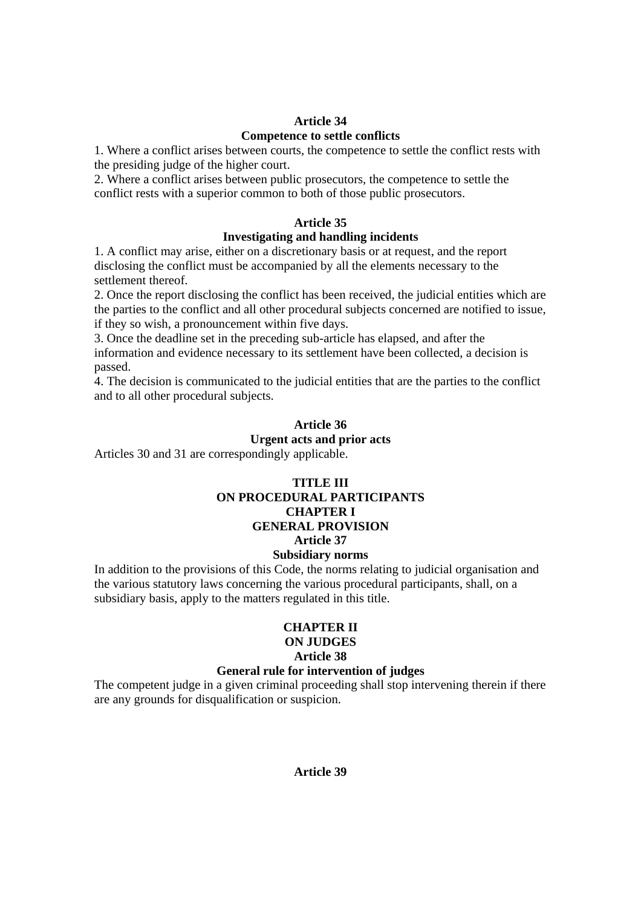# **Article 34 Competence to settle conflicts**

1. Where a conflict arises between courts, the competence to settle the conflict rests with the presiding judge of the higher court.

2. Where a conflict arises between public prosecutors, the competence to settle the conflict rests with a superior common to both of those public prosecutors.

# **Article 35**

# **Investigating and handling incidents**

1. A conflict may arise, either on a discretionary basis or at request, and the report disclosing the conflict must be accompanied by all the elements necessary to the settlement thereof.

2. Once the report disclosing the conflict has been received, the judicial entities which are the parties to the conflict and all other procedural subjects concerned are notified to issue, if they so wish, a pronouncement within five days.

3. Once the deadline set in the preceding sub-article has elapsed, and after the information and evidence necessary to its settlement have been collected, a decision is passed.

4. The decision is communicated to the judicial entities that are the parties to the conflict and to all other procedural subjects.

# **Article 36**

### **Urgent acts and prior acts**

Articles 30 and 31 are correspondingly applicable.

# **TITLE III ON PROCEDURAL PARTICIPANTS CHAPTER I GENERAL PROVISION Article 37 Subsidiary norms**

In addition to the provisions of this Code, the norms relating to judicial organisation and the various statutory laws concerning the various procedural participants, shall, on a subsidiary basis, apply to the matters regulated in this title.

# **CHAPTER II**

# **ON JUDGES**

# **Article 38**

# **General rule for intervention of judges**

The competent judge in a given criminal proceeding shall stop intervening therein if there are any grounds for disqualification or suspicion.

# **Article 39**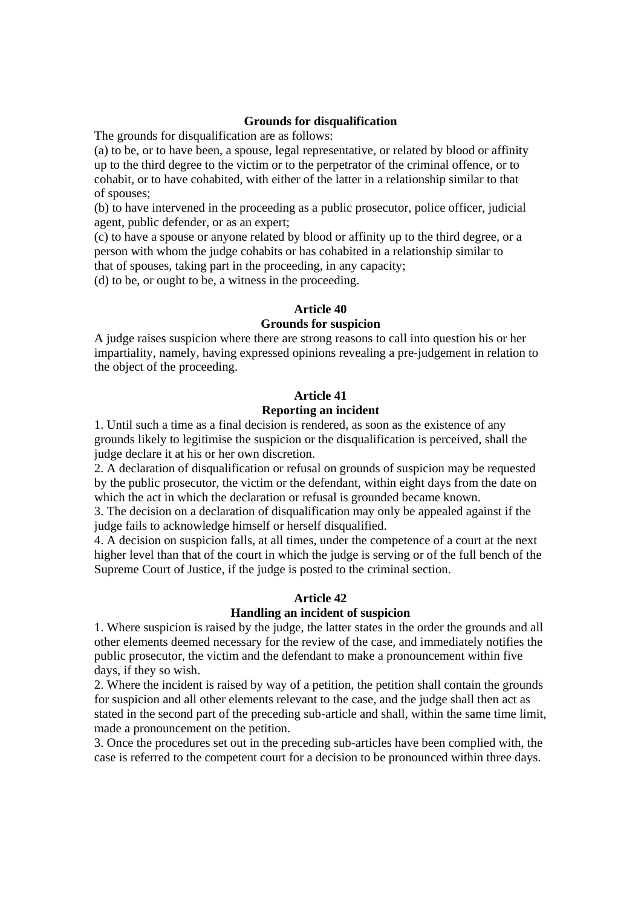#### **Grounds for disqualification**

The grounds for disqualification are as follows:

(a) to be, or to have been, a spouse, legal representative, or related by blood or affinity up to the third degree to the victim or to the perpetrator of the criminal offence, or to cohabit, or to have cohabited, with either of the latter in a relationship similar to that of spouses;

(b) to have intervened in the proceeding as a public prosecutor, police officer, judicial agent, public defender, or as an expert;

(c) to have a spouse or anyone related by blood or affinity up to the third degree, or a person with whom the judge cohabits or has cohabited in a relationship similar to that of spouses, taking part in the proceeding, in any capacity;

(d) to be, or ought to be, a witness in the proceeding.

### **Article 40**

### **Grounds for suspicion**

A judge raises suspicion where there are strong reasons to call into question his or her impartiality, namely, having expressed opinions revealing a pre-judgement in relation to the object of the proceeding.

#### **Article 41 Reporting an incident**

1. Until such a time as a final decision is rendered, as soon as the existence of any grounds likely to legitimise the suspicion or the disqualification is perceived, shall the judge declare it at his or her own discretion.

2. A declaration of disqualification or refusal on grounds of suspicion may be requested by the public prosecutor, the victim or the defendant, within eight days from the date on which the act in which the declaration or refusal is grounded became known.

3. The decision on a declaration of disqualification may only be appealed against if the judge fails to acknowledge himself or herself disqualified.

4. A decision on suspicion falls, at all times, under the competence of a court at the next higher level than that of the court in which the judge is serving or of the full bench of the Supreme Court of Justice, if the judge is posted to the criminal section.

# **Article 42**

#### **Handling an incident of suspicion**

1. Where suspicion is raised by the judge, the latter states in the order the grounds and all other elements deemed necessary for the review of the case, and immediately notifies the public prosecutor, the victim and the defendant to make a pronouncement within five days, if they so wish.

2. Where the incident is raised by way of a petition, the petition shall contain the grounds for suspicion and all other elements relevant to the case, and the judge shall then act as stated in the second part of the preceding sub-article and shall, within the same time limit, made a pronouncement on the petition.

3. Once the procedures set out in the preceding sub-articles have been complied with, the case is referred to the competent court for a decision to be pronounced within three days.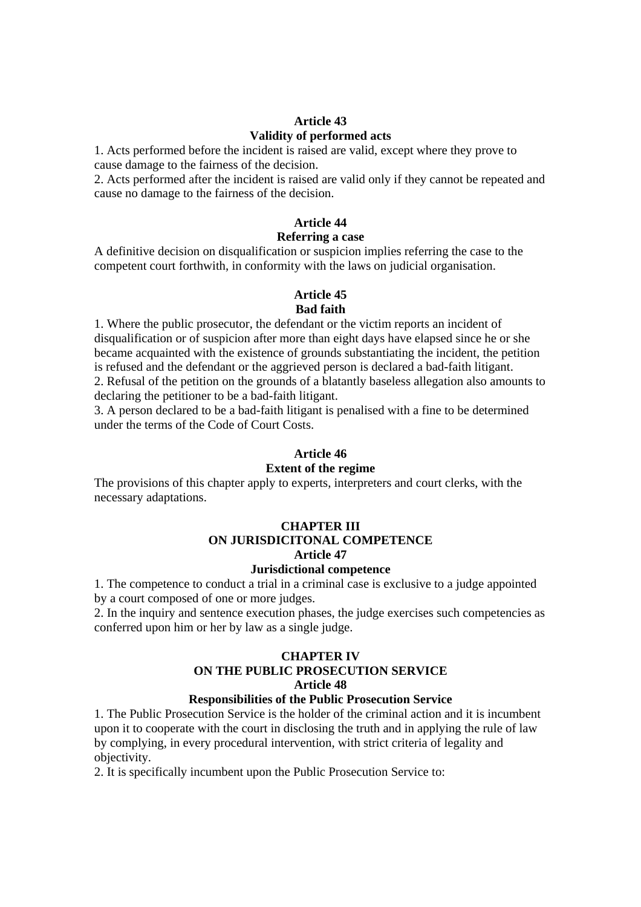# **Article 43 Validity of performed acts**

1. Acts performed before the incident is raised are valid, except where they prove to cause damage to the fairness of the decision.

2. Acts performed after the incident is raised are valid only if they cannot be repeated and cause no damage to the fairness of the decision.

# **Article 44**

### **Referring a case**

A definitive decision on disqualification or suspicion implies referring the case to the competent court forthwith, in conformity with the laws on judicial organisation.

### **Article 45**

### **Bad faith**

1. Where the public prosecutor, the defendant or the victim reports an incident of disqualification or of suspicion after more than eight days have elapsed since he or she became acquainted with the existence of grounds substantiating the incident, the petition is refused and the defendant or the aggrieved person is declared a bad-faith litigant. 2. Refusal of the petition on the grounds of a blatantly baseless allegation also amounts to declaring the petitioner to be a bad-faith litigant.

3. A person declared to be a bad-faith litigant is penalised with a fine to be determined under the terms of the Code of Court Costs.

# **Article 46**

#### **Extent of the regime**

The provisions of this chapter apply to experts, interpreters and court clerks, with the necessary adaptations.

# **CHAPTER III ON JURISDICITONAL COMPETENCE Article 47**

### **Jurisdictional competence**

1. The competence to conduct a trial in a criminal case is exclusive to a judge appointed by a court composed of one or more judges.

2. In the inquiry and sentence execution phases, the judge exercises such competencies as conferred upon him or her by law as a single judge.

# **CHAPTER IV ON THE PUBLIC PROSECUTION SERVICE Article 48**

# **Responsibilities of the Public Prosecution Service**

1. The Public Prosecution Service is the holder of the criminal action and it is incumbent upon it to cooperate with the court in disclosing the truth and in applying the rule of law by complying, in every procedural intervention, with strict criteria of legality and objectivity.

2. It is specifically incumbent upon the Public Prosecution Service to: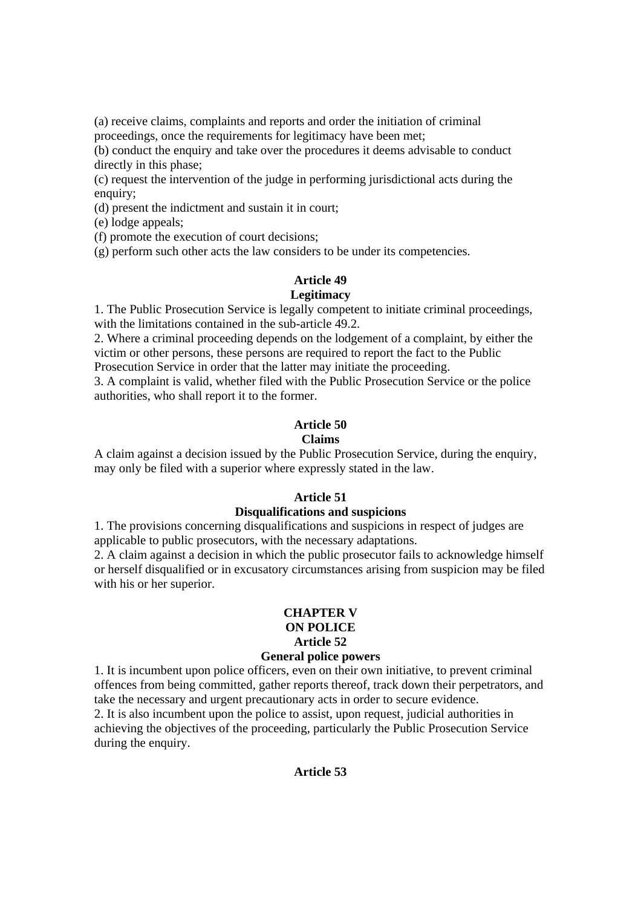(a) receive claims, complaints and reports and order the initiation of criminal proceedings, once the requirements for legitimacy have been met;

(b) conduct the enquiry and take over the procedures it deems advisable to conduct directly in this phase;

(c) request the intervention of the judge in performing jurisdictional acts during the enquiry;

(d) present the indictment and sustain it in court;

(e) lodge appeals;

(f) promote the execution of court decisions;

(g) perform such other acts the law considers to be under its competencies.

### **Article 49 Legitimacy**

1. The Public Prosecution Service is legally competent to initiate criminal proceedings, with the limitations contained in the sub-article 49.2.

2. Where a criminal proceeding depends on the lodgement of a complaint, by either the victim or other persons, these persons are required to report the fact to the Public Prosecution Service in order that the latter may initiate the proceeding.

3. A complaint is valid, whether filed with the Public Prosecution Service or the police authorities, who shall report it to the former.

# **Article 50**

# **Claims**

A claim against a decision issued by the Public Prosecution Service, during the enquiry, may only be filed with a superior where expressly stated in the law.

# **Article 51**

#### **Disqualifications and suspicions**

1. The provisions concerning disqualifications and suspicions in respect of judges are applicable to public prosecutors, with the necessary adaptations.

2. A claim against a decision in which the public prosecutor fails to acknowledge himself or herself disqualified or in excusatory circumstances arising from suspicion may be filed with his or her superior.

# **CHAPTER V ON POLICE Article 52**

### **General police powers**

1. It is incumbent upon police officers, even on their own initiative, to prevent criminal offences from being committed, gather reports thereof, track down their perpetrators, and take the necessary and urgent precautionary acts in order to secure evidence.

2. It is also incumbent upon the police to assist, upon request, judicial authorities in achieving the objectives of the proceeding, particularly the Public Prosecution Service during the enquiry.

#### **Article 53**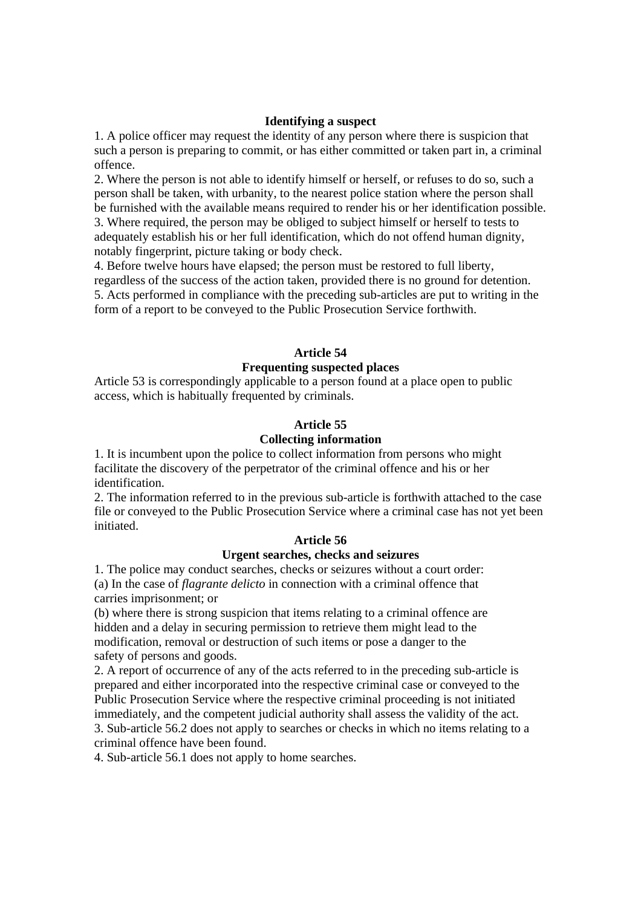#### **Identifying a suspect**

1. A police officer may request the identity of any person where there is suspicion that such a person is preparing to commit, or has either committed or taken part in, a criminal offence.

2. Where the person is not able to identify himself or herself, or refuses to do so, such a person shall be taken, with urbanity, to the nearest police station where the person shall be furnished with the available means required to render his or her identification possible.

3. Where required, the person may be obliged to subject himself or herself to tests to adequately establish his or her full identification, which do not offend human dignity, notably fingerprint, picture taking or body check.

4. Before twelve hours have elapsed; the person must be restored to full liberty,

regardless of the success of the action taken, provided there is no ground for detention. 5. Acts performed in compliance with the preceding sub-articles are put to writing in the form of a report to be conveyed to the Public Prosecution Service forthwith.

### **Article 54**

# **Frequenting suspected places**

Article 53 is correspondingly applicable to a person found at a place open to public access, which is habitually frequented by criminals.

# **Article 55**

# **Collecting information**

1. It is incumbent upon the police to collect information from persons who might facilitate the discovery of the perpetrator of the criminal offence and his or her identification.

2. The information referred to in the previous sub-article is forthwith attached to the case file or conveyed to the Public Prosecution Service where a criminal case has not yet been initiated.

# **Article 56**

# **Urgent searches, checks and seizures**

1. The police may conduct searches, checks or seizures without a court order: (a) In the case of *flagrante delicto* in connection with a criminal offence that carries imprisonment; or

(b) where there is strong suspicion that items relating to a criminal offence are hidden and a delay in securing permission to retrieve them might lead to the modification, removal or destruction of such items or pose a danger to the safety of persons and goods.

2. A report of occurrence of any of the acts referred to in the preceding sub-article is prepared and either incorporated into the respective criminal case or conveyed to the Public Prosecution Service where the respective criminal proceeding is not initiated immediately, and the competent judicial authority shall assess the validity of the act. 3. Sub-article 56.2 does not apply to searches or checks in which no items relating to a criminal offence have been found.

4. Sub-article 56.1 does not apply to home searches.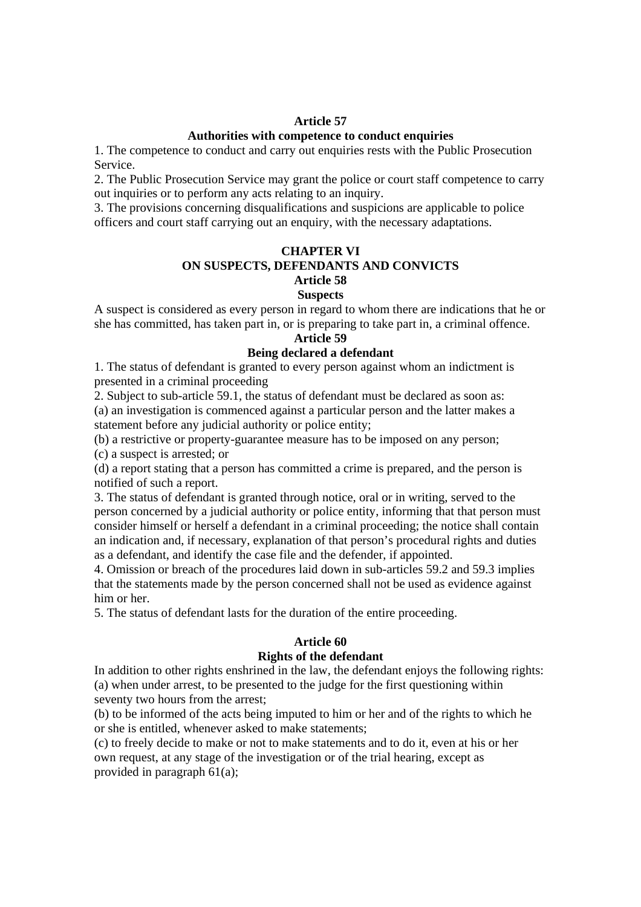#### **Article 57**

# **Authorities with competence to conduct enquiries**

1. The competence to conduct and carry out enquiries rests with the Public Prosecution Service.

2. The Public Prosecution Service may grant the police or court staff competence to carry out inquiries or to perform any acts relating to an inquiry.

3. The provisions concerning disqualifications and suspicions are applicable to police officers and court staff carrying out an enquiry, with the necessary adaptations.

#### **CHAPTER VI ON SUSPECTS, DEFENDANTS AND CONVICTS Article 58 Suspects**

A suspect is considered as every person in regard to whom there are indications that he or she has committed, has taken part in, or is preparing to take part in, a criminal offence.

# **Article 59**

#### **Being declared a defendant**

1. The status of defendant is granted to every person against whom an indictment is presented in a criminal proceeding

2. Subject to sub-article 59.1, the status of defendant must be declared as soon as: (a) an investigation is commenced against a particular person and the latter makes a statement before any judicial authority or police entity;

(b) a restrictive or property-guarantee measure has to be imposed on any person;

(c) a suspect is arrested; or

(d) a report stating that a person has committed a crime is prepared, and the person is notified of such a report.

3. The status of defendant is granted through notice, oral or in writing, served to the person concerned by a judicial authority or police entity, informing that that person must consider himself or herself a defendant in a criminal proceeding; the notice shall contain an indication and, if necessary, explanation of that person's procedural rights and duties as a defendant, and identify the case file and the defender, if appointed.

4. Omission or breach of the procedures laid down in sub-articles 59.2 and 59.3 implies that the statements made by the person concerned shall not be used as evidence against him or her.

5. The status of defendant lasts for the duration of the entire proceeding.

#### **Article 60**

#### **Rights of the defendant**

In addition to other rights enshrined in the law, the defendant enjoys the following rights: (a) when under arrest, to be presented to the judge for the first questioning within seventy two hours from the arrest;

(b) to be informed of the acts being imputed to him or her and of the rights to which he or she is entitled, whenever asked to make statements;

(c) to freely decide to make or not to make statements and to do it, even at his or her own request, at any stage of the investigation or of the trial hearing, except as provided in paragraph 61(a);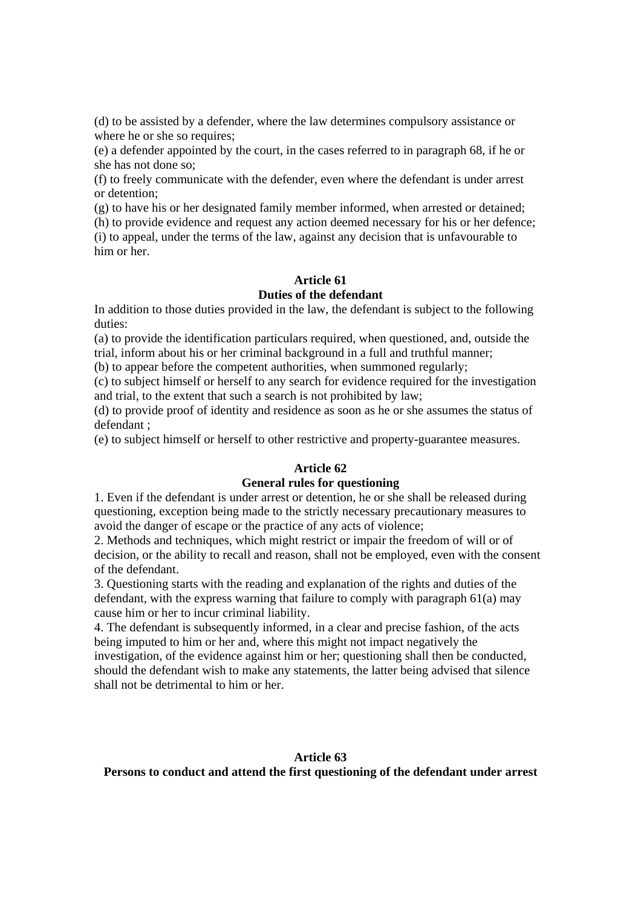(d) to be assisted by a defender, where the law determines compulsory assistance or where he or she so requires;

(e) a defender appointed by the court, in the cases referred to in paragraph 68, if he or she has not done so;

(f) to freely communicate with the defender, even where the defendant is under arrest or detention;

(g) to have his or her designated family member informed, when arrested or detained;

(h) to provide evidence and request any action deemed necessary for his or her defence; (i) to appeal, under the terms of the law, against any decision that is unfavourable to him or her.

# **Article 61 Duties of the defendant**

In addition to those duties provided in the law, the defendant is subject to the following duties:

(a) to provide the identification particulars required, when questioned, and, outside the trial, inform about his or her criminal background in a full and truthful manner;

(b) to appear before the competent authorities, when summoned regularly;

(c) to subject himself or herself to any search for evidence required for the investigation and trial, to the extent that such a search is not prohibited by law;

(d) to provide proof of identity and residence as soon as he or she assumes the status of defendant ;

(e) to subject himself or herself to other restrictive and property-guarantee measures.

### **Article 62**

#### **General rules for questioning**

1. Even if the defendant is under arrest or detention, he or she shall be released during questioning, exception being made to the strictly necessary precautionary measures to avoid the danger of escape or the practice of any acts of violence;

2. Methods and techniques, which might restrict or impair the freedom of will or of decision, or the ability to recall and reason, shall not be employed, even with the consent of the defendant.

3. Questioning starts with the reading and explanation of the rights and duties of the defendant, with the express warning that failure to comply with paragraph 61(a) may cause him or her to incur criminal liability.

4. The defendant is subsequently informed, in a clear and precise fashion, of the acts being imputed to him or her and, where this might not impact negatively the investigation, of the evidence against him or her; questioning shall then be conducted, should the defendant wish to make any statements, the latter being advised that silence

shall not be detrimental to him or her.

#### **Article 63**

#### **Persons to conduct and attend the first questioning of the defendant under arrest**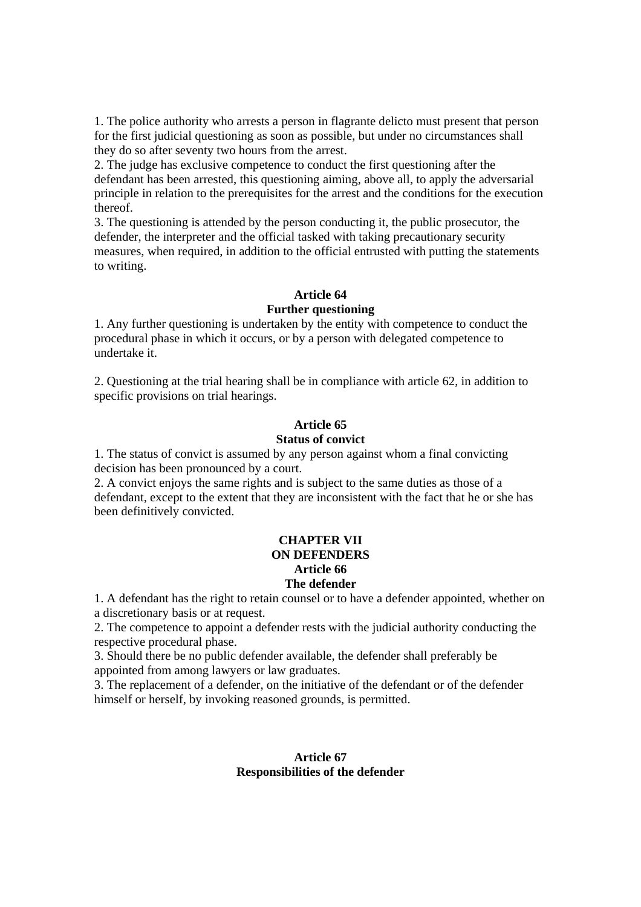1. The police authority who arrests a person in flagrante delicto must present that person for the first judicial questioning as soon as possible, but under no circumstances shall they do so after seventy two hours from the arrest.

2. The judge has exclusive competence to conduct the first questioning after the defendant has been arrested, this questioning aiming, above all, to apply the adversarial principle in relation to the prerequisites for the arrest and the conditions for the execution thereof.

3. The questioning is attended by the person conducting it, the public prosecutor, the defender, the interpreter and the official tasked with taking precautionary security measures, when required, in addition to the official entrusted with putting the statements to writing.

#### **Article 64**

### **Further questioning**

1. Any further questioning is undertaken by the entity with competence to conduct the procedural phase in which it occurs, or by a person with delegated competence to undertake it.

2. Questioning at the trial hearing shall be in compliance with article 62, in addition to specific provisions on trial hearings.

### **Article 65**

#### **Status of convict**

1. The status of convict is assumed by any person against whom a final convicting decision has been pronounced by a court.

2. A convict enjoys the same rights and is subject to the same duties as those of a defendant, except to the extent that they are inconsistent with the fact that he or she has been definitively convicted.

#### **CHAPTER VII ON DEFENDERS Article 66 The defender**

1. A defendant has the right to retain counsel or to have a defender appointed, whether on a discretionary basis or at request.

2. The competence to appoint a defender rests with the judicial authority conducting the respective procedural phase.

3. Should there be no public defender available, the defender shall preferably be appointed from among lawyers or law graduates.

3. The replacement of a defender, on the initiative of the defendant or of the defender himself or herself, by invoking reasoned grounds, is permitted.

### **Article 67 Responsibilities of the defender**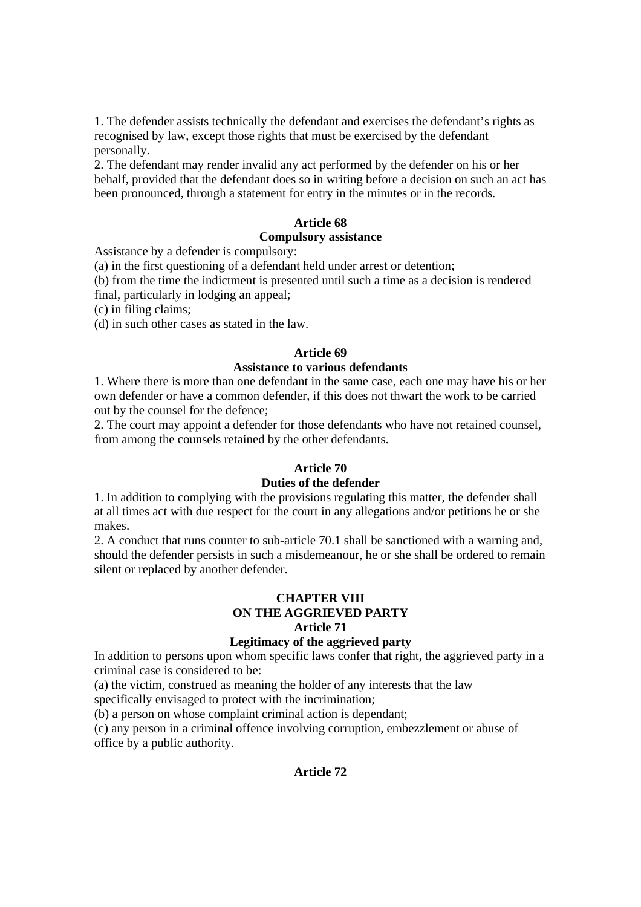1. The defender assists technically the defendant and exercises the defendant's rights as recognised by law, except those rights that must be exercised by the defendant personally.

2. The defendant may render invalid any act performed by the defender on his or her behalf, provided that the defendant does so in writing before a decision on such an act has been pronounced, through a statement for entry in the minutes or in the records.

### **Article 68**

#### **Compulsory assistance**

Assistance by a defender is compulsory:

(a) in the first questioning of a defendant held under arrest or detention;

(b) from the time the indictment is presented until such a time as a decision is rendered final, particularly in lodging an appeal;

(c) in filing claims;

(d) in such other cases as stated in the law.

#### **Article 69**

#### **Assistance to various defendants**

1. Where there is more than one defendant in the same case, each one may have his or her own defender or have a common defender, if this does not thwart the work to be carried out by the counsel for the defence;

2. The court may appoint a defender for those defendants who have not retained counsel, from among the counsels retained by the other defendants.

#### **Article 70**

### **Duties of the defender**

1. In addition to complying with the provisions regulating this matter, the defender shall at all times act with due respect for the court in any allegations and/or petitions he or she makes.

2. A conduct that runs counter to sub-article 70.1 shall be sanctioned with a warning and, should the defender persists in such a misdemeanour, he or she shall be ordered to remain silent or replaced by another defender.

# **CHAPTER VIII ON THE AGGRIEVED PARTY Article 71**

### **Legitimacy of the aggrieved party**

In addition to persons upon whom specific laws confer that right, the aggrieved party in a criminal case is considered to be:

(a) the victim, construed as meaning the holder of any interests that the law

specifically envisaged to protect with the incrimination;

(b) a person on whose complaint criminal action is dependant;

(c) any person in a criminal offence involving corruption, embezzlement or abuse of office by a public authority.

#### **Article 72**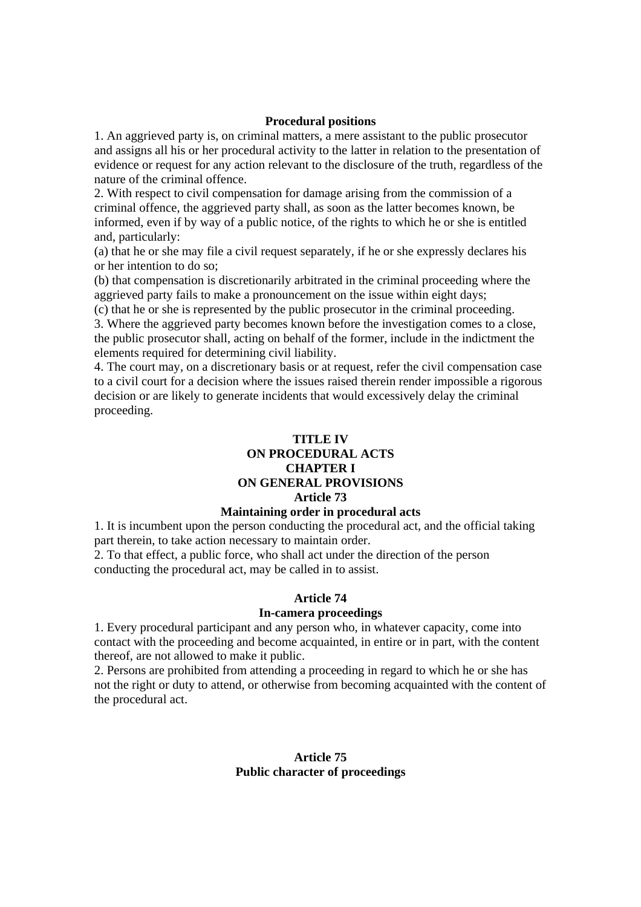#### **Procedural positions**

1. An aggrieved party is, on criminal matters, a mere assistant to the public prosecutor and assigns all his or her procedural activity to the latter in relation to the presentation of evidence or request for any action relevant to the disclosure of the truth, regardless of the nature of the criminal offence.

2. With respect to civil compensation for damage arising from the commission of a criminal offence, the aggrieved party shall, as soon as the latter becomes known, be informed, even if by way of a public notice, of the rights to which he or she is entitled and, particularly:

(a) that he or she may file a civil request separately, if he or she expressly declares his or her intention to do so;

(b) that compensation is discretionarily arbitrated in the criminal proceeding where the aggrieved party fails to make a pronouncement on the issue within eight days;

(c) that he or she is represented by the public prosecutor in the criminal proceeding.

3. Where the aggrieved party becomes known before the investigation comes to a close, the public prosecutor shall, acting on behalf of the former, include in the indictment the elements required for determining civil liability.

4. The court may, on a discretionary basis or at request, refer the civil compensation case to a civil court for a decision where the issues raised therein render impossible a rigorous decision or are likely to generate incidents that would excessively delay the criminal proceeding.

# **TITLE IV ON PROCEDURAL ACTS CHAPTER I ON GENERAL PROVISIONS**

# **Article 73**

### **Maintaining order in procedural acts**

1. It is incumbent upon the person conducting the procedural act, and the official taking part therein, to take action necessary to maintain order.

2. To that effect, a public force, who shall act under the direction of the person conducting the procedural act, may be called in to assist.

#### **Article 74**

#### **In-camera proceedings**

1. Every procedural participant and any person who, in whatever capacity, come into contact with the proceeding and become acquainted, in entire or in part, with the content thereof, are not allowed to make it public.

2. Persons are prohibited from attending a proceeding in regard to which he or she has not the right or duty to attend, or otherwise from becoming acquainted with the content of the procedural act.

### **Article 75 Public character of proceedings**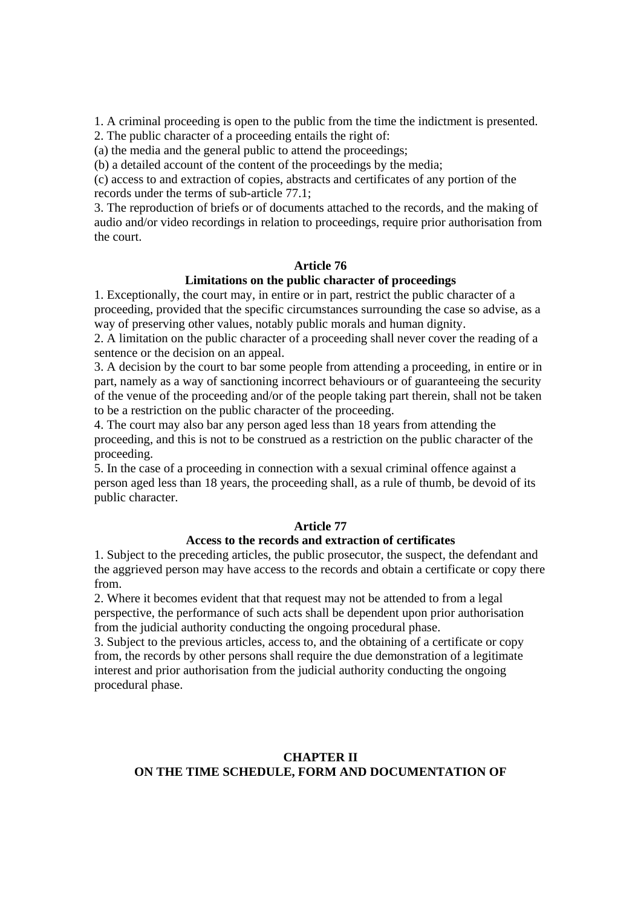1. A criminal proceeding is open to the public from the time the indictment is presented.

2. The public character of a proceeding entails the right of:

(a) the media and the general public to attend the proceedings;

(b) a detailed account of the content of the proceedings by the media;

(c) access to and extraction of copies, abstracts and certificates of any portion of the records under the terms of sub-article 77.1;

3. The reproduction of briefs or of documents attached to the records, and the making of audio and/or video recordings in relation to proceedings, require prior authorisation from the court.

# **Article 76**

# **Limitations on the public character of proceedings**

1. Exceptionally, the court may, in entire or in part, restrict the public character of a proceeding, provided that the specific circumstances surrounding the case so advise, as a way of preserving other values, notably public morals and human dignity.

2. A limitation on the public character of a proceeding shall never cover the reading of a sentence or the decision on an appeal.

3. A decision by the court to bar some people from attending a proceeding, in entire or in part, namely as a way of sanctioning incorrect behaviours or of guaranteeing the security of the venue of the proceeding and/or of the people taking part therein, shall not be taken to be a restriction on the public character of the proceeding.

4. The court may also bar any person aged less than 18 years from attending the proceeding, and this is not to be construed as a restriction on the public character of the proceeding.

5. In the case of a proceeding in connection with a sexual criminal offence against a person aged less than 18 years, the proceeding shall, as a rule of thumb, be devoid of its public character.

#### **Article 77**

#### **Access to the records and extraction of certificates**

1. Subject to the preceding articles, the public prosecutor, the suspect, the defendant and the aggrieved person may have access to the records and obtain a certificate or copy there from.

2. Where it becomes evident that that request may not be attended to from a legal perspective, the performance of such acts shall be dependent upon prior authorisation from the judicial authority conducting the ongoing procedural phase.

3. Subject to the previous articles, access to, and the obtaining of a certificate or copy from, the records by other persons shall require the due demonstration of a legitimate interest and prior authorisation from the judicial authority conducting the ongoing procedural phase.

# **CHAPTER II ON THE TIME SCHEDULE, FORM AND DOCUMENTATION OF**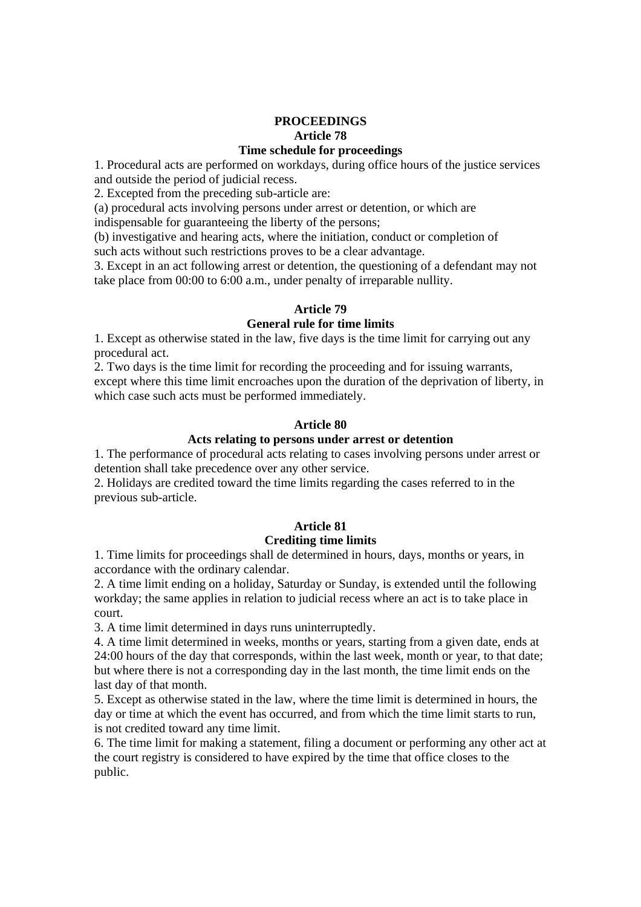### **PROCEEDINGS Article 78 Time schedule for proceedings**

1. Procedural acts are performed on workdays, during office hours of the justice services and outside the period of judicial recess.

2. Excepted from the preceding sub-article are:

(a) procedural acts involving persons under arrest or detention, or which are

indispensable for guaranteeing the liberty of the persons;

(b) investigative and hearing acts, where the initiation, conduct or completion of such acts without such restrictions proves to be a clear advantage.

3. Except in an act following arrest or detention, the questioning of a defendant may not take place from 00:00 to 6:00 a.m., under penalty of irreparable nullity.

# **Article 79**

# **General rule for time limits**

1. Except as otherwise stated in the law, five days is the time limit for carrying out any procedural act.

2. Two days is the time limit for recording the proceeding and for issuing warrants, except where this time limit encroaches upon the duration of the deprivation of liberty, in which case such acts must be performed immediately.

# **Article 80**

#### **Acts relating to persons under arrest or detention**

1. The performance of procedural acts relating to cases involving persons under arrest or detention shall take precedence over any other service.

2. Holidays are credited toward the time limits regarding the cases referred to in the previous sub-article.

# **Article 81**

#### **Crediting time limits**

1. Time limits for proceedings shall de determined in hours, days, months or years, in accordance with the ordinary calendar.

2. A time limit ending on a holiday, Saturday or Sunday, is extended until the following workday; the same applies in relation to judicial recess where an act is to take place in court.

3. A time limit determined in days runs uninterruptedly.

4. A time limit determined in weeks, months or years, starting from a given date, ends at 24:00 hours of the day that corresponds, within the last week, month or year, to that date; but where there is not a corresponding day in the last month, the time limit ends on the last day of that month.

5. Except as otherwise stated in the law, where the time limit is determined in hours, the day or time at which the event has occurred, and from which the time limit starts to run, is not credited toward any time limit.

6. The time limit for making a statement, filing a document or performing any other act at the court registry is considered to have expired by the time that office closes to the public.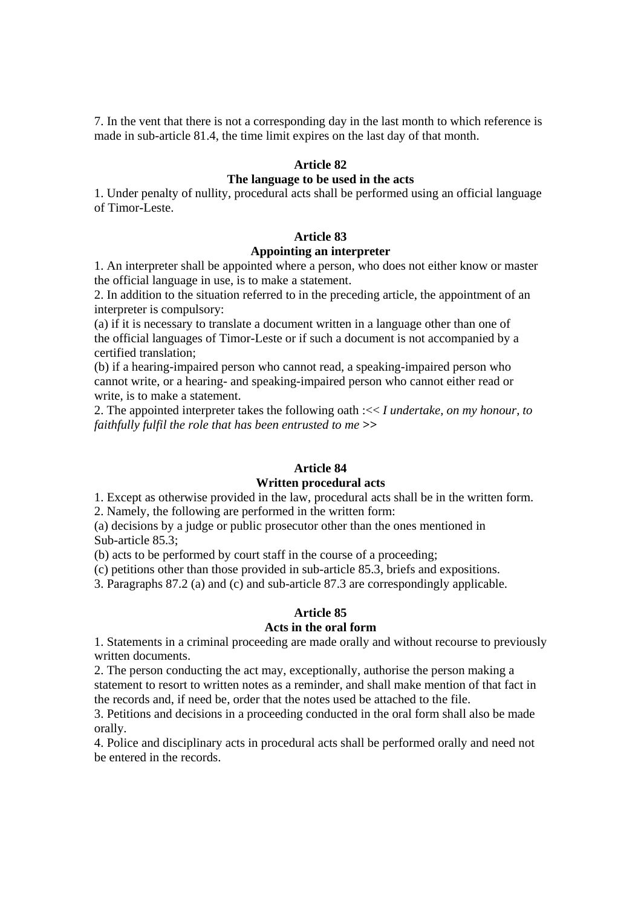7. In the vent that there is not a corresponding day in the last month to which reference is made in sub-article 81.4, the time limit expires on the last day of that month.

#### **Article 82**

#### **The language to be used in the acts**

1. Under penalty of nullity, procedural acts shall be performed using an official language of Timor-Leste.

#### **Article 83**

# **Appointing an interpreter**

1. An interpreter shall be appointed where a person, who does not either know or master the official language in use, is to make a statement.

2. In addition to the situation referred to in the preceding article, the appointment of an interpreter is compulsory:

(a) if it is necessary to translate a document written in a language other than one of the official languages of Timor-Leste or if such a document is not accompanied by a certified translation;

(b) if a hearing-impaired person who cannot read, a speaking-impaired person who cannot write, or a hearing- and speaking-impaired person who cannot either read or write, is to make a statement.

2. The appointed interpreter takes the following oath :<< *I undertake, on my honour, to faithfully fulfil the role that has been entrusted to me >>* 

#### **Article 84**

#### **Written procedural acts**

1. Except as otherwise provided in the law, procedural acts shall be in the written form.

2. Namely, the following are performed in the written form:

(a) decisions by a judge or public prosecutor other than the ones mentioned in Sub-article 85.3;

(b) acts to be performed by court staff in the course of a proceeding;

(c) petitions other than those provided in sub-article 85.3, briefs and expositions.

3. Paragraphs 87.2 (a) and (c) and sub-article 87.3 are correspondingly applicable.

# **Article 85**

# **Acts in the oral form**

1. Statements in a criminal proceeding are made orally and without recourse to previously written documents.

2. The person conducting the act may, exceptionally, authorise the person making a statement to resort to written notes as a reminder, and shall make mention of that fact in the records and, if need be, order that the notes used be attached to the file.

3. Petitions and decisions in a proceeding conducted in the oral form shall also be made orally.

4. Police and disciplinary acts in procedural acts shall be performed orally and need not be entered in the records.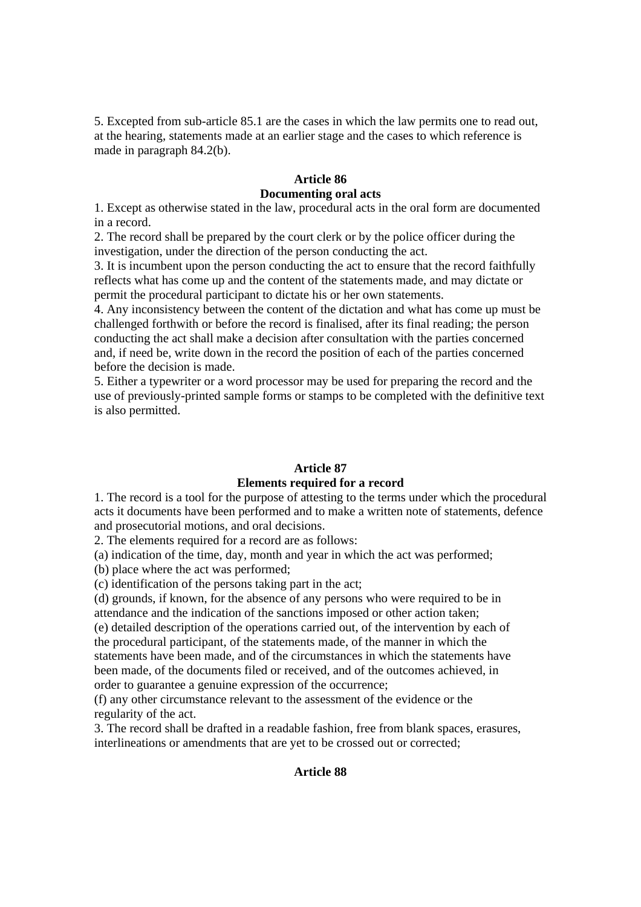5. Excepted from sub-article 85.1 are the cases in which the law permits one to read out, at the hearing, statements made at an earlier stage and the cases to which reference is made in paragraph 84.2(b).

# **Article 86 Documenting oral acts**

1. Except as otherwise stated in the law, procedural acts in the oral form are documented in a record.

2. The record shall be prepared by the court clerk or by the police officer during the investigation, under the direction of the person conducting the act.

3. It is incumbent upon the person conducting the act to ensure that the record faithfully reflects what has come up and the content of the statements made, and may dictate or permit the procedural participant to dictate his or her own statements.

4. Any inconsistency between the content of the dictation and what has come up must be challenged forthwith or before the record is finalised, after its final reading; the person conducting the act shall make a decision after consultation with the parties concerned and, if need be, write down in the record the position of each of the parties concerned before the decision is made.

5. Either a typewriter or a word processor may be used for preparing the record and the use of previously-printed sample forms or stamps to be completed with the definitive text is also permitted.

#### **Article 87**

# **Elements required for a record**

1. The record is a tool for the purpose of attesting to the terms under which the procedural acts it documents have been performed and to make a written note of statements, defence and prosecutorial motions, and oral decisions.

2. The elements required for a record are as follows:

(a) indication of the time, day, month and year in which the act was performed;

(b) place where the act was performed;

(c) identification of the persons taking part in the act;

(d) grounds, if known, for the absence of any persons who were required to be in attendance and the indication of the sanctions imposed or other action taken;

(e) detailed description of the operations carried out, of the intervention by each of the procedural participant, of the statements made, of the manner in which the statements have been made, and of the circumstances in which the statements have been made, of the documents filed or received, and of the outcomes achieved, in order to guarantee a genuine expression of the occurrence;

(f) any other circumstance relevant to the assessment of the evidence or the regularity of the act.

3. The record shall be drafted in a readable fashion, free from blank spaces, erasures, interlineations or amendments that are yet to be crossed out or corrected;

### **Article 88**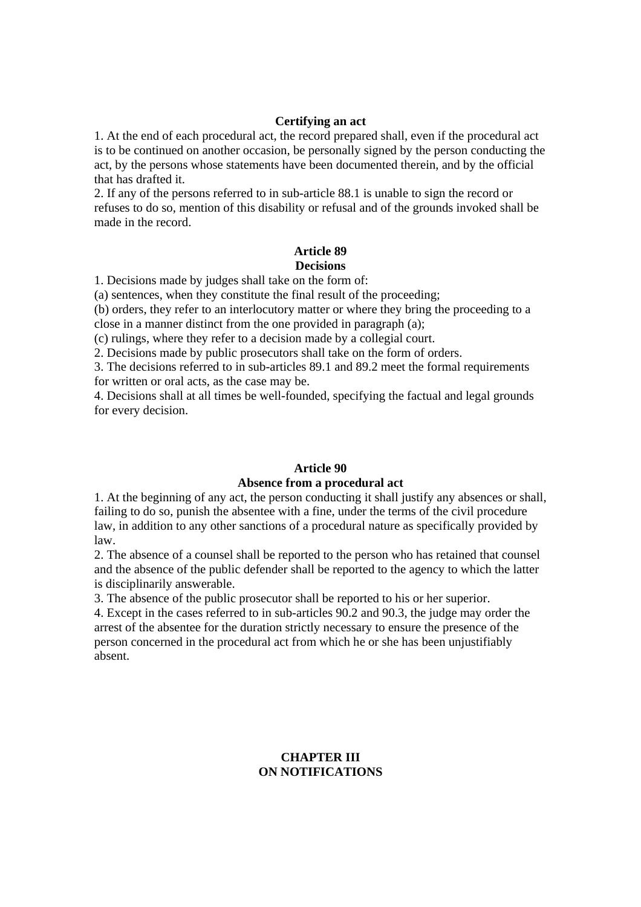#### **Certifying an act**

1. At the end of each procedural act, the record prepared shall, even if the procedural act is to be continued on another occasion, be personally signed by the person conducting the act, by the persons whose statements have been documented therein, and by the official that has drafted it.

2. If any of the persons referred to in sub-article 88.1 is unable to sign the record or refuses to do so, mention of this disability or refusal and of the grounds invoked shall be made in the record.

#### **Article 89 Decisions**

1. Decisions made by judges shall take on the form of:

(a) sentences, when they constitute the final result of the proceeding;

(b) orders, they refer to an interlocutory matter or where they bring the proceeding to a close in a manner distinct from the one provided in paragraph (a);

(c) rulings, where they refer to a decision made by a collegial court.

2. Decisions made by public prosecutors shall take on the form of orders.

3. The decisions referred to in sub-articles 89.1 and 89.2 meet the formal requirements for written or oral acts, as the case may be.

4. Decisions shall at all times be well-founded, specifying the factual and legal grounds for every decision.

#### **Article 90 Absence from a procedural act**

1. At the beginning of any act, the person conducting it shall justify any absences or shall, failing to do so, punish the absentee with a fine, under the terms of the civil procedure law, in addition to any other sanctions of a procedural nature as specifically provided by law.

2. The absence of a counsel shall be reported to the person who has retained that counsel and the absence of the public defender shall be reported to the agency to which the latter is disciplinarily answerable.

3. The absence of the public prosecutor shall be reported to his or her superior.

4. Except in the cases referred to in sub-articles 90.2 and 90.3, the judge may order the arrest of the absentee for the duration strictly necessary to ensure the presence of the person concerned in the procedural act from which he or she has been unjustifiably absent.

# **CHAPTER III ON NOTIFICATIONS**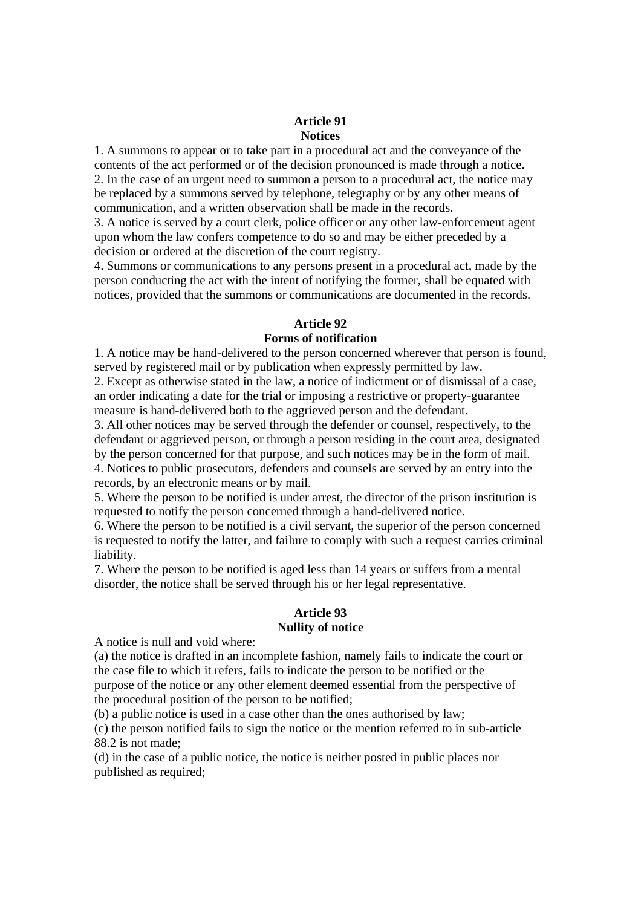#### **Article 91 Notices**

1. A summons to appear or to take part in a procedural act and the conveyance of the contents of the act performed or of the decision pronounced is made through a notice. 2. In the case of an urgent need to summon a person to a procedural act, the notice may be replaced by a summons served by telephone, telegraphy or by any other means of communication, and a written observation shall be made in the records.

3. A notice is served by a court clerk, police officer or any other law-enforcement agent upon whom the law confers competence to do so and may be either preceded by a decision or ordered at the discretion of the court registry.

4. Summons or communications to any persons present in a procedural act, made by the person conducting the act with the intent of notifying the former, shall be equated with notices, provided that the summons or communications are documented in the records.

# **Article 92**

### **Forms of notification**

1. A notice may be hand-delivered to the person concerned wherever that person is found, served by registered mail or by publication when expressly permitted by law.

2. Except as otherwise stated in the law, a notice of indictment or of dismissal of a case, an order indicating a date for the trial or imposing a restrictive or property-guarantee measure is hand-delivered both to the aggrieved person and the defendant.

3. All other notices may be served through the defender or counsel, respectively, to the defendant or aggrieved person, or through a person residing in the court area, designated by the person concerned for that purpose, and such notices may be in the form of mail. 4. Notices to public prosecutors, defenders and counsels are served by an entry into the records, by an electronic means or by mail.

5. Where the person to be notified is under arrest, the director of the prison institution is requested to notify the person concerned through a hand-delivered notice.

6. Where the person to be notified is a civil servant, the superior of the person concerned is requested to notify the latter, and failure to comply with such a request carries criminal liability.

7. Where the person to be notified is aged less than 14 years or suffers from a mental disorder, the notice shall be served through his or her legal representative.

### **Article 93 Nullity of notice**

A notice is null and void where:

(a) the notice is drafted in an incomplete fashion, namely fails to indicate the court or the case file to which it refers, fails to indicate the person to be notified or the purpose of the notice or any other element deemed essential from the perspective of the procedural position of the person to be notified;

(b) a public notice is used in a case other than the ones authorised by law;

(c) the person notified fails to sign the notice or the mention referred to in sub-article 88.2 is not made;

(d) in the case of a public notice, the notice is neither posted in public places nor published as required;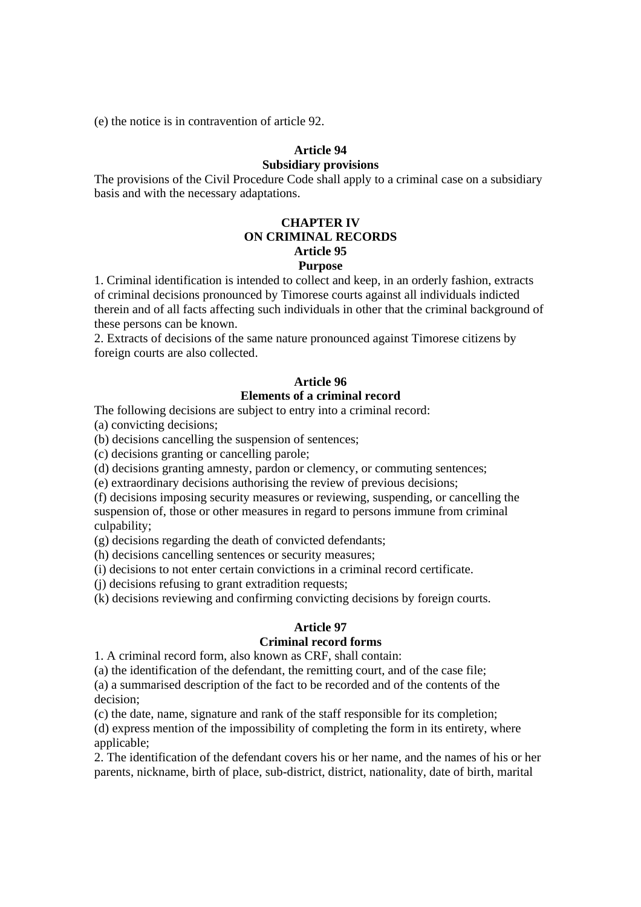(e) the notice is in contravention of article 92.

# **Article 94**

#### **Subsidiary provisions**

The provisions of the Civil Procedure Code shall apply to a criminal case on a subsidiary basis and with the necessary adaptations.

# **CHAPTER IV ON CRIMINAL RECORDS Article 95**

# **Purpose**

1. Criminal identification is intended to collect and keep, in an orderly fashion, extracts of criminal decisions pronounced by Timorese courts against all individuals indicted therein and of all facts affecting such individuals in other that the criminal background of these persons can be known.

2. Extracts of decisions of the same nature pronounced against Timorese citizens by foreign courts are also collected.

# **Article 96**

# **Elements of a criminal record**

The following decisions are subject to entry into a criminal record:

(a) convicting decisions;

(b) decisions cancelling the suspension of sentences;

(c) decisions granting or cancelling parole;

(d) decisions granting amnesty, pardon or clemency, or commuting sentences;

(e) extraordinary decisions authorising the review of previous decisions;

(f) decisions imposing security measures or reviewing, suspending, or cancelling the suspension of, those or other measures in regard to persons immune from criminal culpability;

(g) decisions regarding the death of convicted defendants;

(h) decisions cancelling sentences or security measures;

(i) decisions to not enter certain convictions in a criminal record certificate.

(j) decisions refusing to grant extradition requests;

(k) decisions reviewing and confirming convicting decisions by foreign courts.

# **Article 97**

### **Criminal record forms**

1. A criminal record form, also known as CRF, shall contain:

(a) the identification of the defendant, the remitting court, and of the case file; (a) a summarised description of the fact to be recorded and of the contents of the decision;

(c) the date, name, signature and rank of the staff responsible for its completion; (d) express mention of the impossibility of completing the form in its entirety, where applicable:

2. The identification of the defendant covers his or her name, and the names of his or her parents, nickname, birth of place, sub-district, district, nationality, date of birth, marital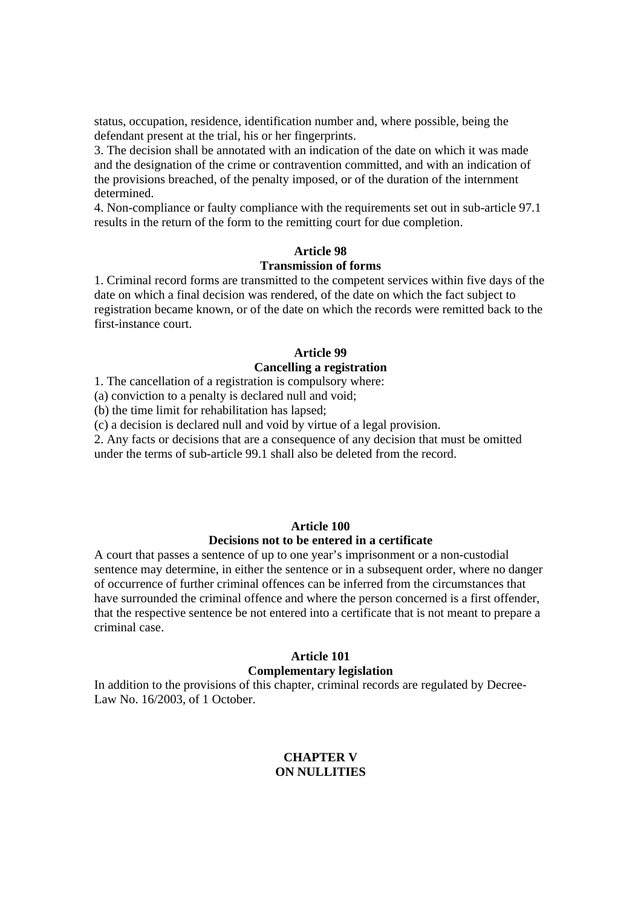status, occupation, residence, identification number and, where possible, being the defendant present at the trial, his or her fingerprints.

3. The decision shall be annotated with an indication of the date on which it was made and the designation of the crime or contravention committed, and with an indication of the provisions breached, of the penalty imposed, or of the duration of the internment determined.

4. Non-compliance or faulty compliance with the requirements set out in sub-article 97.1 results in the return of the form to the remitting court for due completion.

#### **Article 98**

### **Transmission of forms**

1. Criminal record forms are transmitted to the competent services within five days of the date on which a final decision was rendered, of the date on which the fact subject to registration became known, or of the date on which the records were remitted back to the first-instance court.

# **Article 99**

### **Cancelling a registration**

1. The cancellation of a registration is compulsory where:

(a) conviction to a penalty is declared null and void;

(b) the time limit for rehabilitation has lapsed;

(c) a decision is declared null and void by virtue of a legal provision.

2. Any facts or decisions that are a consequence of any decision that must be omitted under the terms of sub-article 99.1 shall also be deleted from the record.

# **Article 100 Decisions not to be entered in a certificate**

A court that passes a sentence of up to one year's imprisonment or a non-custodial sentence may determine, in either the sentence or in a subsequent order, where no danger of occurrence of further criminal offences can be inferred from the circumstances that have surrounded the criminal offence and where the person concerned is a first offender, that the respective sentence be not entered into a certificate that is not meant to prepare a criminal case.

#### **Article 101**

#### **Complementary legislation**

In addition to the provisions of this chapter, criminal records are regulated by Decree-Law No. 16/2003, of 1 October.

### **CHAPTER V ON NULLITIES**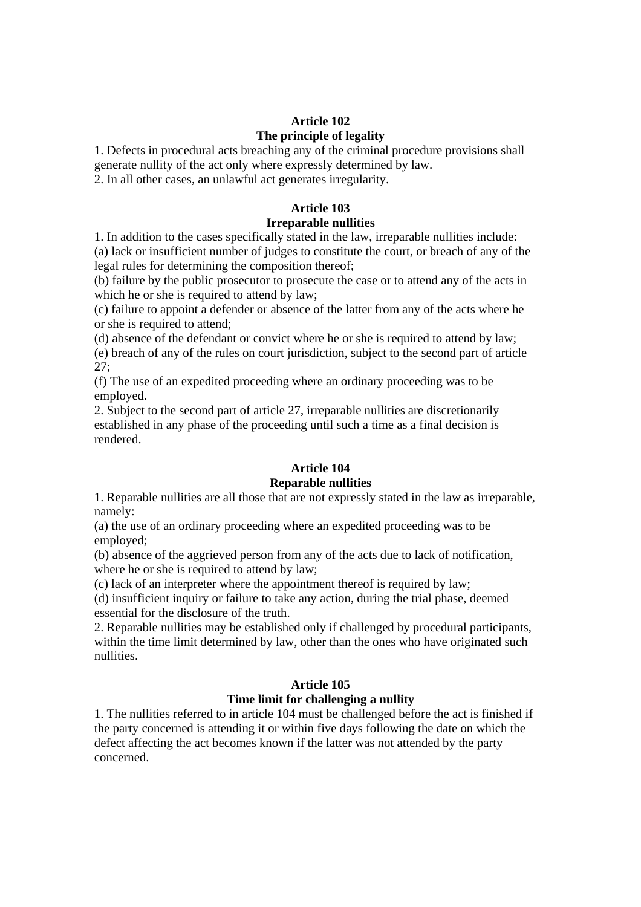# **Article 102 The principle of legality**

1. Defects in procedural acts breaching any of the criminal procedure provisions shall generate nullity of the act only where expressly determined by law.

2. In all other cases, an unlawful act generates irregularity.

# **Article 103**

# **Irreparable nullities**

1. In addition to the cases specifically stated in the law, irreparable nullities include: (a) lack or insufficient number of judges to constitute the court, or breach of any of the legal rules for determining the composition thereof;

(b) failure by the public prosecutor to prosecute the case or to attend any of the acts in which he or she is required to attend by law;

(c) failure to appoint a defender or absence of the latter from any of the acts where he or she is required to attend;

(d) absence of the defendant or convict where he or she is required to attend by law; (e) breach of any of the rules on court jurisdiction, subject to the second part of article 27;

(f) The use of an expedited proceeding where an ordinary proceeding was to be employed.

2. Subject to the second part of article 27, irreparable nullities are discretionarily established in any phase of the proceeding until such a time as a final decision is rendered.

# **Article 104**

# **Reparable nullities**

1. Reparable nullities are all those that are not expressly stated in the law as irreparable, namely:

(a) the use of an ordinary proceeding where an expedited proceeding was to be employed;

(b) absence of the aggrieved person from any of the acts due to lack of notification, where he or she is required to attend by law;

(c) lack of an interpreter where the appointment thereof is required by law;

(d) insufficient inquiry or failure to take any action, during the trial phase, deemed essential for the disclosure of the truth.

2. Reparable nullities may be established only if challenged by procedural participants, within the time limit determined by law, other than the ones who have originated such nullities.

# **Article 105**

# **Time limit for challenging a nullity**

1. The nullities referred to in article 104 must be challenged before the act is finished if the party concerned is attending it or within five days following the date on which the defect affecting the act becomes known if the latter was not attended by the party concerned.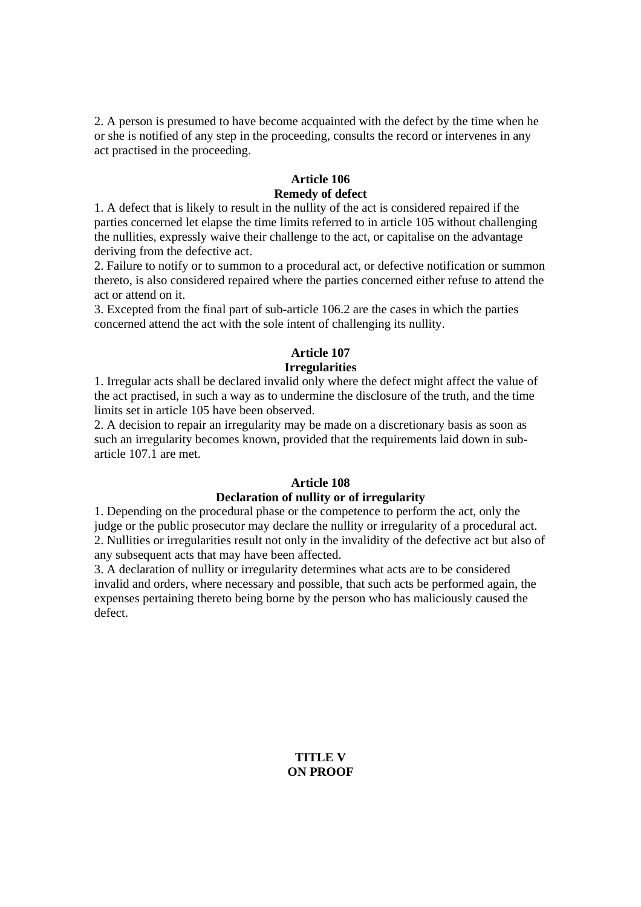2. A person is presumed to have become acquainted with the defect by the time when he or she is notified of any step in the proceeding, consults the record or intervenes in any act practised in the proceeding.

# **Article 106 Remedy of defect**

1. A defect that is likely to result in the nullity of the act is considered repaired if the parties concerned let elapse the time limits referred to in article 105 without challenging the nullities, expressly waive their challenge to the act, or capitalise on the advantage deriving from the defective act.

2. Failure to notify or to summon to a procedural act, or defective notification or summon thereto, is also considered repaired where the parties concerned either refuse to attend the act or attend on it.

3. Excepted from the final part of sub-article 106.2 are the cases in which the parties concerned attend the act with the sole intent of challenging its nullity.

# **Article 107 Irregularities**

1. Irregular acts shall be declared invalid only where the defect might affect the value of the act practised, in such a way as to undermine the disclosure of the truth, and the time limits set in article 105 have been observed.

2. A decision to repair an irregularity may be made on a discretionary basis as soon as such an irregularity becomes known, provided that the requirements laid down in subarticle 107.1 are met.

# **Article 108**

#### **Declaration of nullity or of irregularity**

1. Depending on the procedural phase or the competence to perform the act, only the judge or the public prosecutor may declare the nullity or irregularity of a procedural act. 2. Nullities or irregularities result not only in the invalidity of the defective act but also of any subsequent acts that may have been affected.

3. A declaration of nullity or irregularity determines what acts are to be considered invalid and orders, where necessary and possible, that such acts be performed again, the expenses pertaining thereto being borne by the person who has maliciously caused the defect.

> **TITLE V ON PROOF**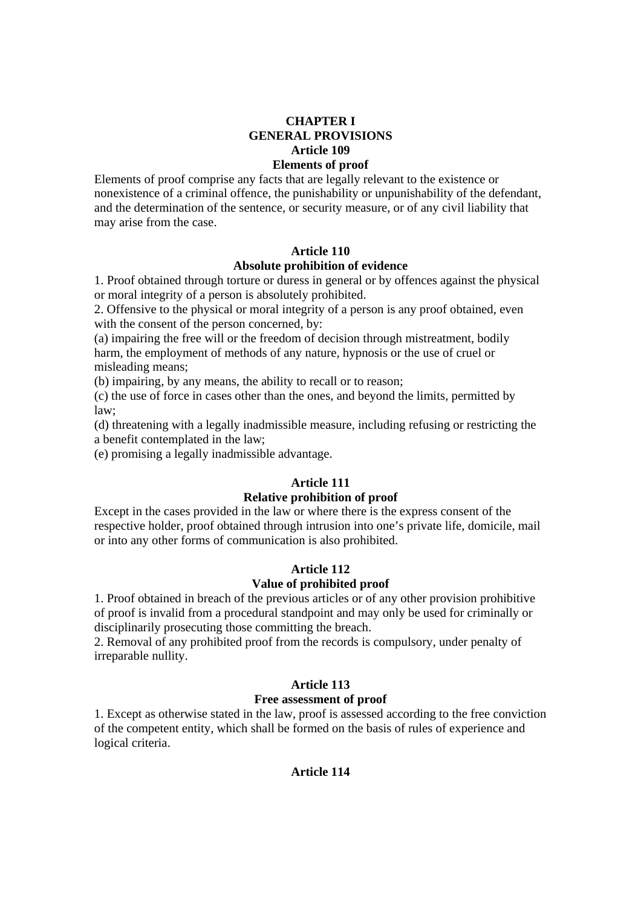### **CHAPTER I GENERAL PROVISIONS Article 109 Elements of proof**

Elements of proof comprise any facts that are legally relevant to the existence or nonexistence of a criminal offence, the punishability or unpunishability of the defendant, and the determination of the sentence, or security measure, or of any civil liability that may arise from the case.

# **Article 110**

### **Absolute prohibition of evidence**

1. Proof obtained through torture or duress in general or by offences against the physical or moral integrity of a person is absolutely prohibited.

2. Offensive to the physical or moral integrity of a person is any proof obtained, even with the consent of the person concerned, by:

(a) impairing the free will or the freedom of decision through mistreatment, bodily harm, the employment of methods of any nature, hypnosis or the use of cruel or misleading means;

(b) impairing, by any means, the ability to recall or to reason;

(c) the use of force in cases other than the ones, and beyond the limits, permitted by law;

(d) threatening with a legally inadmissible measure, including refusing or restricting the a benefit contemplated in the law;

(e) promising a legally inadmissible advantage.

### **Article 111**

# **Relative prohibition of proof**

Except in the cases provided in the law or where there is the express consent of the respective holder, proof obtained through intrusion into one's private life, domicile, mail or into any other forms of communication is also prohibited.

### **Article 112 Value of prohibited proof**

1. Proof obtained in breach of the previous articles or of any other provision prohibitive

of proof is invalid from a procedural standpoint and may only be used for criminally or disciplinarily prosecuting those committing the breach.

2. Removal of any prohibited proof from the records is compulsory, under penalty of irreparable nullity.

### **Article 113**

#### **Free assessment of proof**

1. Except as otherwise stated in the law, proof is assessed according to the free conviction of the competent entity, which shall be formed on the basis of rules of experience and logical criteria.

#### **Article 114**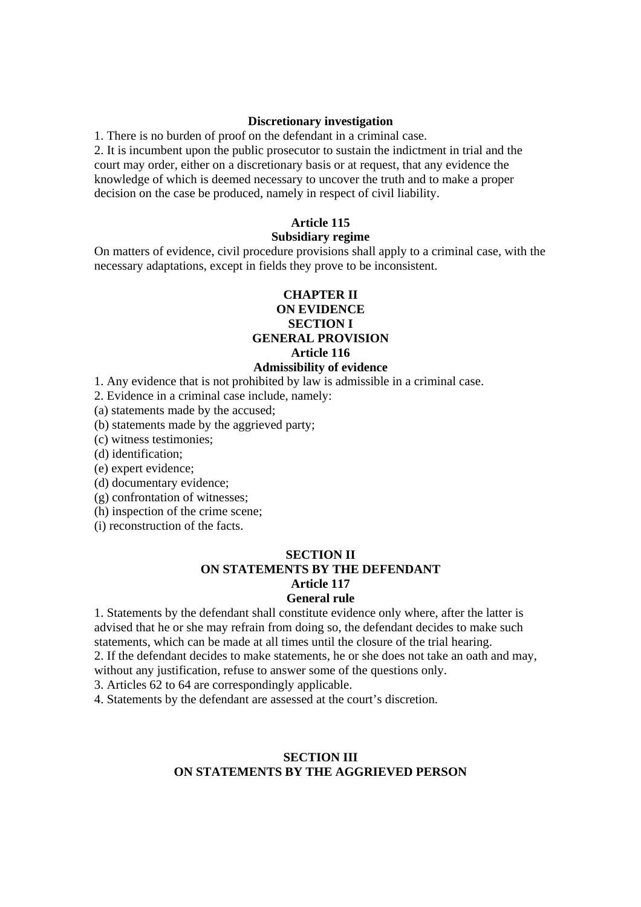#### **Discretionary investigation**

1. There is no burden of proof on the defendant in a criminal case.

2. It is incumbent upon the public prosecutor to sustain the indictment in trial and the court may order, either on a discretionary basis or at request, that any evidence the knowledge of which is deemed necessary to uncover the truth and to make a proper decision on the case be produced, namely in respect of civil liability.

### **Article 115**

#### **Subsidiary regime**

On matters of evidence, civil procedure provisions shall apply to a criminal case, with the necessary adaptations, except in fields they prove to be inconsistent.

# **CHAPTER II ON EVIDENCE SECTION I**

# **GENERAL PROVISION**

**Article 116** 

# **Admissibility of evidence**

1. Any evidence that is not prohibited by law is admissible in a criminal case.

2. Evidence in a criminal case include, namely:

(a) statements made by the accused;

(b) statements made by the aggrieved party;

(c) witness testimonies;

(d) identification;

(e) expert evidence;

(d) documentary evidence;

(g) confrontation of witnesses;

(h) inspection of the crime scene;

(i) reconstruction of the facts.

#### **SECTION II ON STATEMENTS BY THE DEFENDANT Article 117 General rule**

1. Statements by the defendant shall constitute evidence only where, after the latter is advised that he or she may refrain from doing so, the defendant decides to make such statements, which can be made at all times until the closure of the trial hearing.

2. If the defendant decides to make statements, he or she does not take an oath and may, without any justification, refuse to answer some of the questions only.

3. Articles 62 to 64 are correspondingly applicable.

4. Statements by the defendant are assessed at the court's discretion.

### **SECTION III ON STATEMENTS BY THE AGGRIEVED PERSON**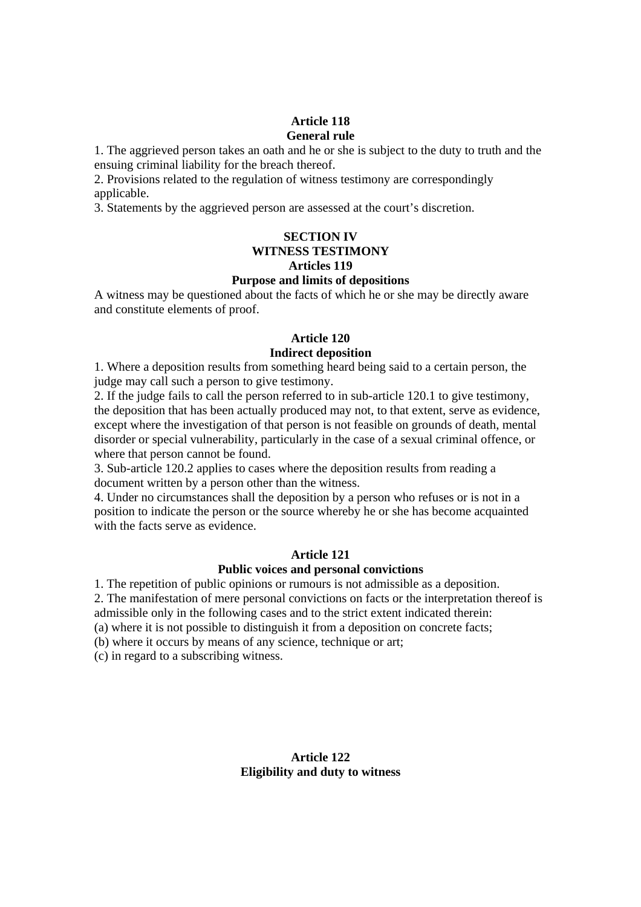### **Article 118 General rule**

1. The aggrieved person takes an oath and he or she is subject to the duty to truth and the ensuing criminal liability for the breach thereof.

2. Provisions related to the regulation of witness testimony are correspondingly applicable.

3. Statements by the aggrieved person are assessed at the court's discretion.

### **SECTION IV WITNESS TESTIMONY Articles 119 Purpose and limits of depositions**

A witness may be questioned about the facts of which he or she may be directly aware and constitute elements of proof.

#### **Article 120 Indirect deposition**

1. Where a deposition results from something heard being said to a certain person, the judge may call such a person to give testimony.

2. If the judge fails to call the person referred to in sub-article 120.1 to give testimony, the deposition that has been actually produced may not, to that extent, serve as evidence, except where the investigation of that person is not feasible on grounds of death, mental disorder or special vulnerability, particularly in the case of a sexual criminal offence, or where that person cannot be found.

3. Sub-article 120.2 applies to cases where the deposition results from reading a document written by a person other than the witness.

4. Under no circumstances shall the deposition by a person who refuses or is not in a position to indicate the person or the source whereby he or she has become acquainted with the facts serve as evidence.

# **Article 121**

# **Public voices and personal convictions**

1. The repetition of public opinions or rumours is not admissible as a deposition.

2. The manifestation of mere personal convictions on facts or the interpretation thereof is admissible only in the following cases and to the strict extent indicated therein:

(a) where it is not possible to distinguish it from a deposition on concrete facts;

(b) where it occurs by means of any science, technique or art;

(c) in regard to a subscribing witness.

# **Article 122 Eligibility and duty to witness**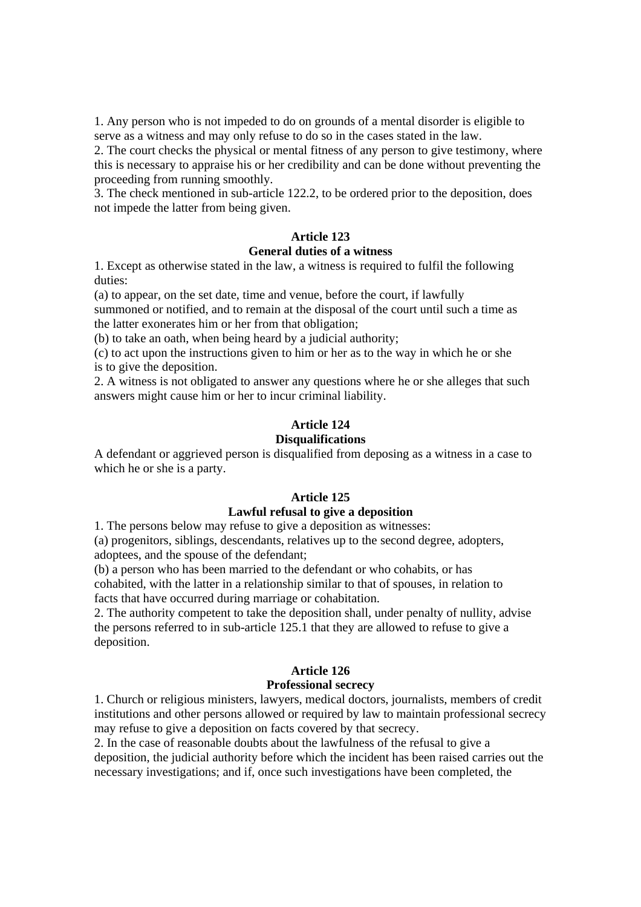1. Any person who is not impeded to do on grounds of a mental disorder is eligible to serve as a witness and may only refuse to do so in the cases stated in the law.

2. The court checks the physical or mental fitness of any person to give testimony, where this is necessary to appraise his or her credibility and can be done without preventing the proceeding from running smoothly.

3. The check mentioned in sub-article 122.2, to be ordered prior to the deposition, does not impede the latter from being given.

#### **Article 123 General duties of a witness**

1. Except as otherwise stated in the law, a witness is required to fulfil the following duties:

(a) to appear, on the set date, time and venue, before the court, if lawfully summoned or notified, and to remain at the disposal of the court until such a time as the latter exonerates him or her from that obligation;

(b) to take an oath, when being heard by a judicial authority;

(c) to act upon the instructions given to him or her as to the way in which he or she is to give the deposition.

2. A witness is not obligated to answer any questions where he or she alleges that such answers might cause him or her to incur criminal liability.

# **Article 124**

### **Disqualifications**

A defendant or aggrieved person is disqualified from deposing as a witness in a case to which he or she is a party.

# **Article 125**

# **Lawful refusal to give a deposition**

1. The persons below may refuse to give a deposition as witnesses:

(a) progenitors, siblings, descendants, relatives up to the second degree, adopters, adoptees, and the spouse of the defendant;

(b) a person who has been married to the defendant or who cohabits, or has cohabited, with the latter in a relationship similar to that of spouses, in relation to facts that have occurred during marriage or cohabitation.

2. The authority competent to take the deposition shall, under penalty of nullity, advise the persons referred to in sub-article 125.1 that they are allowed to refuse to give a deposition.

# **Article 126**

# **Professional secrecy**

1. Church or religious ministers, lawyers, medical doctors, journalists, members of credit institutions and other persons allowed or required by law to maintain professional secrecy may refuse to give a deposition on facts covered by that secrecy.

2. In the case of reasonable doubts about the lawfulness of the refusal to give a deposition, the judicial authority before which the incident has been raised carries out the necessary investigations; and if, once such investigations have been completed, the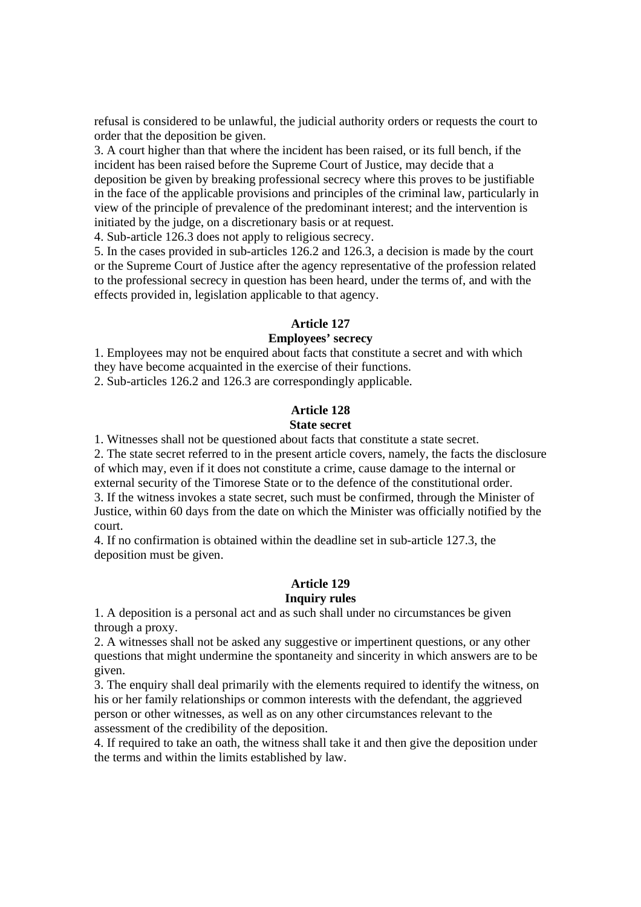refusal is considered to be unlawful, the judicial authority orders or requests the court to order that the deposition be given.

3. A court higher than that where the incident has been raised, or its full bench, if the incident has been raised before the Supreme Court of Justice, may decide that a deposition be given by breaking professional secrecy where this proves to be justifiable in the face of the applicable provisions and principles of the criminal law, particularly in view of the principle of prevalence of the predominant interest; and the intervention is initiated by the judge, on a discretionary basis or at request.

4. Sub-article 126.3 does not apply to religious secrecy.

5. In the cases provided in sub-articles 126.2 and 126.3, a decision is made by the court or the Supreme Court of Justice after the agency representative of the profession related to the professional secrecy in question has been heard, under the terms of, and with the effects provided in, legislation applicable to that agency.

### **Article 127**

#### **Employees' secrecy**

1. Employees may not be enquired about facts that constitute a secret and with which they have become acquainted in the exercise of their functions. 2. Sub-articles 126.2 and 126.3 are correspondingly applicable.

#### **Article 128**

### **State secret**

1. Witnesses shall not be questioned about facts that constitute a state secret.

2. The state secret referred to in the present article covers, namely, the facts the disclosure of which may, even if it does not constitute a crime, cause damage to the internal or external security of the Timorese State or to the defence of the constitutional order.

3. If the witness invokes a state secret, such must be confirmed, through the Minister of Justice, within 60 days from the date on which the Minister was officially notified by the court.

4. If no confirmation is obtained within the deadline set in sub-article 127.3, the deposition must be given.

#### **Article 129 Inquiry rules**

1. A deposition is a personal act and as such shall under no circumstances be given through a proxy.

2. A witnesses shall not be asked any suggestive or impertinent questions, or any other questions that might undermine the spontaneity and sincerity in which answers are to be given.

3. The enquiry shall deal primarily with the elements required to identify the witness, on his or her family relationships or common interests with the defendant, the aggrieved person or other witnesses, as well as on any other circumstances relevant to the assessment of the credibility of the deposition.

4. If required to take an oath, the witness shall take it and then give the deposition under the terms and within the limits established by law.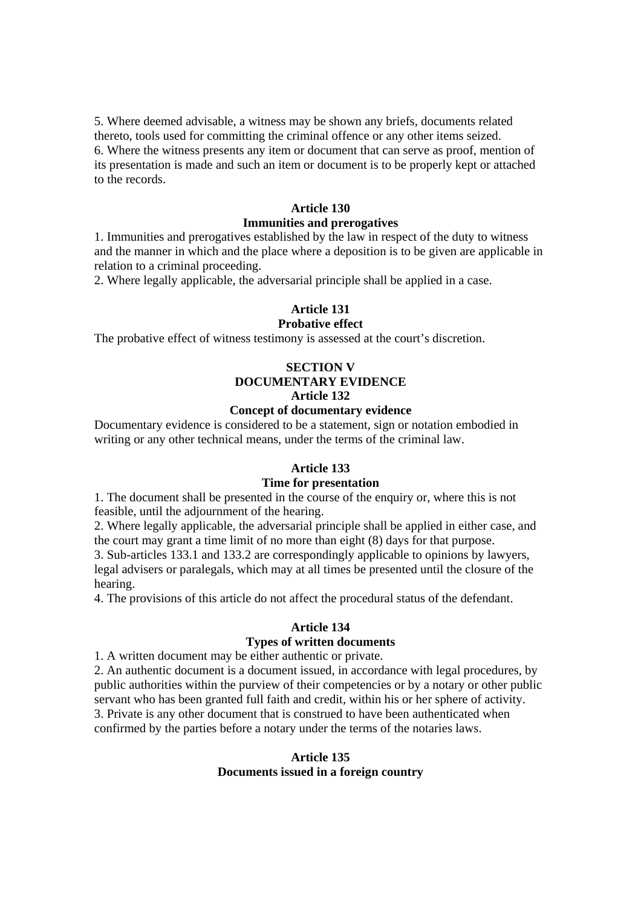5. Where deemed advisable, a witness may be shown any briefs, documents related thereto, tools used for committing the criminal offence or any other items seized. 6. Where the witness presents any item or document that can serve as proof, mention of its presentation is made and such an item or document is to be properly kept or attached to the records.

#### **Article 130**

#### **Immunities and prerogatives**

1. Immunities and prerogatives established by the law in respect of the duty to witness and the manner in which and the place where a deposition is to be given are applicable in relation to a criminal proceeding.

2. Where legally applicable, the adversarial principle shall be applied in a case.

# **Article 131**

# **Probative effect**

The probative effect of witness testimony is assessed at the court's discretion.

# **SECTION V DOCUMENTARY EVIDENCE Article 132**

# **Concept of documentary evidence**

Documentary evidence is considered to be a statement, sign or notation embodied in writing or any other technical means, under the terms of the criminal law.

#### **Article 133**

#### **Time for presentation**

1. The document shall be presented in the course of the enquiry or, where this is not feasible, until the adjournment of the hearing.

2. Where legally applicable, the adversarial principle shall be applied in either case, and the court may grant a time limit of no more than eight (8) days for that purpose.

3. Sub-articles 133.1 and 133.2 are correspondingly applicable to opinions by lawyers, legal advisers or paralegals, which may at all times be presented until the closure of the hearing.

4. The provisions of this article do not affect the procedural status of the defendant.

## **Article 134**

# **Types of written documents**

1. A written document may be either authentic or private.

2. An authentic document is a document issued, in accordance with legal procedures, by public authorities within the purview of their competencies or by a notary or other public servant who has been granted full faith and credit, within his or her sphere of activity. 3. Private is any other document that is construed to have been authenticated when confirmed by the parties before a notary under the terms of the notaries laws.

## **Article 135 Documents issued in a foreign country**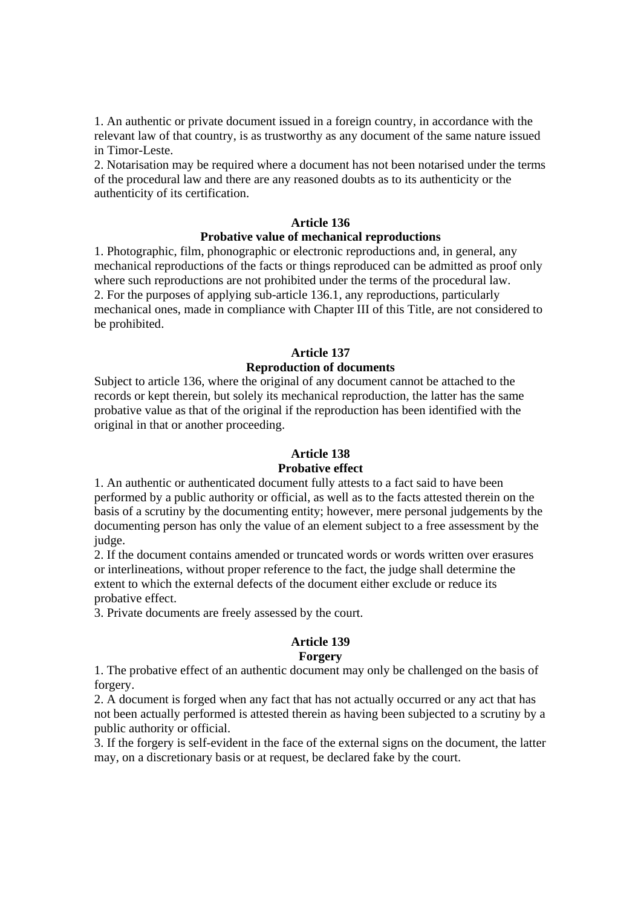1. An authentic or private document issued in a foreign country, in accordance with the relevant law of that country, is as trustworthy as any document of the same nature issued in Timor-Leste.

2. Notarisation may be required where a document has not been notarised under the terms of the procedural law and there are any reasoned doubts as to its authenticity or the authenticity of its certification.

#### **Article 136**

#### **Probative value of mechanical reproductions**

1. Photographic, film, phonographic or electronic reproductions and, in general, any mechanical reproductions of the facts or things reproduced can be admitted as proof only where such reproductions are not prohibited under the terms of the procedural law. 2. For the purposes of applying sub-article 136.1, any reproductions, particularly mechanical ones, made in compliance with Chapter III of this Title, are not considered to be prohibited.

#### **Article 137**

#### **Reproduction of documents**

Subject to article 136, where the original of any document cannot be attached to the records or kept therein, but solely its mechanical reproduction, the latter has the same probative value as that of the original if the reproduction has been identified with the original in that or another proceeding.

#### **Article 138**

#### **Probative effect**

1. An authentic or authenticated document fully attests to a fact said to have been performed by a public authority or official, as well as to the facts attested therein on the basis of a scrutiny by the documenting entity; however, mere personal judgements by the documenting person has only the value of an element subject to a free assessment by the judge.

2. If the document contains amended or truncated words or words written over erasures or interlineations, without proper reference to the fact, the judge shall determine the extent to which the external defects of the document either exclude or reduce its probative effect.

3. Private documents are freely assessed by the court.

#### **Article 139**

#### **Forgery**

1. The probative effect of an authentic document may only be challenged on the basis of forgery.

2. A document is forged when any fact that has not actually occurred or any act that has not been actually performed is attested therein as having been subjected to a scrutiny by a public authority or official.

3. If the forgery is self-evident in the face of the external signs on the document, the latter may, on a discretionary basis or at request, be declared fake by the court.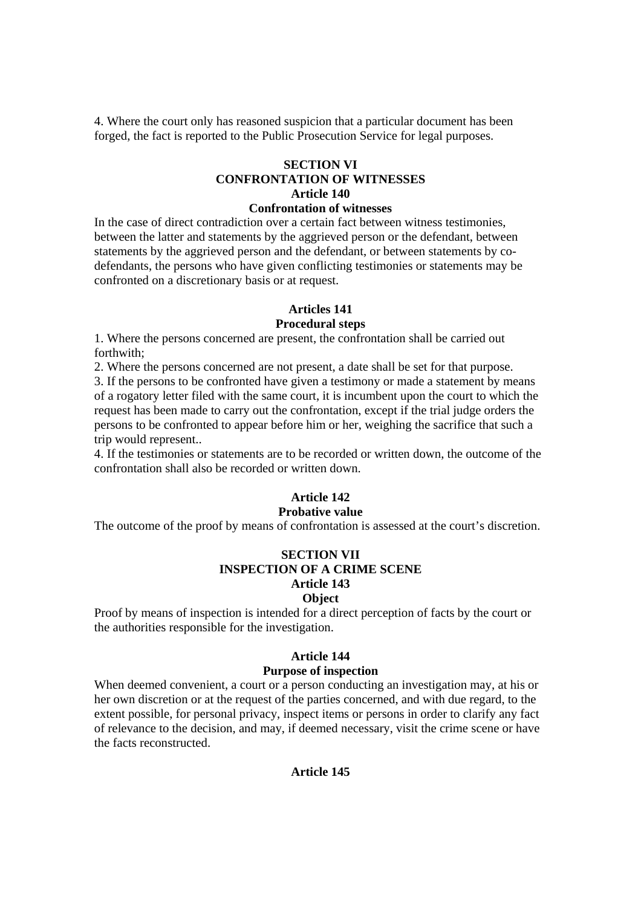4. Where the court only has reasoned suspicion that a particular document has been forged, the fact is reported to the Public Prosecution Service for legal purposes.

# **SECTION VI CONFRONTATION OF WITNESSES Article 140**

# **Confrontation of witnesses**

In the case of direct contradiction over a certain fact between witness testimonies, between the latter and statements by the aggrieved person or the defendant, between statements by the aggrieved person and the defendant, or between statements by codefendants, the persons who have given conflicting testimonies or statements may be confronted on a discretionary basis or at request.

## **Articles 141**

## **Procedural steps**

1. Where the persons concerned are present, the confrontation shall be carried out forthwith;

2. Where the persons concerned are not present, a date shall be set for that purpose.

3. If the persons to be confronted have given a testimony or made a statement by means of a rogatory letter filed with the same court, it is incumbent upon the court to which the request has been made to carry out the confrontation, except if the trial judge orders the persons to be confronted to appear before him or her, weighing the sacrifice that such a trip would represent..

4. If the testimonies or statements are to be recorded or written down, the outcome of the confrontation shall also be recorded or written down.

# **Article 142**

# **Probative value**

The outcome of the proof by means of confrontation is assessed at the court's discretion.

## **SECTION VII INSPECTION OF A CRIME SCENE Article 143 Object**

Proof by means of inspection is intended for a direct perception of facts by the court or the authorities responsible for the investigation.

#### **Article 144**

## **Purpose of inspection**

When deemed convenient, a court or a person conducting an investigation may, at his or her own discretion or at the request of the parties concerned, and with due regard, to the extent possible, for personal privacy, inspect items or persons in order to clarify any fact of relevance to the decision, and may, if deemed necessary, visit the crime scene or have the facts reconstructed.

#### **Article 145**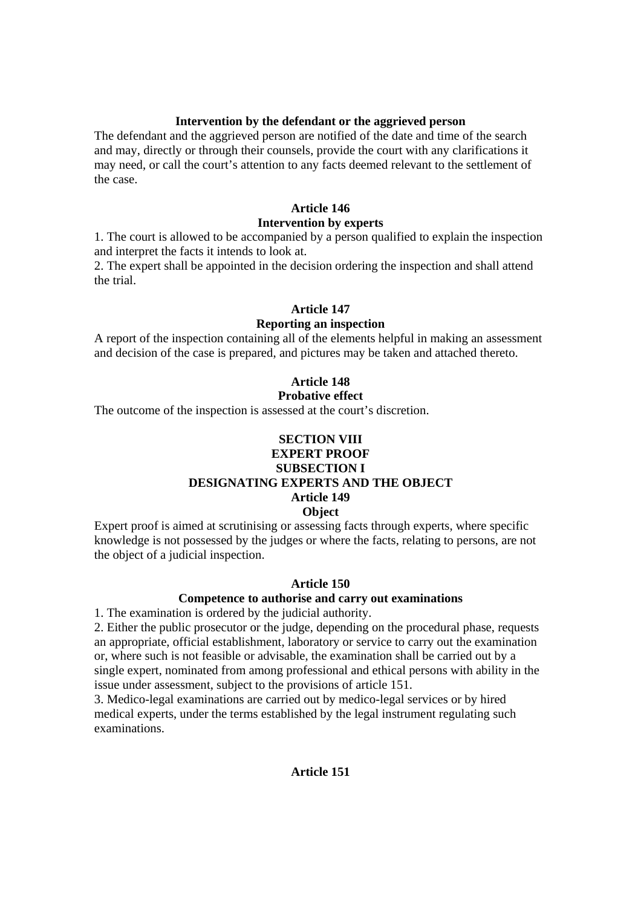## **Intervention by the defendant or the aggrieved person**

The defendant and the aggrieved person are notified of the date and time of the search and may, directly or through their counsels, provide the court with any clarifications it may need, or call the court's attention to any facts deemed relevant to the settlement of the case.

## **Article 146**

#### **Intervention by experts**

1. The court is allowed to be accompanied by a person qualified to explain the inspection and interpret the facts it intends to look at.

2. The expert shall be appointed in the decision ordering the inspection and shall attend the trial.

## **Article 147**

## **Reporting an inspection**

A report of the inspection containing all of the elements helpful in making an assessment and decision of the case is prepared, and pictures may be taken and attached thereto.

# **Article 148**

#### **Probative effect**

The outcome of the inspection is assessed at the court's discretion.

#### **SECTION VIII EXPERT PROOF**

# **SUBSECTION I**

# **DESIGNATING EXPERTS AND THE OBJECT**

# **Article 149**

# **Object**

Expert proof is aimed at scrutinising or assessing facts through experts, where specific knowledge is not possessed by the judges or where the facts, relating to persons, are not the object of a judicial inspection.

#### **Article 150**

#### **Competence to authorise and carry out examinations**

1. The examination is ordered by the judicial authority.

2. Either the public prosecutor or the judge, depending on the procedural phase, requests an appropriate, official establishment, laboratory or service to carry out the examination or, where such is not feasible or advisable, the examination shall be carried out by a single expert, nominated from among professional and ethical persons with ability in the issue under assessment, subject to the provisions of article 151.

3. Medico-legal examinations are carried out by medico-legal services or by hired medical experts, under the terms established by the legal instrument regulating such examinations.

## **Article 151**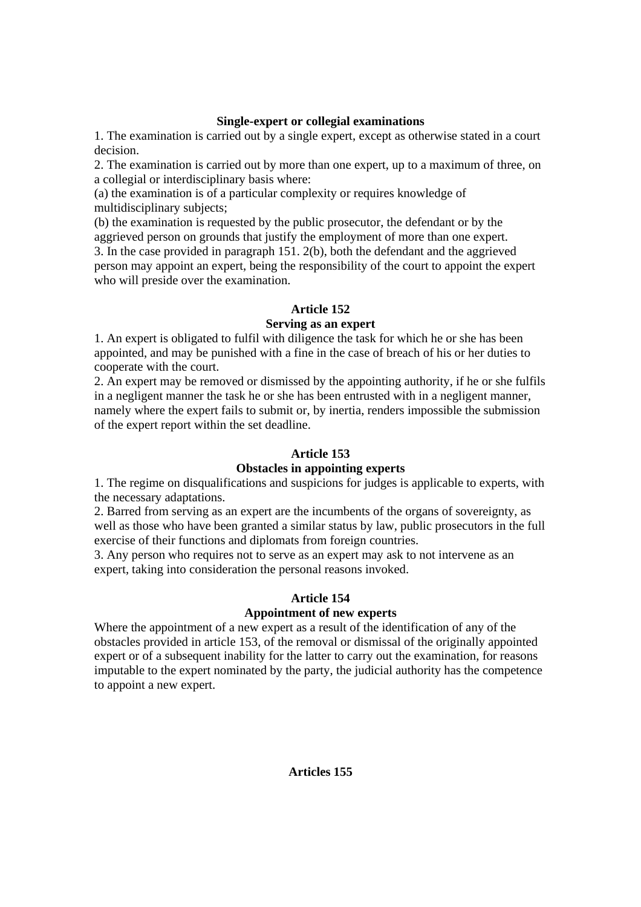# **Single-expert or collegial examinations**

1. The examination is carried out by a single expert, except as otherwise stated in a court decision.

2. The examination is carried out by more than one expert, up to a maximum of three, on a collegial or interdisciplinary basis where:

(a) the examination is of a particular complexity or requires knowledge of multidisciplinary subjects;

(b) the examination is requested by the public prosecutor, the defendant or by the aggrieved person on grounds that justify the employment of more than one expert. 3. In the case provided in paragraph 151. 2(b), both the defendant and the aggrieved person may appoint an expert, being the responsibility of the court to appoint the expert who will preside over the examination.

# **Article 152**

# **Serving as an expert**

1. An expert is obligated to fulfil with diligence the task for which he or she has been appointed, and may be punished with a fine in the case of breach of his or her duties to cooperate with the court.

2. An expert may be removed or dismissed by the appointing authority, if he or she fulfils in a negligent manner the task he or she has been entrusted with in a negligent manner, namely where the expert fails to submit or, by inertia, renders impossible the submission of the expert report within the set deadline.

# **Article 153**

# **Obstacles in appointing experts**

1. The regime on disqualifications and suspicions for judges is applicable to experts, with the necessary adaptations.

2. Barred from serving as an expert are the incumbents of the organs of sovereignty, as well as those who have been granted a similar status by law, public prosecutors in the full exercise of their functions and diplomats from foreign countries.

3. Any person who requires not to serve as an expert may ask to not intervene as an expert, taking into consideration the personal reasons invoked.

# **Article 154**

# **Appointment of new experts**

Where the appointment of a new expert as a result of the identification of any of the obstacles provided in article 153, of the removal or dismissal of the originally appointed expert or of a subsequent inability for the latter to carry out the examination, for reasons imputable to the expert nominated by the party, the judicial authority has the competence to appoint a new expert.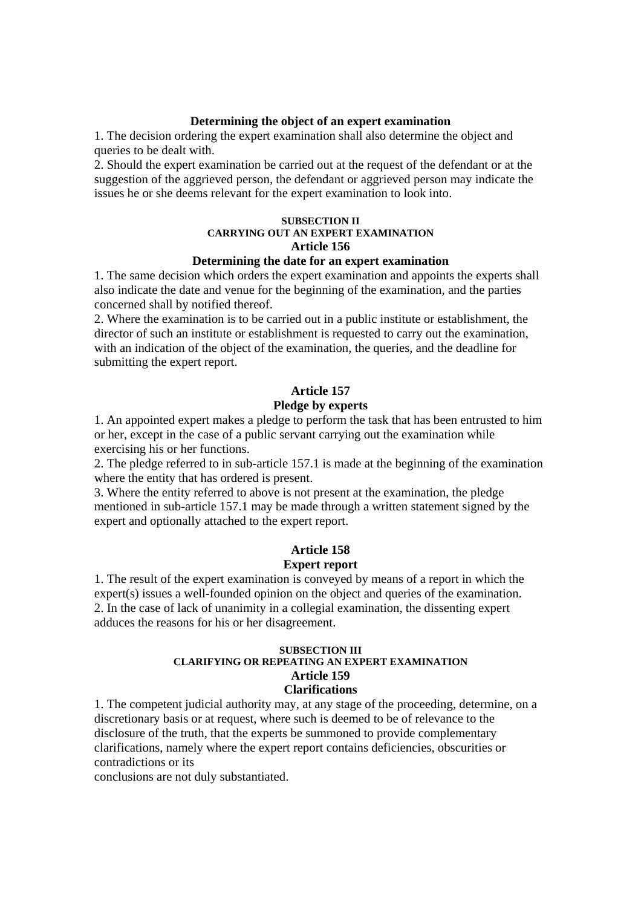#### **Determining the object of an expert examination**

1. The decision ordering the expert examination shall also determine the object and queries to be dealt with.

2. Should the expert examination be carried out at the request of the defendant or at the suggestion of the aggrieved person, the defendant or aggrieved person may indicate the issues he or she deems relevant for the expert examination to look into.

## **SUBSECTION II CARRYING OUT AN EXPERT EXAMINATION Article 156**

# **Determining the date for an expert examination**

1. The same decision which orders the expert examination and appoints the experts shall also indicate the date and venue for the beginning of the examination, and the parties concerned shall by notified thereof.

2. Where the examination is to be carried out in a public institute or establishment, the director of such an institute or establishment is requested to carry out the examination, with an indication of the object of the examination, the queries, and the deadline for submitting the expert report.

# **Article 157**

#### **Pledge by experts**

1. An appointed expert makes a pledge to perform the task that has been entrusted to him or her, except in the case of a public servant carrying out the examination while exercising his or her functions.

2. The pledge referred to in sub-article 157.1 is made at the beginning of the examination where the entity that has ordered is present.

3. Where the entity referred to above is not present at the examination, the pledge mentioned in sub-article 157.1 may be made through a written statement signed by the expert and optionally attached to the expert report.

# **Article 158 Expert report**

1. The result of the expert examination is conveyed by means of a report in which the expert(s) issues a well-founded opinion on the object and queries of the examination. 2. In the case of lack of unanimity in a collegial examination, the dissenting expert adduces the reasons for his or her disagreement.

#### **SUBSECTION III CLARIFYING OR REPEATING AN EXPERT EXAMINATION Article 159 Clarifications**

1. The competent judicial authority may, at any stage of the proceeding, determine, on a discretionary basis or at request, where such is deemed to be of relevance to the disclosure of the truth, that the experts be summoned to provide complementary clarifications, namely where the expert report contains deficiencies, obscurities or contradictions or its

conclusions are not duly substantiated.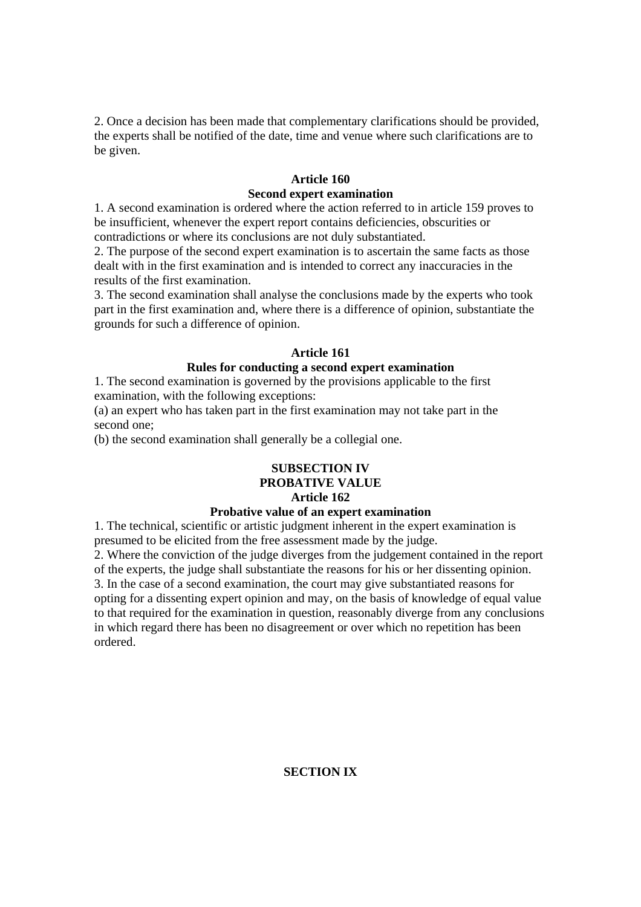2. Once a decision has been made that complementary clarifications should be provided, the experts shall be notified of the date, time and venue where such clarifications are to be given.

## **Article 160**

## **Second expert examination**

1. A second examination is ordered where the action referred to in article 159 proves to be insufficient, whenever the expert report contains deficiencies, obscurities or contradictions or where its conclusions are not duly substantiated.

2. The purpose of the second expert examination is to ascertain the same facts as those dealt with in the first examination and is intended to correct any inaccuracies in the results of the first examination.

3. The second examination shall analyse the conclusions made by the experts who took part in the first examination and, where there is a difference of opinion, substantiate the grounds for such a difference of opinion.

# **Article 161**

## **Rules for conducting a second expert examination**

1. The second examination is governed by the provisions applicable to the first examination, with the following exceptions:

(a) an expert who has taken part in the first examination may not take part in the second one;

(b) the second examination shall generally be a collegial one.

# **SUBSECTION IV**

# **PROBATIVE VALUE**

# **Article 162**

# **Probative value of an expert examination**

1. The technical, scientific or artistic judgment inherent in the expert examination is presumed to be elicited from the free assessment made by the judge.

2. Where the conviction of the judge diverges from the judgement contained in the report of the experts, the judge shall substantiate the reasons for his or her dissenting opinion. 3. In the case of a second examination, the court may give substantiated reasons for opting for a dissenting expert opinion and may, on the basis of knowledge of equal value to that required for the examination in question, reasonably diverge from any conclusions in which regard there has been no disagreement or over which no repetition has been ordered.

# **SECTION IX**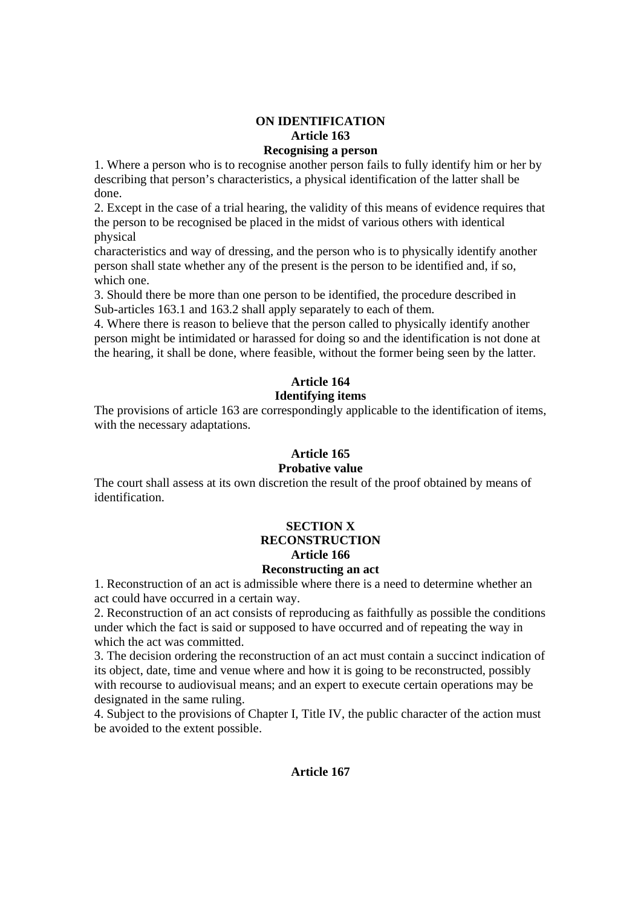# **ON IDENTIFICATION Article 163**

**Recognising a person** 

1. Where a person who is to recognise another person fails to fully identify him or her by describing that person's characteristics, a physical identification of the latter shall be done.

2. Except in the case of a trial hearing, the validity of this means of evidence requires that the person to be recognised be placed in the midst of various others with identical physical

characteristics and way of dressing, and the person who is to physically identify another person shall state whether any of the present is the person to be identified and, if so, which one.

3. Should there be more than one person to be identified, the procedure described in Sub-articles 163.1 and 163.2 shall apply separately to each of them.

4. Where there is reason to believe that the person called to physically identify another person might be intimidated or harassed for doing so and the identification is not done at the hearing, it shall be done, where feasible, without the former being seen by the latter.

# **Article 164**

# **Identifying items**

The provisions of article 163 are correspondingly applicable to the identification of items, with the necessary adaptations.

# **Article 165**

# **Probative value**

The court shall assess at its own discretion the result of the proof obtained by means of identification.

# **SECTION X RECONSTRUCTION Article 166**

# **Reconstructing an act**

1. Reconstruction of an act is admissible where there is a need to determine whether an act could have occurred in a certain way.

2. Reconstruction of an act consists of reproducing as faithfully as possible the conditions under which the fact is said or supposed to have occurred and of repeating the way in which the act was committed.

3. The decision ordering the reconstruction of an act must contain a succinct indication of its object, date, time and venue where and how it is going to be reconstructed, possibly with recourse to audiovisual means; and an expert to execute certain operations may be designated in the same ruling.

4. Subject to the provisions of Chapter I, Title IV, the public character of the action must be avoided to the extent possible.

# **Article 167**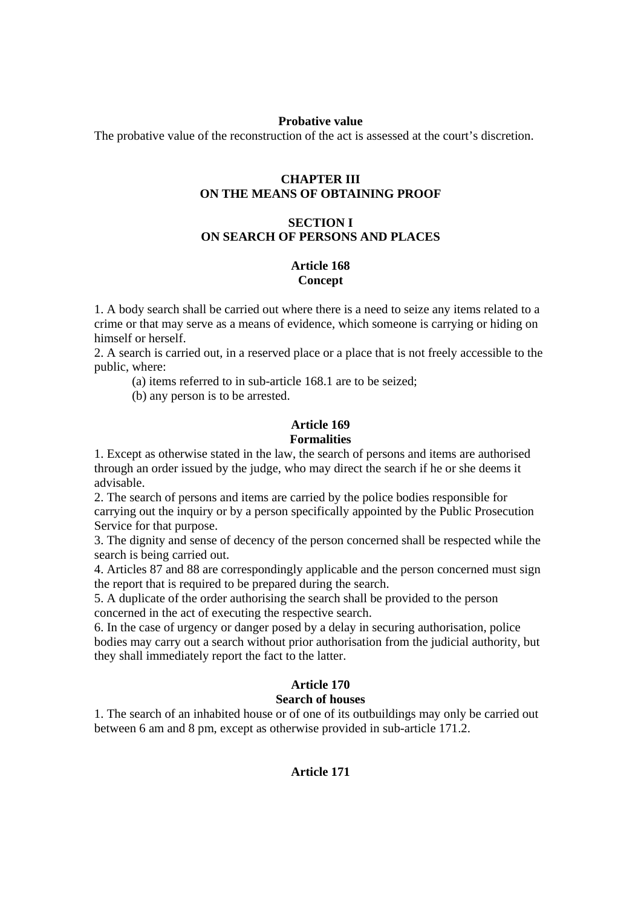#### **Probative value**

The probative value of the reconstruction of the act is assessed at the court's discretion.

## **CHAPTER III ON THE MEANS OF OBTAINING PROOF**

# **SECTION I ON SEARCH OF PERSONS AND PLACES**

## **Article 168 Concept**

1. A body search shall be carried out where there is a need to seize any items related to a crime or that may serve as a means of evidence, which someone is carrying or hiding on himself or herself.

2. A search is carried out, in a reserved place or a place that is not freely accessible to the public, where:

(a) items referred to in sub-article 168.1 are to be seized;

(b) any person is to be arrested.

#### **Article 169 Formalities**

1. Except as otherwise stated in the law, the search of persons and items are authorised through an order issued by the judge, who may direct the search if he or she deems it advisable.

2. The search of persons and items are carried by the police bodies responsible for carrying out the inquiry or by a person specifically appointed by the Public Prosecution Service for that purpose.

3. The dignity and sense of decency of the person concerned shall be respected while the search is being carried out.

4. Articles 87 and 88 are correspondingly applicable and the person concerned must sign the report that is required to be prepared during the search.

5. A duplicate of the order authorising the search shall be provided to the person concerned in the act of executing the respective search.

6. In the case of urgency or danger posed by a delay in securing authorisation, police bodies may carry out a search without prior authorisation from the judicial authority, but they shall immediately report the fact to the latter.

#### **Article 170 Search of houses**

1. The search of an inhabited house or of one of its outbuildings may only be carried out between 6 am and 8 pm, except as otherwise provided in sub-article 171.2.

#### **Article 171**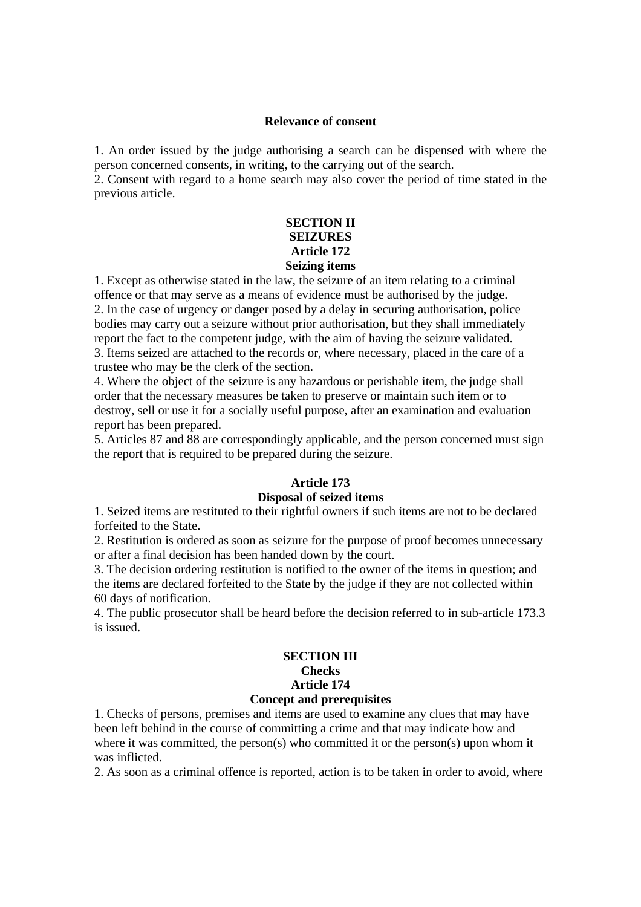#### **Relevance of consent**

1. An order issued by the judge authorising a search can be dispensed with where the person concerned consents, in writing, to the carrying out of the search.

2. Consent with regard to a home search may also cover the period of time stated in the previous article.

## **SECTION II SEIZURES Article 172 Seizing items**

1. Except as otherwise stated in the law, the seizure of an item relating to a criminal offence or that may serve as a means of evidence must be authorised by the judge. 2. In the case of urgency or danger posed by a delay in securing authorisation, police bodies may carry out a seizure without prior authorisation, but they shall immediately report the fact to the competent judge, with the aim of having the seizure validated. 3. Items seized are attached to the records or, where necessary, placed in the care of a trustee who may be the clerk of the section.

4. Where the object of the seizure is any hazardous or perishable item, the judge shall order that the necessary measures be taken to preserve or maintain such item or to destroy, sell or use it for a socially useful purpose, after an examination and evaluation report has been prepared.

5. Articles 87 and 88 are correspondingly applicable, and the person concerned must sign the report that is required to be prepared during the seizure.

## **Article 173**

#### **Disposal of seized items**

1. Seized items are restituted to their rightful owners if such items are not to be declared forfeited to the State.

2. Restitution is ordered as soon as seizure for the purpose of proof becomes unnecessary or after a final decision has been handed down by the court.

3. The decision ordering restitution is notified to the owner of the items in question; and the items are declared forfeited to the State by the judge if they are not collected within 60 days of notification.

4. The public prosecutor shall be heard before the decision referred to in sub-article 173.3 is issued.

## **SECTION III Checks Article 174 Concept and prerequisites**

1. Checks of persons, premises and items are used to examine any clues that may have been left behind in the course of committing a crime and that may indicate how and where it was committed, the person(s) who committed it or the person(s) upon whom it was inflicted.

2. As soon as a criminal offence is reported, action is to be taken in order to avoid, where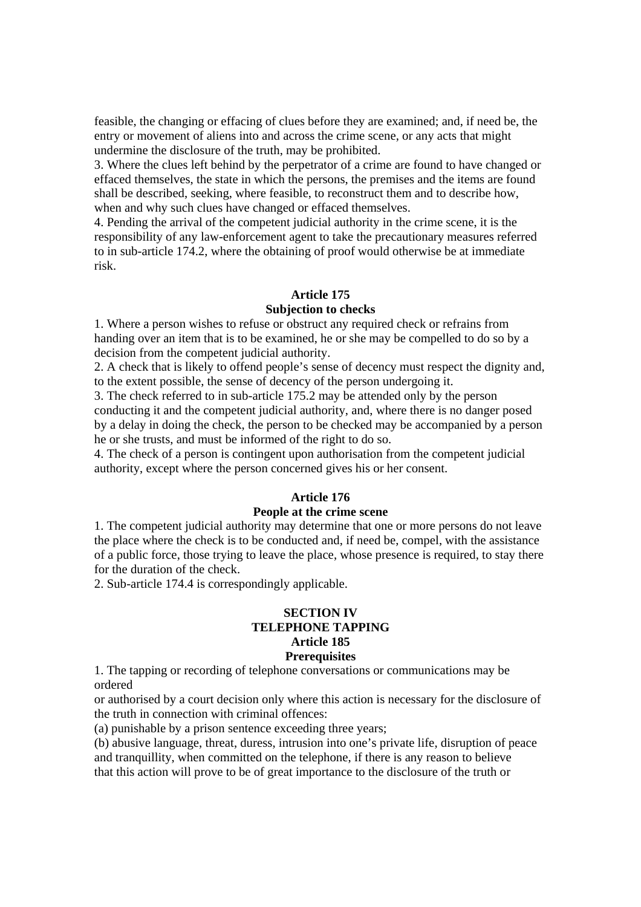feasible, the changing or effacing of clues before they are examined; and, if need be, the entry or movement of aliens into and across the crime scene, or any acts that might undermine the disclosure of the truth, may be prohibited.

3. Where the clues left behind by the perpetrator of a crime are found to have changed or effaced themselves, the state in which the persons, the premises and the items are found shall be described, seeking, where feasible, to reconstruct them and to describe how, when and why such clues have changed or effaced themselves.

4. Pending the arrival of the competent judicial authority in the crime scene, it is the responsibility of any law-enforcement agent to take the precautionary measures referred to in sub-article 174.2, where the obtaining of proof would otherwise be at immediate risk.

#### **Article 175**

#### **Subjection to checks**

1. Where a person wishes to refuse or obstruct any required check or refrains from handing over an item that is to be examined, he or she may be compelled to do so by a decision from the competent judicial authority.

2. A check that is likely to offend people's sense of decency must respect the dignity and, to the extent possible, the sense of decency of the person undergoing it.

3. The check referred to in sub-article 175.2 may be attended only by the person conducting it and the competent judicial authority, and, where there is no danger posed by a delay in doing the check, the person to be checked may be accompanied by a person he or she trusts, and must be informed of the right to do so.

4. The check of a person is contingent upon authorisation from the competent judicial authority, except where the person concerned gives his or her consent.

#### **Article 176**

#### **People at the crime scene**

1. The competent judicial authority may determine that one or more persons do not leave the place where the check is to be conducted and, if need be, compel, with the assistance of a public force, those trying to leave the place, whose presence is required, to stay there for the duration of the check.

2. Sub-article 174.4 is correspondingly applicable.

#### **SECTION IV TELEPHONE TAPPING Article 185 Prerequisites**

1. The tapping or recording of telephone conversations or communications may be ordered

or authorised by a court decision only where this action is necessary for the disclosure of the truth in connection with criminal offences:

(a) punishable by a prison sentence exceeding three years;

(b) abusive language, threat, duress, intrusion into one's private life, disruption of peace and tranquillity, when committed on the telephone, if there is any reason to believe that this action will prove to be of great importance to the disclosure of the truth or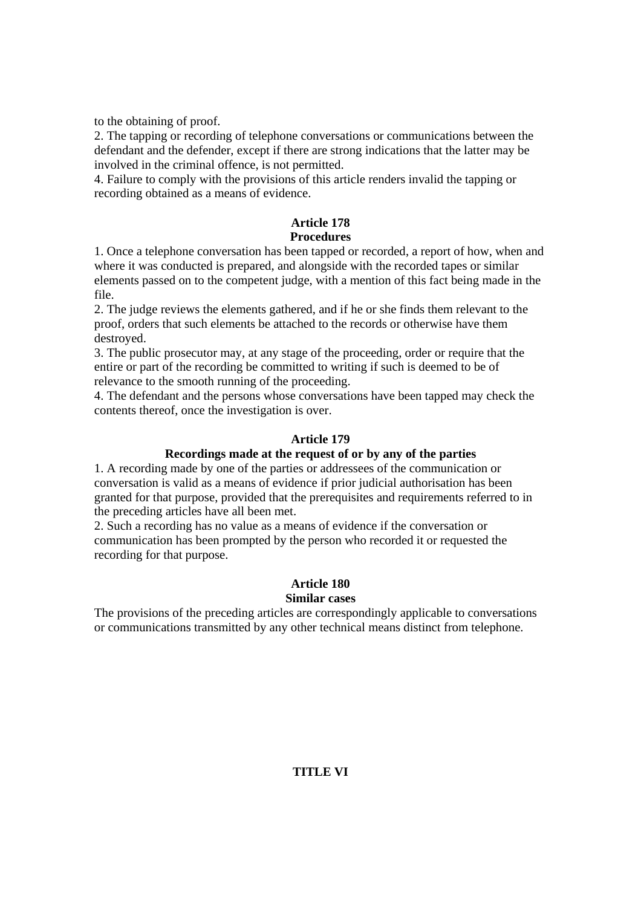to the obtaining of proof.

2. The tapping or recording of telephone conversations or communications between the defendant and the defender, except if there are strong indications that the latter may be involved in the criminal offence, is not permitted.

4. Failure to comply with the provisions of this article renders invalid the tapping or recording obtained as a means of evidence.

#### **Article 178 Procedures**

1. Once a telephone conversation has been tapped or recorded, a report of how, when and where it was conducted is prepared, and alongside with the recorded tapes or similar elements passed on to the competent judge, with a mention of this fact being made in the file.

2. The judge reviews the elements gathered, and if he or she finds them relevant to the proof, orders that such elements be attached to the records or otherwise have them destroyed.

3. The public prosecutor may, at any stage of the proceeding, order or require that the entire or part of the recording be committed to writing if such is deemed to be of relevance to the smooth running of the proceeding.

4. The defendant and the persons whose conversations have been tapped may check the contents thereof, once the investigation is over.

# **Article 179**

# **Recordings made at the request of or by any of the parties**

1. A recording made by one of the parties or addressees of the communication or conversation is valid as a means of evidence if prior judicial authorisation has been granted for that purpose, provided that the prerequisites and requirements referred to in the preceding articles have all been met.

2. Such a recording has no value as a means of evidence if the conversation or communication has been prompted by the person who recorded it or requested the recording for that purpose.

#### **Article 180 Similar cases**

The provisions of the preceding articles are correspondingly applicable to conversations or communications transmitted by any other technical means distinct from telephone.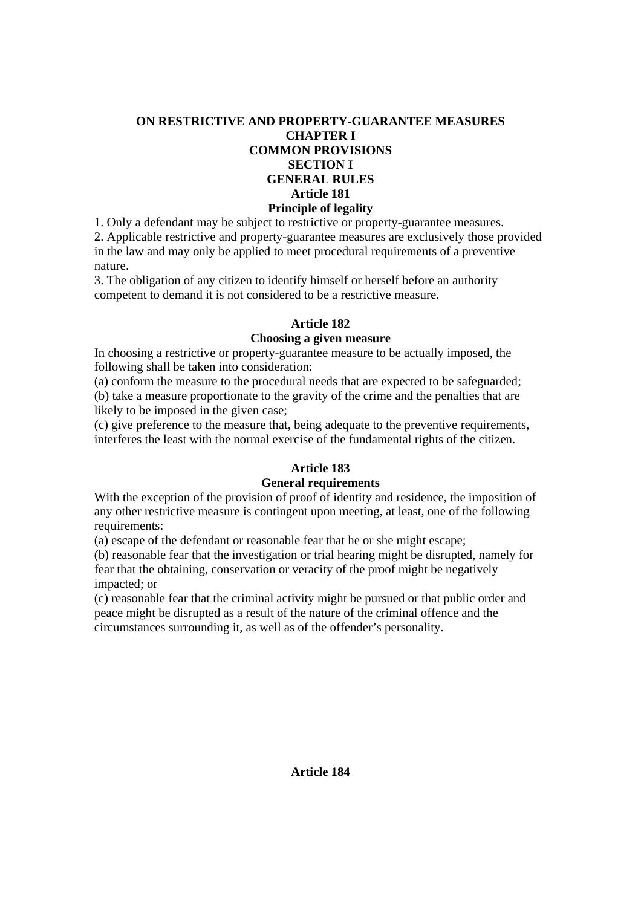# **ON RESTRICTIVE AND PROPERTY-GUARANTEE MEASURES CHAPTER I COMMON PROVISIONS SECTION I GENERAL RULES Article 181 Principle of legality**

1. Only a defendant may be subject to restrictive or property-guarantee measures.

2. Applicable restrictive and property-guarantee measures are exclusively those provided in the law and may only be applied to meet procedural requirements of a preventive nature.

3. The obligation of any citizen to identify himself or herself before an authority competent to demand it is not considered to be a restrictive measure.

# **Article 182**

# **Choosing a given measure**

In choosing a restrictive or property-guarantee measure to be actually imposed, the following shall be taken into consideration:

(a) conform the measure to the procedural needs that are expected to be safeguarded; (b) take a measure proportionate to the gravity of the crime and the penalties that are likely to be imposed in the given case;

(c) give preference to the measure that, being adequate to the preventive requirements, interferes the least with the normal exercise of the fundamental rights of the citizen.

# **Article 183**

# **General requirements**

With the exception of the provision of proof of identity and residence, the imposition of any other restrictive measure is contingent upon meeting, at least, one of the following requirements:

(a) escape of the defendant or reasonable fear that he or she might escape;

(b) reasonable fear that the investigation or trial hearing might be disrupted, namely for fear that the obtaining, conservation or veracity of the proof might be negatively impacted; or

(c) reasonable fear that the criminal activity might be pursued or that public order and peace might be disrupted as a result of the nature of the criminal offence and the circumstances surrounding it, as well as of the offender's personality.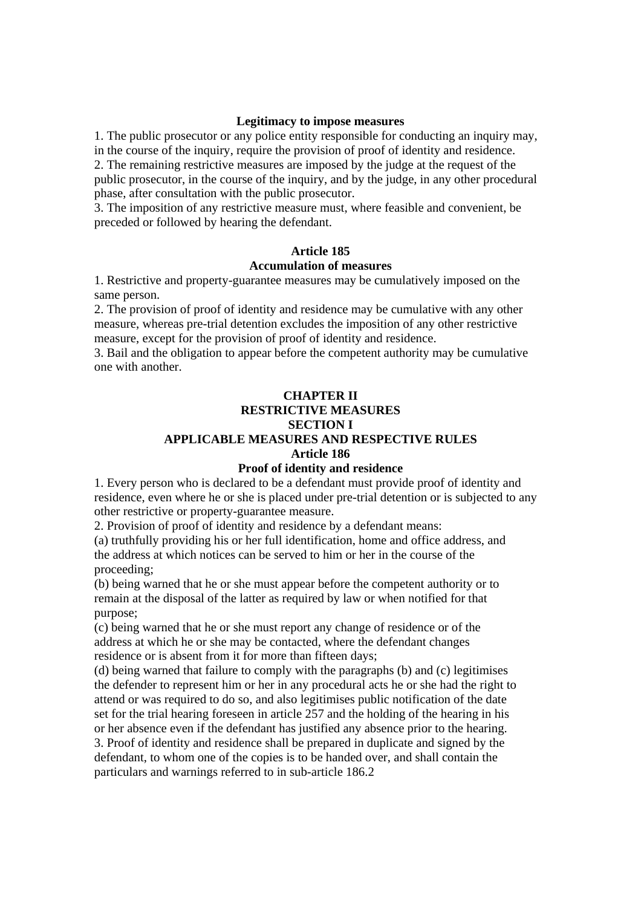#### **Legitimacy to impose measures**

1. The public prosecutor or any police entity responsible for conducting an inquiry may, in the course of the inquiry, require the provision of proof of identity and residence. 2. The remaining restrictive measures are imposed by the judge at the request of the public prosecutor, in the course of the inquiry, and by the judge, in any other procedural phase, after consultation with the public prosecutor.

3. The imposition of any restrictive measure must, where feasible and convenient, be preceded or followed by hearing the defendant.

# **Article 185**

# **Accumulation of measures**

1. Restrictive and property-guarantee measures may be cumulatively imposed on the same person.

2. The provision of proof of identity and residence may be cumulative with any other measure, whereas pre-trial detention excludes the imposition of any other restrictive measure, except for the provision of proof of identity and residence.

3. Bail and the obligation to appear before the competent authority may be cumulative one with another.

# **CHAPTER II RESTRICTIVE MEASURES SECTION I APPLICABLE MEASURES AND RESPECTIVE RULES Article 186**

## **Proof of identity and residence**

1. Every person who is declared to be a defendant must provide proof of identity and residence, even where he or she is placed under pre-trial detention or is subjected to any other restrictive or property-guarantee measure.

2. Provision of proof of identity and residence by a defendant means:

(a) truthfully providing his or her full identification, home and office address, and the address at which notices can be served to him or her in the course of the proceeding;

(b) being warned that he or she must appear before the competent authority or to remain at the disposal of the latter as required by law or when notified for that purpose;

(c) being warned that he or she must report any change of residence or of the address at which he or she may be contacted, where the defendant changes residence or is absent from it for more than fifteen days;

(d) being warned that failure to comply with the paragraphs (b) and (c) legitimises the defender to represent him or her in any procedural acts he or she had the right to attend or was required to do so, and also legitimises public notification of the date set for the trial hearing foreseen in article 257 and the holding of the hearing in his or her absence even if the defendant has justified any absence prior to the hearing.

3. Proof of identity and residence shall be prepared in duplicate and signed by the defendant, to whom one of the copies is to be handed over, and shall contain the particulars and warnings referred to in sub-article 186.2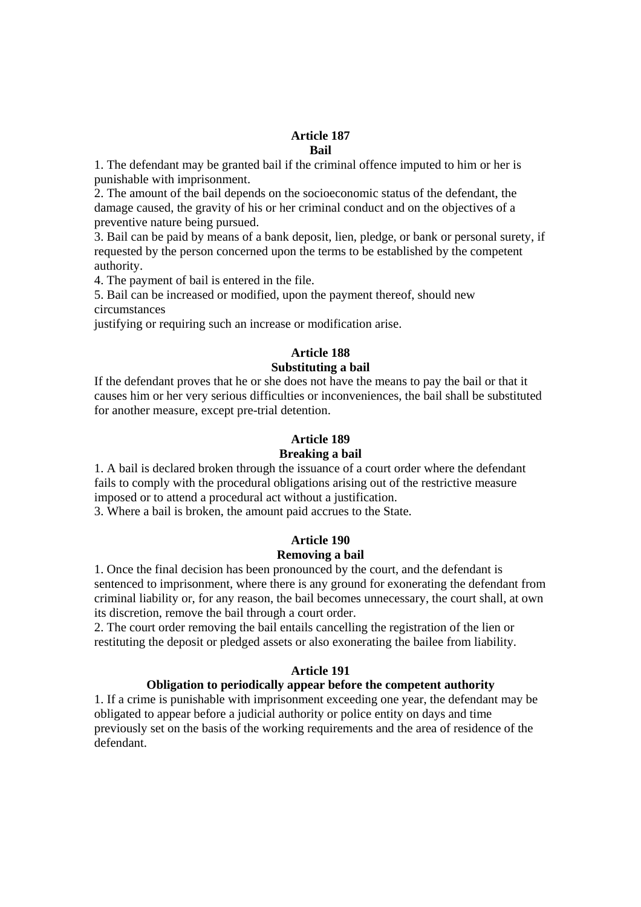#### **Article 187 Bail**

1. The defendant may be granted bail if the criminal offence imputed to him or her is punishable with imprisonment.

2. The amount of the bail depends on the socioeconomic status of the defendant, the damage caused, the gravity of his or her criminal conduct and on the objectives of a preventive nature being pursued.

3. Bail can be paid by means of a bank deposit, lien, pledge, or bank or personal surety, if requested by the person concerned upon the terms to be established by the competent authority.

4. The payment of bail is entered in the file.

5. Bail can be increased or modified, upon the payment thereof, should new circumstances

justifying or requiring such an increase or modification arise.

# **Article 188**

# **Substituting a bail**

If the defendant proves that he or she does not have the means to pay the bail or that it causes him or her very serious difficulties or inconveniences, the bail shall be substituted for another measure, except pre-trial detention.

## **Article 189**

#### **Breaking a bail**

1. A bail is declared broken through the issuance of a court order where the defendant fails to comply with the procedural obligations arising out of the restrictive measure imposed or to attend a procedural act without a justification.

3. Where a bail is broken, the amount paid accrues to the State.

# **Article 190 Removing a bail**

1. Once the final decision has been pronounced by the court, and the defendant is sentenced to imprisonment, where there is any ground for exonerating the defendant from criminal liability or, for any reason, the bail becomes unnecessary, the court shall, at own its discretion, remove the bail through a court order.

2. The court order removing the bail entails cancelling the registration of the lien or restituting the deposit or pledged assets or also exonerating the bailee from liability.

#### **Article 191**

#### **Obligation to periodically appear before the competent authority**

1. If a crime is punishable with imprisonment exceeding one year, the defendant may be obligated to appear before a judicial authority or police entity on days and time previously set on the basis of the working requirements and the area of residence of the defendant.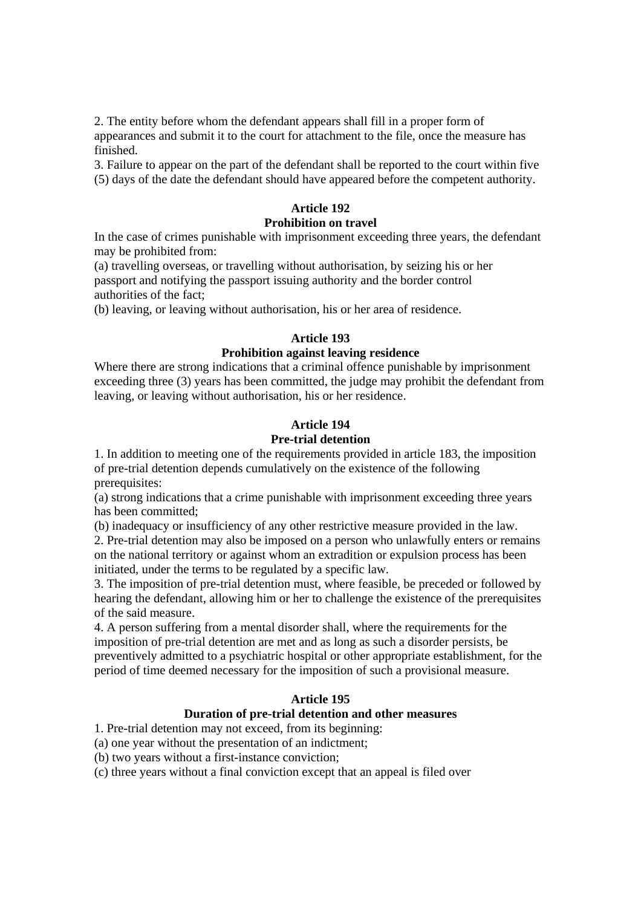2. The entity before whom the defendant appears shall fill in a proper form of appearances and submit it to the court for attachment to the file, once the measure has finished.

3. Failure to appear on the part of the defendant shall be reported to the court within five (5) days of the date the defendant should have appeared before the competent authority.

# **Article 192**

#### **Prohibition on travel**

In the case of crimes punishable with imprisonment exceeding three years, the defendant may be prohibited from:

(a) travelling overseas, or travelling without authorisation, by seizing his or her passport and notifying the passport issuing authority and the border control authorities of the fact;

(b) leaving, or leaving without authorisation, his or her area of residence.

## **Article 193**

## **Prohibition against leaving residence**

Where there are strong indications that a criminal offence punishable by imprisonment exceeding three (3) years has been committed, the judge may prohibit the defendant from leaving, or leaving without authorisation, his or her residence.

# **Article 194**

## **Pre-trial detention**

1. In addition to meeting one of the requirements provided in article 183, the imposition of pre-trial detention depends cumulatively on the existence of the following prerequisites:

(a) strong indications that a crime punishable with imprisonment exceeding three years has been committed;

(b) inadequacy or insufficiency of any other restrictive measure provided in the law.

2. Pre-trial detention may also be imposed on a person who unlawfully enters or remains on the national territory or against whom an extradition or expulsion process has been initiated, under the terms to be regulated by a specific law.

3. The imposition of pre-trial detention must, where feasible, be preceded or followed by hearing the defendant, allowing him or her to challenge the existence of the prerequisites of the said measure.

4. A person suffering from a mental disorder shall, where the requirements for the imposition of pre-trial detention are met and as long as such a disorder persists, be preventively admitted to a psychiatric hospital or other appropriate establishment, for the period of time deemed necessary for the imposition of such a provisional measure.

# **Article 195**

# **Duration of pre-trial detention and other measures**

1. Pre-trial detention may not exceed, from its beginning:

(a) one year without the presentation of an indictment;

(b) two years without a first-instance conviction;

(c) three years without a final conviction except that an appeal is filed over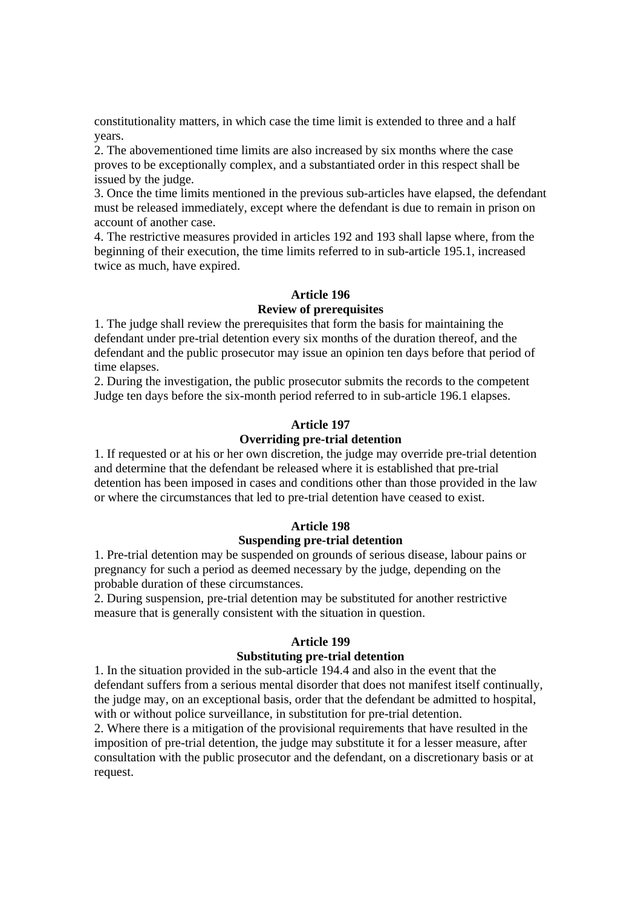constitutionality matters, in which case the time limit is extended to three and a half years.

2. The abovementioned time limits are also increased by six months where the case proves to be exceptionally complex, and a substantiated order in this respect shall be issued by the judge.

3. Once the time limits mentioned in the previous sub-articles have elapsed, the defendant must be released immediately, except where the defendant is due to remain in prison on account of another case.

4. The restrictive measures provided in articles 192 and 193 shall lapse where, from the beginning of their execution, the time limits referred to in sub-article 195.1, increased twice as much, have expired.

#### **Article 196**

## **Review of prerequisites**

1. The judge shall review the prerequisites that form the basis for maintaining the defendant under pre-trial detention every six months of the duration thereof, and the defendant and the public prosecutor may issue an opinion ten days before that period of time elapses.

2. During the investigation, the public prosecutor submits the records to the competent Judge ten days before the six-month period referred to in sub-article 196.1 elapses.

#### **Article 197**

# **Overriding pre-trial detention**

1. If requested or at his or her own discretion, the judge may override pre-trial detention and determine that the defendant be released where it is established that pre-trial detention has been imposed in cases and conditions other than those provided in the law or where the circumstances that led to pre-trial detention have ceased to exist.

#### **Article 198**

#### **Suspending pre-trial detention**

1. Pre-trial detention may be suspended on grounds of serious disease, labour pains or pregnancy for such a period as deemed necessary by the judge, depending on the probable duration of these circumstances.

2. During suspension, pre-trial detention may be substituted for another restrictive measure that is generally consistent with the situation in question.

#### **Article 199**

#### **Substituting pre-trial detention**

1. In the situation provided in the sub-article 194.4 and also in the event that the defendant suffers from a serious mental disorder that does not manifest itself continually, the judge may, on an exceptional basis, order that the defendant be admitted to hospital, with or without police surveillance, in substitution for pre-trial detention.

2. Where there is a mitigation of the provisional requirements that have resulted in the imposition of pre-trial detention, the judge may substitute it for a lesser measure, after consultation with the public prosecutor and the defendant, on a discretionary basis or at request.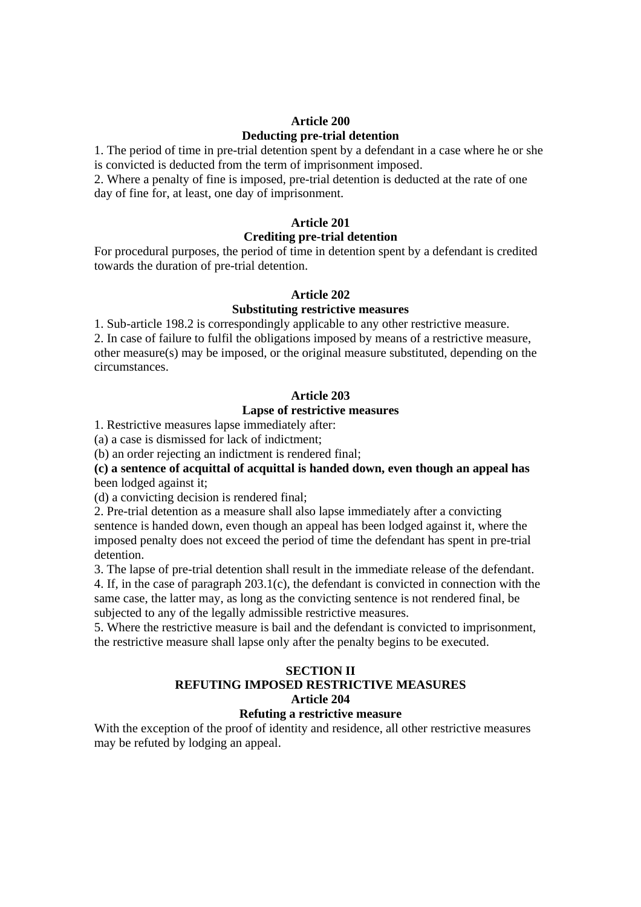# **Article 200 Deducting pre-trial detention**

1. The period of time in pre-trial detention spent by a defendant in a case where he or she is convicted is deducted from the term of imprisonment imposed.

2. Where a penalty of fine is imposed, pre-trial detention is deducted at the rate of one day of fine for, at least, one day of imprisonment.

## **Article 201**

#### **Crediting pre-trial detention**

For procedural purposes, the period of time in detention spent by a defendant is credited towards the duration of pre-trial detention.

#### **Article 202**

#### **Substituting restrictive measures**

1. Sub-article 198.2 is correspondingly applicable to any other restrictive measure. 2. In case of failure to fulfil the obligations imposed by means of a restrictive measure, other measure(s) may be imposed, or the original measure substituted, depending on the circumstances.

#### **Article 203**

# **Lapse of restrictive measures**

1. Restrictive measures lapse immediately after:

(a) a case is dismissed for lack of indictment;

(b) an order rejecting an indictment is rendered final;

**(c) a sentence of acquittal of acquittal is handed down, even though an appeal has**  been lodged against it;

(d) a convicting decision is rendered final;

2. Pre-trial detention as a measure shall also lapse immediately after a convicting sentence is handed down, even though an appeal has been lodged against it, where the imposed penalty does not exceed the period of time the defendant has spent in pre-trial detention.

3. The lapse of pre-trial detention shall result in the immediate release of the defendant. 4. If, in the case of paragraph 203.1(c), the defendant is convicted in connection with the same case, the latter may, as long as the convicting sentence is not rendered final, be subjected to any of the legally admissible restrictive measures.

5. Where the restrictive measure is bail and the defendant is convicted to imprisonment, the restrictive measure shall lapse only after the penalty begins to be executed.

# **SECTION II REFUTING IMPOSED RESTRICTIVE MEASURES Article 204**

## **Refuting a restrictive measure**

With the exception of the proof of identity and residence, all other restrictive measures may be refuted by lodging an appeal.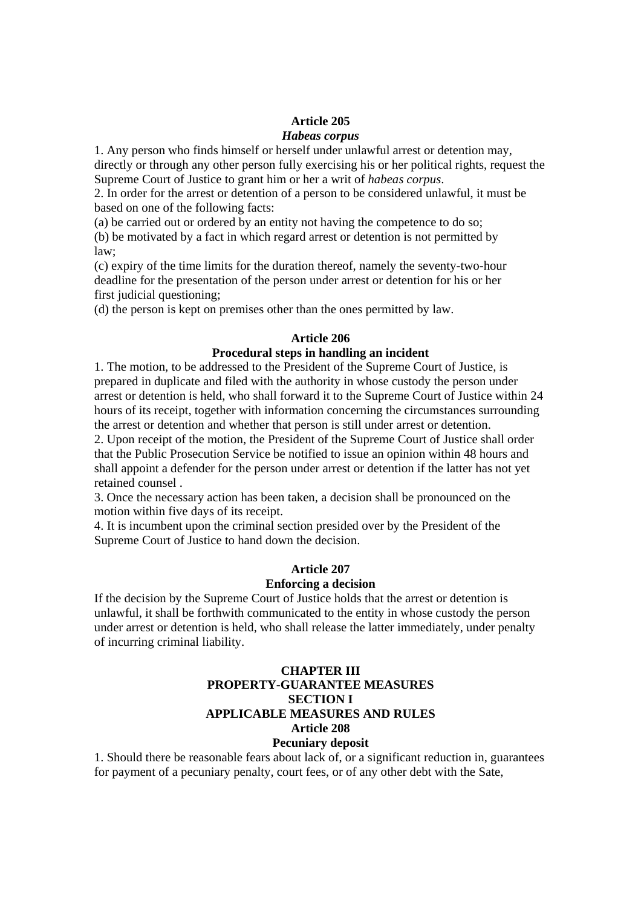# **Article 205**

## *Habeas corpus*

1. Any person who finds himself or herself under unlawful arrest or detention may, directly or through any other person fully exercising his or her political rights, request the Supreme Court of Justice to grant him or her a writ of *habeas corpus*.

2. In order for the arrest or detention of a person to be considered unlawful, it must be based on one of the following facts:

(a) be carried out or ordered by an entity not having the competence to do so; (b) be motivated by a fact in which regard arrest or detention is not permitted by law;

(c) expiry of the time limits for the duration thereof, namely the seventy-two-hour deadline for the presentation of the person under arrest or detention for his or her first judicial questioning;

(d) the person is kept on premises other than the ones permitted by law.

## **Article 206**

## **Procedural steps in handling an incident**

1. The motion, to be addressed to the President of the Supreme Court of Justice, is prepared in duplicate and filed with the authority in whose custody the person under arrest or detention is held, who shall forward it to the Supreme Court of Justice within 24 hours of its receipt, together with information concerning the circumstances surrounding the arrest or detention and whether that person is still under arrest or detention.

2. Upon receipt of the motion, the President of the Supreme Court of Justice shall order that the Public Prosecution Service be notified to issue an opinion within 48 hours and shall appoint a defender for the person under arrest or detention if the latter has not yet retained counsel .

3. Once the necessary action has been taken, a decision shall be pronounced on the motion within five days of its receipt.

4. It is incumbent upon the criminal section presided over by the President of the Supreme Court of Justice to hand down the decision.

# **Article 207**

# **Enforcing a decision**

If the decision by the Supreme Court of Justice holds that the arrest or detention is unlawful, it shall be forthwith communicated to the entity in whose custody the person under arrest or detention is held, who shall release the latter immediately, under penalty of incurring criminal liability.

# **CHAPTER III PROPERTY-GUARANTEE MEASURES SECTION I APPLICABLE MEASURES AND RULES Article 208 Pecuniary deposit**

1. Should there be reasonable fears about lack of, or a significant reduction in, guarantees for payment of a pecuniary penalty, court fees, or of any other debt with the Sate,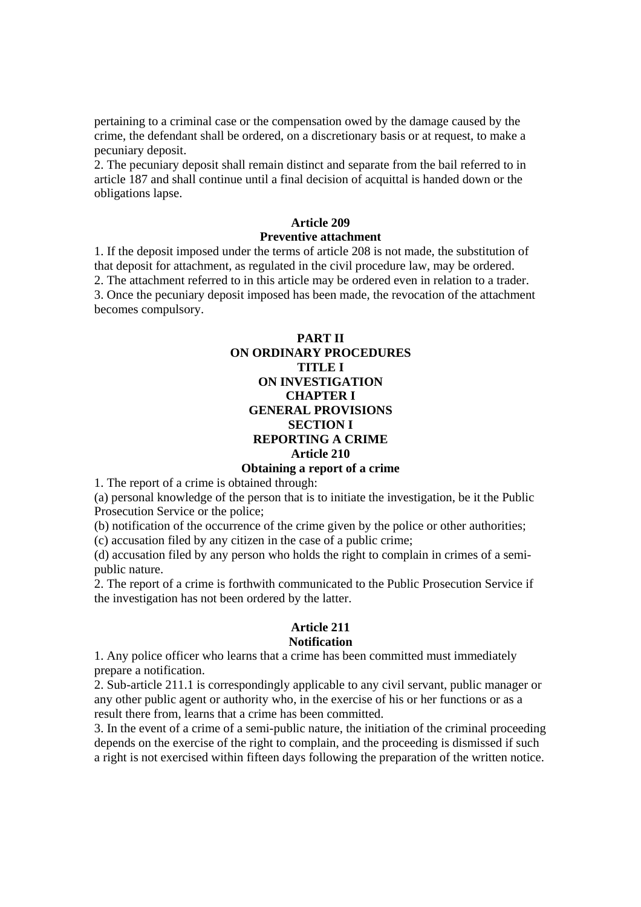pertaining to a criminal case or the compensation owed by the damage caused by the crime, the defendant shall be ordered, on a discretionary basis or at request, to make a pecuniary deposit.

2. The pecuniary deposit shall remain distinct and separate from the bail referred to in article 187 and shall continue until a final decision of acquittal is handed down or the obligations lapse.

## **Article 209 Preventive attachment**

1. If the deposit imposed under the terms of article 208 is not made, the substitution of that deposit for attachment, as regulated in the civil procedure law, may be ordered. 2. The attachment referred to in this article may be ordered even in relation to a trader. 3. Once the pecuniary deposit imposed has been made, the revocation of the attachment becomes compulsory.

# **PART II ON ORDINARY PROCEDURES TITLE I ON INVESTIGATION CHAPTER I GENERAL PROVISIONS SECTION I REPORTING A CRIME Article 210**

#### **Obtaining a report of a crime**

1. The report of a crime is obtained through:

(a) personal knowledge of the person that is to initiate the investigation, be it the Public Prosecution Service or the police;

(b) notification of the occurrence of the crime given by the police or other authorities;

(c) accusation filed by any citizen in the case of a public crime;

(d) accusation filed by any person who holds the right to complain in crimes of a semipublic nature.

2. The report of a crime is forthwith communicated to the Public Prosecution Service if the investigation has not been ordered by the latter.

## **Article 211 Notification**

1. Any police officer who learns that a crime has been committed must immediately prepare a notification.

2. Sub-article 211.1 is correspondingly applicable to any civil servant, public manager or any other public agent or authority who, in the exercise of his or her functions or as a result there from, learns that a crime has been committed.

3. In the event of a crime of a semi-public nature, the initiation of the criminal proceeding depends on the exercise of the right to complain, and the proceeding is dismissed if such a right is not exercised within fifteen days following the preparation of the written notice.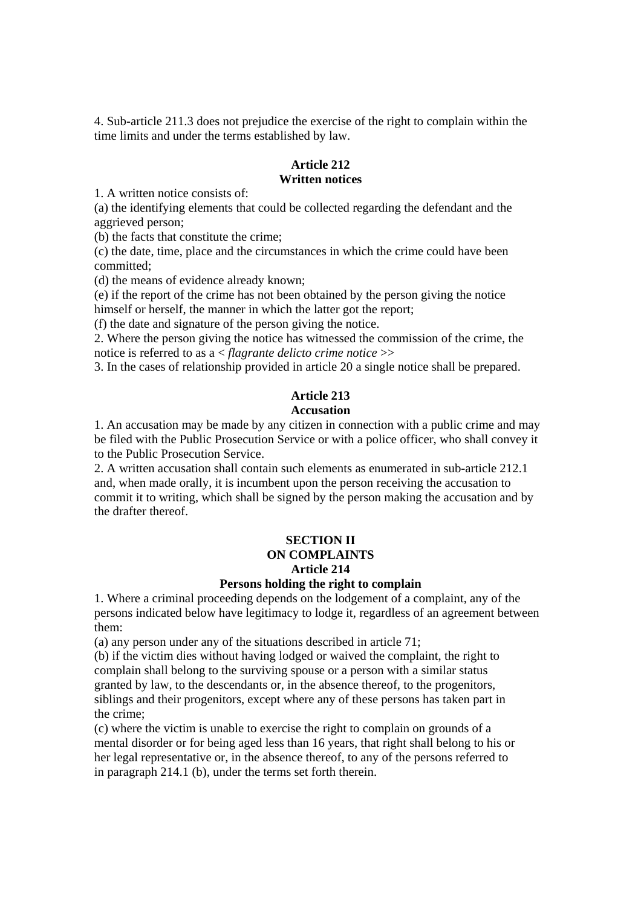4. Sub-article 211.3 does not prejudice the exercise of the right to complain within the time limits and under the terms established by law.

#### **Article 212 Written notices**

1. A written notice consists of:

(a) the identifying elements that could be collected regarding the defendant and the aggrieved person;

(b) the facts that constitute the crime;

(c) the date, time, place and the circumstances in which the crime could have been committed;

(d) the means of evidence already known;

(e) if the report of the crime has not been obtained by the person giving the notice himself or herself, the manner in which the latter got the report;

(f) the date and signature of the person giving the notice.

2. Where the person giving the notice has witnessed the commission of the crime, the notice is referred to as a < *flagrante delicto crime notice* >>

3. In the cases of relationship provided in article 20 a single notice shall be prepared.

#### **Article 213 Accusation**

1. An accusation may be made by any citizen in connection with a public crime and may be filed with the Public Prosecution Service or with a police officer, who shall convey it to the Public Prosecution Service.

2. A written accusation shall contain such elements as enumerated in sub-article 212.1 and, when made orally, it is incumbent upon the person receiving the accusation to commit it to writing, which shall be signed by the person making the accusation and by the drafter thereof.

# **SECTION II ON COMPLAINTS Article 214**

# **Persons holding the right to complain**

1. Where a criminal proceeding depends on the lodgement of a complaint, any of the persons indicated below have legitimacy to lodge it, regardless of an agreement between them:

(a) any person under any of the situations described in article 71;

(b) if the victim dies without having lodged or waived the complaint, the right to complain shall belong to the surviving spouse or a person with a similar status granted by law, to the descendants or, in the absence thereof, to the progenitors, siblings and their progenitors, except where any of these persons has taken part in the crime;

(c) where the victim is unable to exercise the right to complain on grounds of a mental disorder or for being aged less than 16 years, that right shall belong to his or her legal representative or, in the absence thereof, to any of the persons referred to in paragraph 214.1 (b), under the terms set forth therein.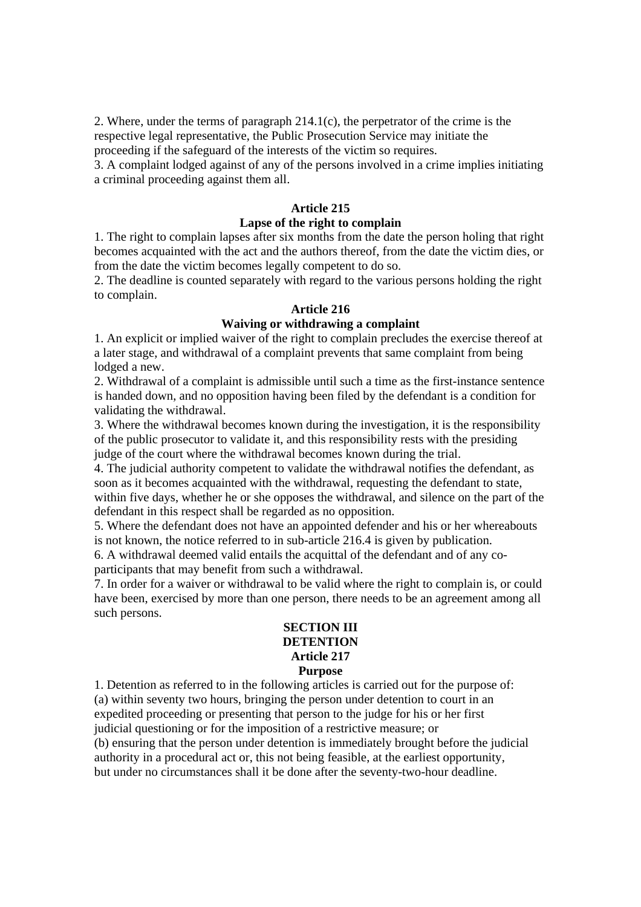2. Where, under the terms of paragraph 214.1(c), the perpetrator of the crime is the respective legal representative, the Public Prosecution Service may initiate the proceeding if the safeguard of the interests of the victim so requires.

3. A complaint lodged against of any of the persons involved in a crime implies initiating a criminal proceeding against them all.

#### **Article 215**

## **Lapse of the right to complain**

1. The right to complain lapses after six months from the date the person holing that right becomes acquainted with the act and the authors thereof, from the date the victim dies, or from the date the victim becomes legally competent to do so.

2. The deadline is counted separately with regard to the various persons holding the right to complain.

#### **Article 216**

# **Waiving or withdrawing a complaint**

1. An explicit or implied waiver of the right to complain precludes the exercise thereof at a later stage, and withdrawal of a complaint prevents that same complaint from being lodged a new.

2. Withdrawal of a complaint is admissible until such a time as the first-instance sentence is handed down, and no opposition having been filed by the defendant is a condition for validating the withdrawal.

3. Where the withdrawal becomes known during the investigation, it is the responsibility of the public prosecutor to validate it, and this responsibility rests with the presiding judge of the court where the withdrawal becomes known during the trial.

4. The judicial authority competent to validate the withdrawal notifies the defendant, as soon as it becomes acquainted with the withdrawal, requesting the defendant to state, within five days, whether he or she opposes the withdrawal, and silence on the part of the defendant in this respect shall be regarded as no opposition.

5. Where the defendant does not have an appointed defender and his or her whereabouts is not known, the notice referred to in sub-article 216.4 is given by publication.

6. A withdrawal deemed valid entails the acquittal of the defendant and of any coparticipants that may benefit from such a withdrawal.

7. In order for a waiver or withdrawal to be valid where the right to complain is, or could have been, exercised by more than one person, there needs to be an agreement among all such persons.

# **SECTION III DETENTION Article 217 Purpose**

1. Detention as referred to in the following articles is carried out for the purpose of: (a) within seventy two hours, bringing the person under detention to court in an expedited proceeding or presenting that person to the judge for his or her first judicial questioning or for the imposition of a restrictive measure; or (b) ensuring that the person under detention is immediately brought before the judicial authority in a procedural act or, this not being feasible, at the earliest opportunity,

but under no circumstances shall it be done after the seventy-two-hour deadline.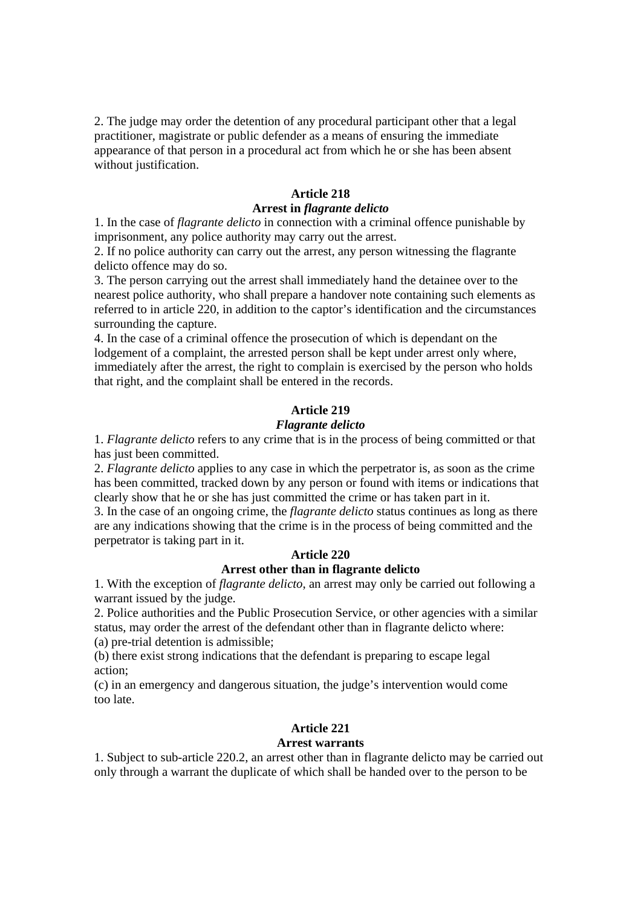2. The judge may order the detention of any procedural participant other that a legal practitioner, magistrate or public defender as a means of ensuring the immediate appearance of that person in a procedural act from which he or she has been absent without justification.

## **Article 218**

## **Arrest in** *flagrante delicto*

1. In the case of *flagrante delicto* in connection with a criminal offence punishable by imprisonment, any police authority may carry out the arrest.

2. If no police authority can carry out the arrest, any person witnessing the flagrante delicto offence may do so.

3. The person carrying out the arrest shall immediately hand the detainee over to the nearest police authority, who shall prepare a handover note containing such elements as referred to in article 220, in addition to the captor's identification and the circumstances surrounding the capture.

4. In the case of a criminal offence the prosecution of which is dependant on the lodgement of a complaint, the arrested person shall be kept under arrest only where, immediately after the arrest, the right to complain is exercised by the person who holds that right, and the complaint shall be entered in the records.

# **Article 219**

#### *Flagrante delicto*

1. *Flagrante delicto* refers to any crime that is in the process of being committed or that has just been committed.

2. *Flagrante delicto* applies to any case in which the perpetrator is, as soon as the crime has been committed, tracked down by any person or found with items or indications that clearly show that he or she has just committed the crime or has taken part in it.

3. In the case of an ongoing crime, the *flagrante delicto* status continues as long as there are any indications showing that the crime is in the process of being committed and the perpetrator is taking part in it.

## **Article 220**

## **Arrest other than in flagrante delicto**

1. With the exception of *flagrante delicto*, an arrest may only be carried out following a warrant issued by the judge.

2. Police authorities and the Public Prosecution Service, or other agencies with a similar status, may order the arrest of the defendant other than in flagrante delicto where: (a) pre-trial detention is admissible;

(b) there exist strong indications that the defendant is preparing to escape legal action;

(c) in an emergency and dangerous situation, the judge's intervention would come too late.

# **Article 221**

## **Arrest warrants**

1. Subject to sub-article 220.2, an arrest other than in flagrante delicto may be carried out only through a warrant the duplicate of which shall be handed over to the person to be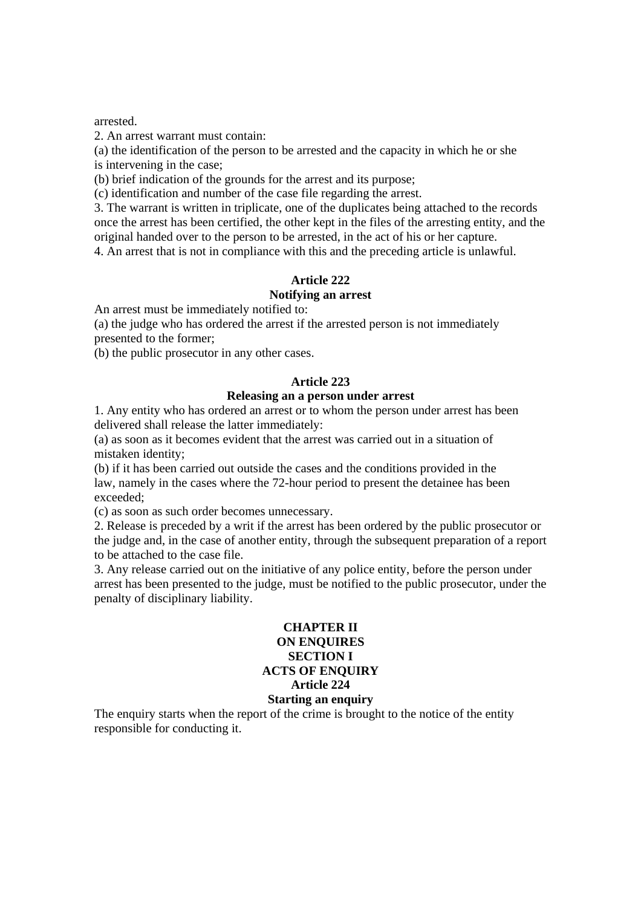arrested.

2. An arrest warrant must contain:

(a) the identification of the person to be arrested and the capacity in which he or she is intervening in the case;

(b) brief indication of the grounds for the arrest and its purpose;

(c) identification and number of the case file regarding the arrest.

3. The warrant is written in triplicate, one of the duplicates being attached to the records once the arrest has been certified, the other kept in the files of the arresting entity, and the original handed over to the person to be arrested, in the act of his or her capture.

4. An arrest that is not in compliance with this and the preceding article is unlawful.

# **Article 222**

## **Notifying an arrest**

An arrest must be immediately notified to:

(a) the judge who has ordered the arrest if the arrested person is not immediately presented to the former;

(b) the public prosecutor in any other cases.

## **Article 223**

#### **Releasing an a person under arrest**

1. Any entity who has ordered an arrest or to whom the person under arrest has been delivered shall release the latter immediately:

(a) as soon as it becomes evident that the arrest was carried out in a situation of mistaken identity;

(b) if it has been carried out outside the cases and the conditions provided in the law, namely in the cases where the 72-hour period to present the detainee has been exceeded;

(c) as soon as such order becomes unnecessary.

2. Release is preceded by a writ if the arrest has been ordered by the public prosecutor or the judge and, in the case of another entity, through the subsequent preparation of a report to be attached to the case file.

3. Any release carried out on the initiative of any police entity, before the person under arrest has been presented to the judge, must be notified to the public prosecutor, under the penalty of disciplinary liability.

## **CHAPTER II ON ENQUIRES SECTION I ACTS OF ENQUIRY Article 224 Starting an enquiry**

The enquiry starts when the report of the crime is brought to the notice of the entity responsible for conducting it.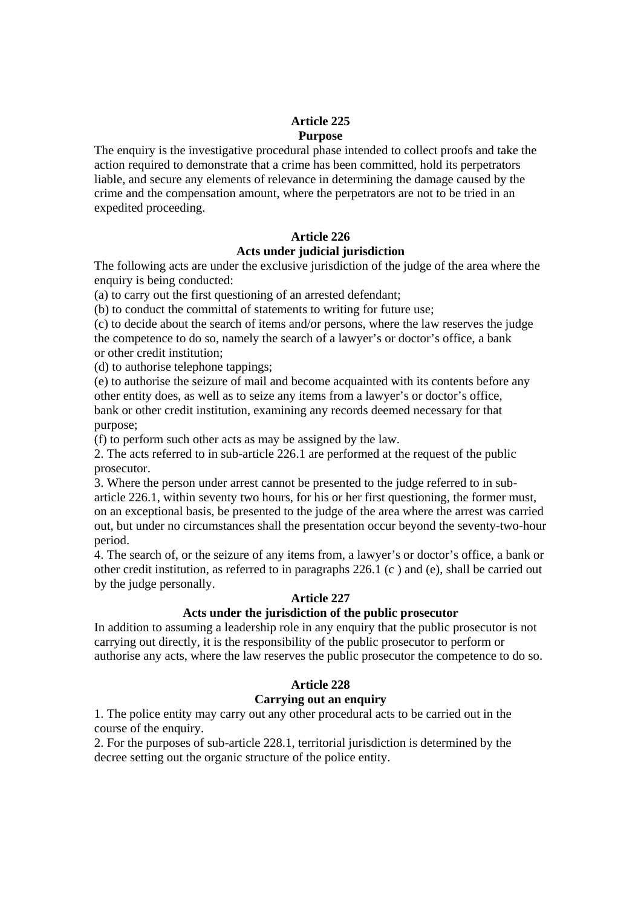# **Article 225 Purpose**

The enquiry is the investigative procedural phase intended to collect proofs and take the action required to demonstrate that a crime has been committed, hold its perpetrators liable, and secure any elements of relevance in determining the damage caused by the crime and the compensation amount, where the perpetrators are not to be tried in an expedited proceeding.

# **Article 226**

# **Acts under judicial jurisdiction**

The following acts are under the exclusive jurisdiction of the judge of the area where the enquiry is being conducted:

(a) to carry out the first questioning of an arrested defendant;

(b) to conduct the committal of statements to writing for future use;

(c) to decide about the search of items and/or persons, where the law reserves the judge the competence to do so, namely the search of a lawyer's or doctor's office, a bank or other credit institution;

(d) to authorise telephone tappings;

(e) to authorise the seizure of mail and become acquainted with its contents before any other entity does, as well as to seize any items from a lawyer's or doctor's office, bank or other credit institution, examining any records deemed necessary for that purpose;

(f) to perform such other acts as may be assigned by the law.

2. The acts referred to in sub-article 226.1 are performed at the request of the public prosecutor.

3. Where the person under arrest cannot be presented to the judge referred to in subarticle 226.1, within seventy two hours, for his or her first questioning, the former must, on an exceptional basis, be presented to the judge of the area where the arrest was carried out, but under no circumstances shall the presentation occur beyond the seventy-two-hour period.

4. The search of, or the seizure of any items from, a lawyer's or doctor's office, a bank or other credit institution, as referred to in paragraphs 226.1 (c ) and (e), shall be carried out by the judge personally.

# **Article 227**

# **Acts under the jurisdiction of the public prosecutor**

In addition to assuming a leadership role in any enquiry that the public prosecutor is not carrying out directly, it is the responsibility of the public prosecutor to perform or authorise any acts, where the law reserves the public prosecutor the competence to do so.

# **Article 228**

# **Carrying out an enquiry**

1. The police entity may carry out any other procedural acts to be carried out in the course of the enquiry.

2. For the purposes of sub-article 228.1, territorial jurisdiction is determined by the decree setting out the organic structure of the police entity.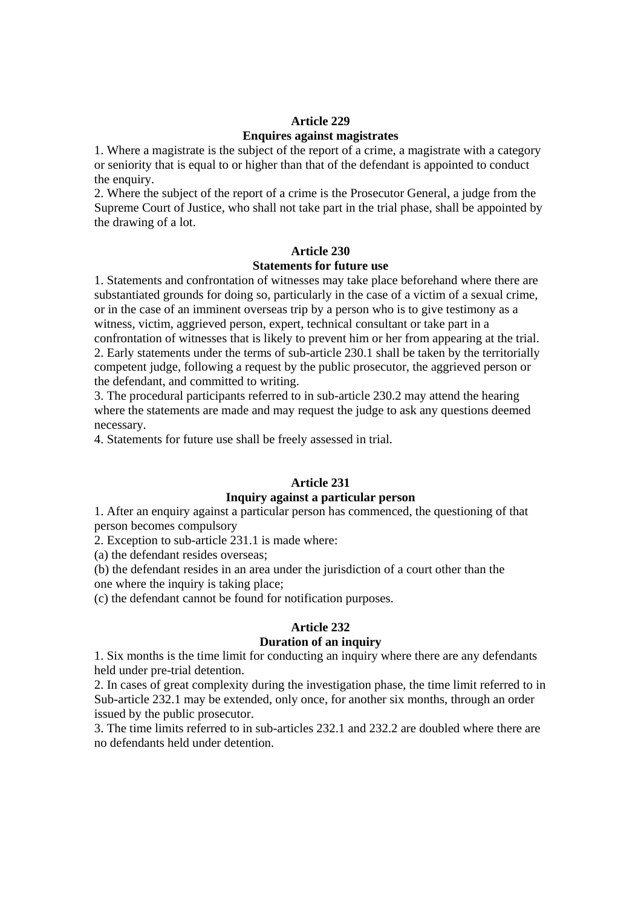# **Article 229**

# **Enquires against magistrates**

1. Where a magistrate is the subject of the report of a crime, a magistrate with a category or seniority that is equal to or higher than that of the defendant is appointed to conduct the enquiry.

2. Where the subject of the report of a crime is the Prosecutor General, a judge from the Supreme Court of Justice, who shall not take part in the trial phase, shall be appointed by the drawing of a lot.

# **Article 230**

# **Statements for future use**

1. Statements and confrontation of witnesses may take place beforehand where there are substantiated grounds for doing so, particularly in the case of a victim of a sexual crime, or in the case of an imminent overseas trip by a person who is to give testimony as a witness, victim, aggrieved person, expert, technical consultant or take part in a confrontation of witnesses that is likely to prevent him or her from appearing at the trial. 2. Early statements under the terms of sub-article 230.1 shall be taken by the territorially competent judge, following a request by the public prosecutor, the aggrieved person or the defendant, and committed to writing.

3. The procedural participants referred to in sub-article 230.2 may attend the hearing where the statements are made and may request the judge to ask any questions deemed necessary.

4. Statements for future use shall be freely assessed in trial.

# **Article 231**

# **Inquiry against a particular person**

1. After an enquiry against a particular person has commenced, the questioning of that person becomes compulsory

2. Exception to sub-article 231.1 is made where:

(a) the defendant resides overseas;

(b) the defendant resides in an area under the jurisdiction of a court other than the

one where the inquiry is taking place;

(c) the defendant cannot be found for notification purposes.

# **Article 232**

# **Duration of an inquiry**

1. Six months is the time limit for conducting an inquiry where there are any defendants held under pre-trial detention.

2. In cases of great complexity during the investigation phase, the time limit referred to in Sub-article 232.1 may be extended, only once, for another six months, through an order issued by the public prosecutor.

3. The time limits referred to in sub-articles 232.1 and 232.2 are doubled where there are no defendants held under detention.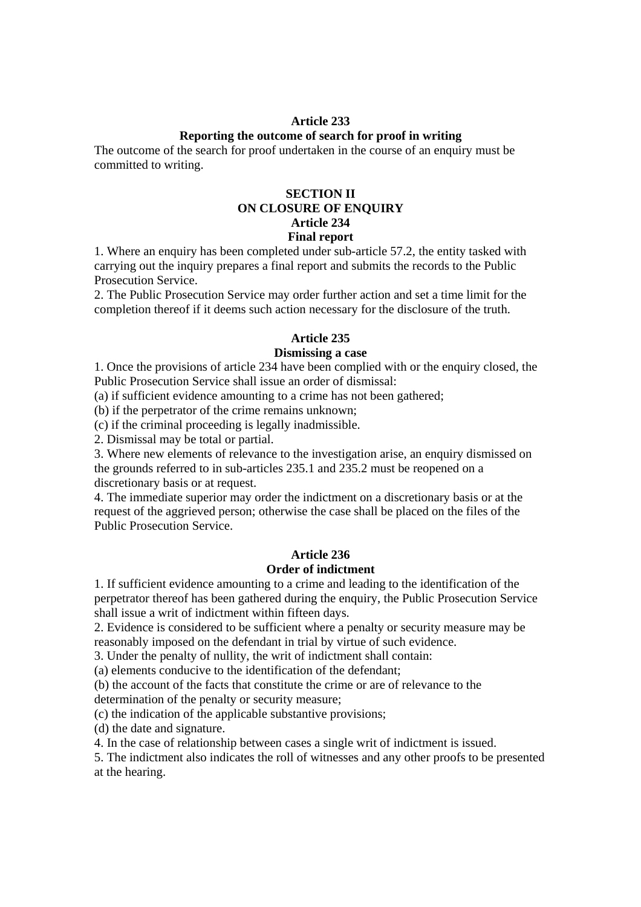#### **Article 233**

## **Reporting the outcome of search for proof in writing**

The outcome of the search for proof undertaken in the course of an enquiry must be committed to writing.

## **SECTION II ON CLOSURE OF ENQUIRY Article 234 Final report**

1. Where an enquiry has been completed under sub-article 57.2, the entity tasked with carrying out the inquiry prepares a final report and submits the records to the Public Prosecution Service.

2. The Public Prosecution Service may order further action and set a time limit for the completion thereof if it deems such action necessary for the disclosure of the truth.

#### **Article 235**

#### **Dismissing a case**

1. Once the provisions of article 234 have been complied with or the enquiry closed, the Public Prosecution Service shall issue an order of dismissal:

(a) if sufficient evidence amounting to a crime has not been gathered;

(b) if the perpetrator of the crime remains unknown;

(c) if the criminal proceeding is legally inadmissible.

2. Dismissal may be total or partial.

3. Where new elements of relevance to the investigation arise, an enquiry dismissed on the grounds referred to in sub-articles 235.1 and 235.2 must be reopened on a discretionary basis or at request.

4. The immediate superior may order the indictment on a discretionary basis or at the request of the aggrieved person; otherwise the case shall be placed on the files of the Public Prosecution Service.

#### **Article 236 Order of indictment**

1. If sufficient evidence amounting to a crime and leading to the identification of the perpetrator thereof has been gathered during the enquiry, the Public Prosecution Service shall issue a writ of indictment within fifteen days.

2. Evidence is considered to be sufficient where a penalty or security measure may be reasonably imposed on the defendant in trial by virtue of such evidence.

3. Under the penalty of nullity, the writ of indictment shall contain:

(a) elements conducive to the identification of the defendant;

(b) the account of the facts that constitute the crime or are of relevance to the

determination of the penalty or security measure;

(c) the indication of the applicable substantive provisions;

(d) the date and signature.

4. In the case of relationship between cases a single writ of indictment is issued.

5. The indictment also indicates the roll of witnesses and any other proofs to be presented at the hearing.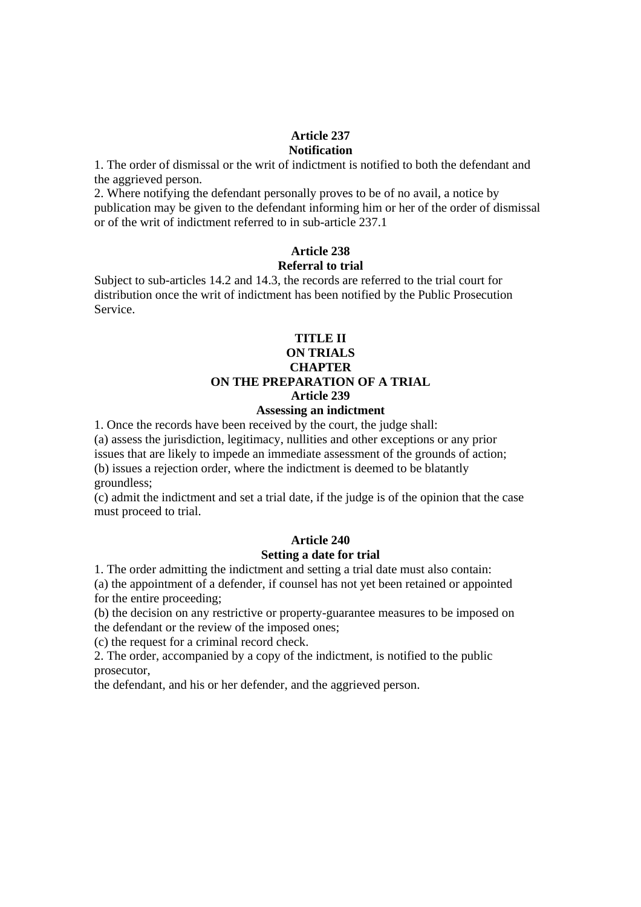#### **Article 237 Notification**

1. The order of dismissal or the writ of indictment is notified to both the defendant and the aggrieved person.

2. Where notifying the defendant personally proves to be of no avail, a notice by publication may be given to the defendant informing him or her of the order of dismissal or of the writ of indictment referred to in sub-article 237.1

# **Article 238 Referral to trial**

Subject to sub-articles 14.2 and 14.3, the records are referred to the trial court for distribution once the writ of indictment has been notified by the Public Prosecution Service.

# **TITLE II ON TRIALS CHAPTER ON THE PREPARATION OF A TRIAL Article 239**

# **Assessing an indictment**

1. Once the records have been received by the court, the judge shall:

(a) assess the jurisdiction, legitimacy, nullities and other exceptions or any prior issues that are likely to impede an immediate assessment of the grounds of action; (b) issues a rejection order, where the indictment is deemed to be blatantly groundless;

(c) admit the indictment and set a trial date, if the judge is of the opinion that the case must proceed to trial.

# **Article 240 Setting a date for trial**

1. The order admitting the indictment and setting a trial date must also contain:

(a) the appointment of a defender, if counsel has not yet been retained or appointed for the entire proceeding;

(b) the decision on any restrictive or property-guarantee measures to be imposed on the defendant or the review of the imposed ones;

(c) the request for a criminal record check.

2. The order, accompanied by a copy of the indictment, is notified to the public prosecutor,

the defendant, and his or her defender, and the aggrieved person.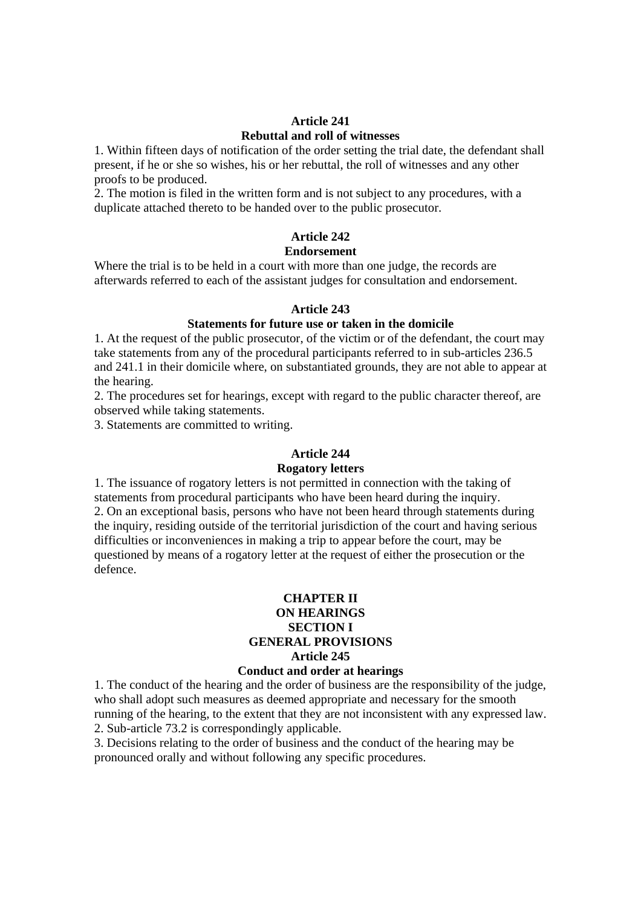# **Article 241 Rebuttal and roll of witnesses**

1. Within fifteen days of notification of the order setting the trial date, the defendant shall present, if he or she so wishes, his or her rebuttal, the roll of witnesses and any other proofs to be produced.

2. The motion is filed in the written form and is not subject to any procedures, with a duplicate attached thereto to be handed over to the public prosecutor.

# **Article 242 Endorsement**

Where the trial is to be held in a court with more than one judge, the records are afterwards referred to each of the assistant judges for consultation and endorsement.

# **Article 243**

# **Statements for future use or taken in the domicile**

1. At the request of the public prosecutor, of the victim or of the defendant, the court may take statements from any of the procedural participants referred to in sub-articles 236.5 and 241.1 in their domicile where, on substantiated grounds, they are not able to appear at the hearing.

2. The procedures set for hearings, except with regard to the public character thereof, are observed while taking statements.

3. Statements are committed to writing.

# **Article 244**

#### **Rogatory letters**

1. The issuance of rogatory letters is not permitted in connection with the taking of statements from procedural participants who have been heard during the inquiry. 2. On an exceptional basis, persons who have not been heard through statements during the inquiry, residing outside of the territorial jurisdiction of the court and having serious difficulties or inconveniences in making a trip to appear before the court, may be questioned by means of a rogatory letter at the request of either the prosecution or the defence.

## **CHAPTER II ON HEARINGS SECTION I GENERAL PROVISIONS Article 245 Conduct and order at hearings**

1. The conduct of the hearing and the order of business are the responsibility of the judge, who shall adopt such measures as deemed appropriate and necessary for the smooth running of the hearing, to the extent that they are not inconsistent with any expressed law. 2. Sub-article 73.2 is correspondingly applicable.

3. Decisions relating to the order of business and the conduct of the hearing may be pronounced orally and without following any specific procedures.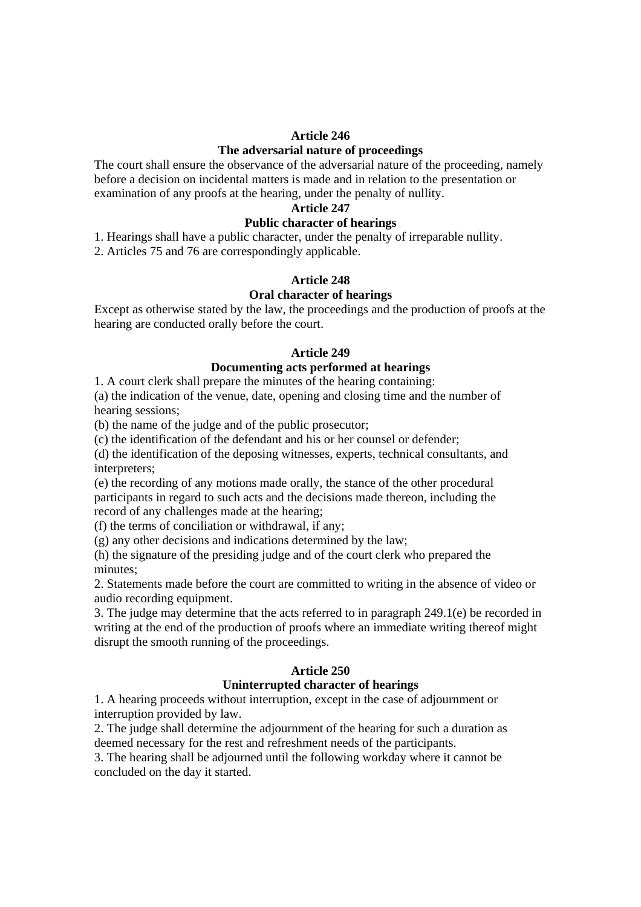#### **Article 246**

## **The adversarial nature of proceedings**

The court shall ensure the observance of the adversarial nature of the proceeding, namely before a decision on incidental matters is made and in relation to the presentation or examination of any proofs at the hearing, under the penalty of nullity.

## **Article 247**

# **Public character of hearings**

1. Hearings shall have a public character, under the penalty of irreparable nullity.

2. Articles 75 and 76 are correspondingly applicable.

# **Article 248**

## **Oral character of hearings**

Except as otherwise stated by the law, the proceedings and the production of proofs at the hearing are conducted orally before the court.

#### **Article 249**

#### **Documenting acts performed at hearings**

1. A court clerk shall prepare the minutes of the hearing containing:

(a) the indication of the venue, date, opening and closing time and the number of hearing sessions;

(b) the name of the judge and of the public prosecutor;

(c) the identification of the defendant and his or her counsel or defender;

(d) the identification of the deposing witnesses, experts, technical consultants, and interpreters:

(e) the recording of any motions made orally, the stance of the other procedural participants in regard to such acts and the decisions made thereon, including the record of any challenges made at the hearing;

(f) the terms of conciliation or withdrawal, if any;

(g) any other decisions and indications determined by the law;

(h) the signature of the presiding judge and of the court clerk who prepared the minutes;

2. Statements made before the court are committed to writing in the absence of video or audio recording equipment.

3. The judge may determine that the acts referred to in paragraph 249.1(e) be recorded in writing at the end of the production of proofs where an immediate writing thereof might disrupt the smooth running of the proceedings.

#### **Article 250**

#### **Uninterrupted character of hearings**

1. A hearing proceeds without interruption, except in the case of adjournment or interruption provided by law.

2. The judge shall determine the adjournment of the hearing for such a duration as deemed necessary for the rest and refreshment needs of the participants.

3. The hearing shall be adjourned until the following workday where it cannot be concluded on the day it started.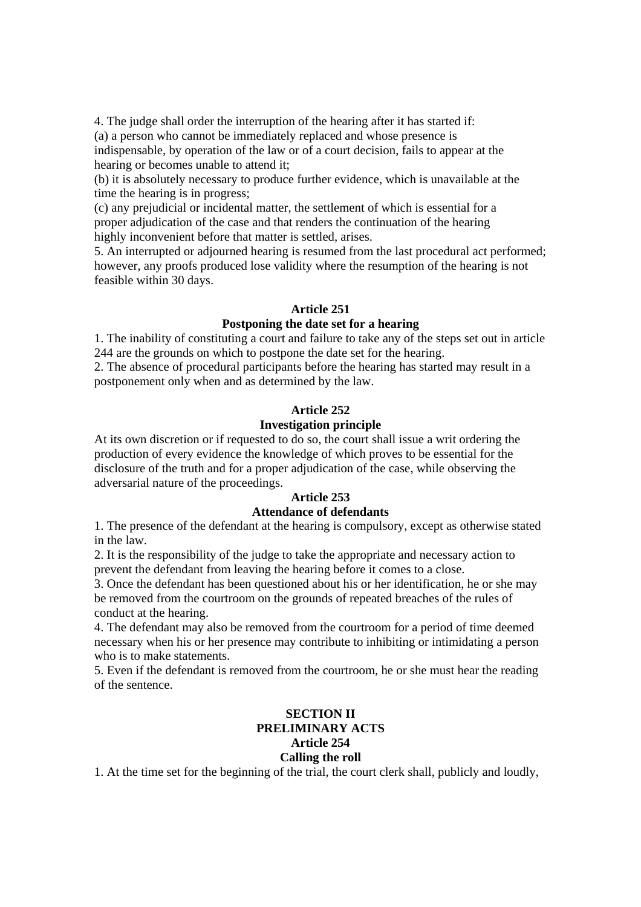4. The judge shall order the interruption of the hearing after it has started if: (a) a person who cannot be immediately replaced and whose presence is indispensable, by operation of the law or of a court decision, fails to appear at the hearing or becomes unable to attend it;

(b) it is absolutely necessary to produce further evidence, which is unavailable at the time the hearing is in progress;

(c) any prejudicial or incidental matter, the settlement of which is essential for a proper adjudication of the case and that renders the continuation of the hearing highly inconvenient before that matter is settled, arises.

5. An interrupted or adjourned hearing is resumed from the last procedural act performed; however, any proofs produced lose validity where the resumption of the hearing is not feasible within 30 days.

#### **Article 251**

## **Postponing the date set for a hearing**

1. The inability of constituting a court and failure to take any of the steps set out in article 244 are the grounds on which to postpone the date set for the hearing.

2. The absence of procedural participants before the hearing has started may result in a postponement only when and as determined by the law.

#### **Article 252**

#### **Investigation principle**

At its own discretion or if requested to do so, the court shall issue a writ ordering the production of every evidence the knowledge of which proves to be essential for the disclosure of the truth and for a proper adjudication of the case, while observing the adversarial nature of the proceedings.

#### **Article 253**

## **Attendance of defendants**

1. The presence of the defendant at the hearing is compulsory, except as otherwise stated in the law.

2. It is the responsibility of the judge to take the appropriate and necessary action to prevent the defendant from leaving the hearing before it comes to a close.

3. Once the defendant has been questioned about his or her identification, he or she may be removed from the courtroom on the grounds of repeated breaches of the rules of conduct at the hearing.

4. The defendant may also be removed from the courtroom for a period of time deemed necessary when his or her presence may contribute to inhibiting or intimidating a person who is to make statements.

5. Even if the defendant is removed from the courtroom, he or she must hear the reading of the sentence.

## **SECTION II PRELIMINARY ACTS Article 254 Calling the roll**

1. At the time set for the beginning of the trial, the court clerk shall, publicly and loudly,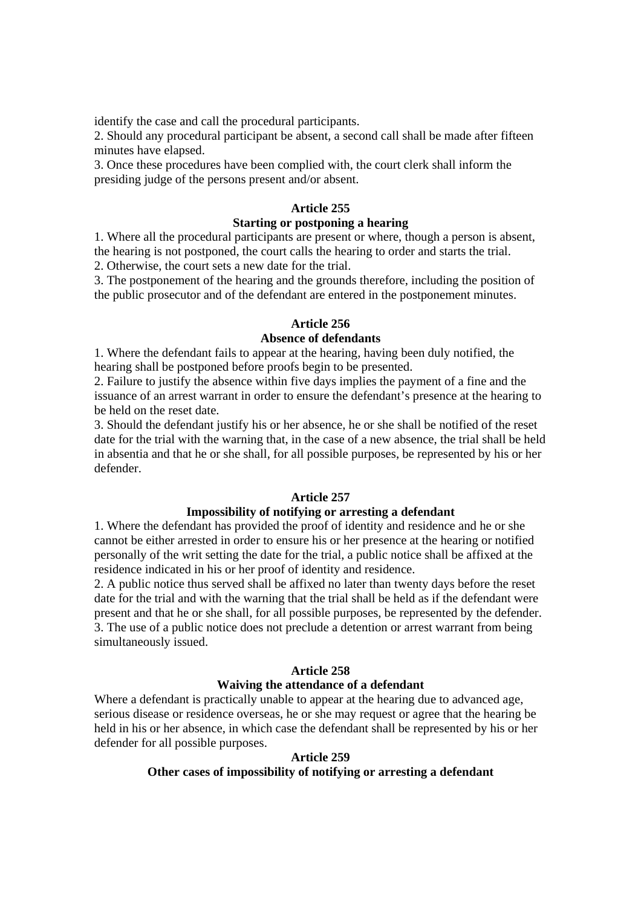identify the case and call the procedural participants.

2. Should any procedural participant be absent, a second call shall be made after fifteen minutes have elapsed.

3. Once these procedures have been complied with, the court clerk shall inform the presiding judge of the persons present and/or absent.

#### **Article 255**

#### **Starting or postponing a hearing**

1. Where all the procedural participants are present or where, though a person is absent, the hearing is not postponed, the court calls the hearing to order and starts the trial.

2. Otherwise, the court sets a new date for the trial.

3. The postponement of the hearing and the grounds therefore, including the position of the public prosecutor and of the defendant are entered in the postponement minutes.

## **Article 256**

#### **Absence of defendants**

1. Where the defendant fails to appear at the hearing, having been duly notified, the hearing shall be postponed before proofs begin to be presented.

2. Failure to justify the absence within five days implies the payment of a fine and the issuance of an arrest warrant in order to ensure the defendant's presence at the hearing to be held on the reset date.

3. Should the defendant justify his or her absence, he or she shall be notified of the reset date for the trial with the warning that, in the case of a new absence, the trial shall be held in absentia and that he or she shall, for all possible purposes, be represented by his or her defender.

## **Article 257**

#### **Impossibility of notifying or arresting a defendant**

1. Where the defendant has provided the proof of identity and residence and he or she cannot be either arrested in order to ensure his or her presence at the hearing or notified personally of the writ setting the date for the trial, a public notice shall be affixed at the residence indicated in his or her proof of identity and residence.

2. A public notice thus served shall be affixed no later than twenty days before the reset date for the trial and with the warning that the trial shall be held as if the defendant were present and that he or she shall, for all possible purposes, be represented by the defender. 3. The use of a public notice does not preclude a detention or arrest warrant from being simultaneously issued.

#### **Article 258**

#### **Waiving the attendance of a defendant**

Where a defendant is practically unable to appear at the hearing due to advanced age, serious disease or residence overseas, he or she may request or agree that the hearing be held in his or her absence, in which case the defendant shall be represented by his or her defender for all possible purposes.

#### **Article 259**

# **Other cases of impossibility of notifying or arresting a defendant**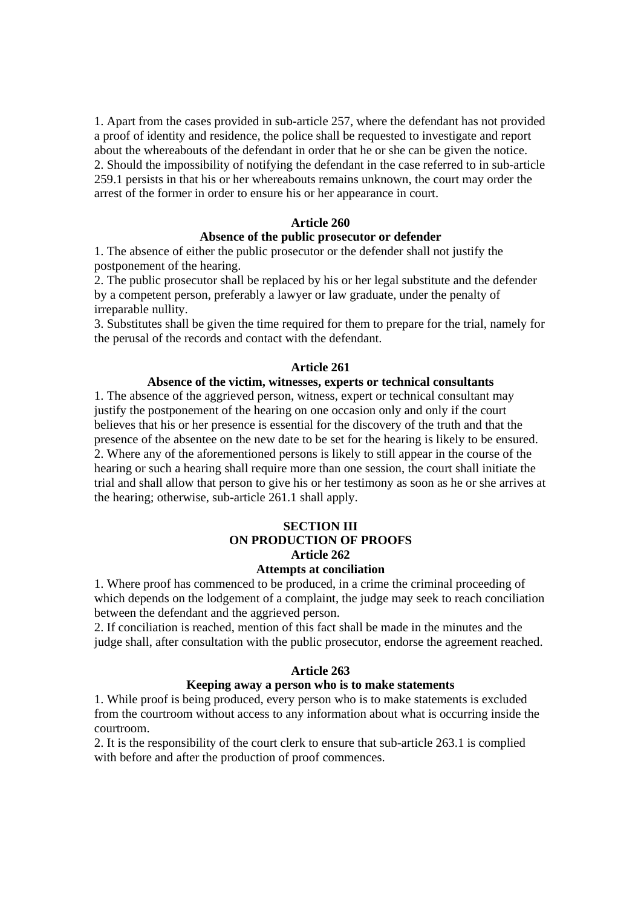1. Apart from the cases provided in sub-article 257, where the defendant has not provided a proof of identity and residence, the police shall be requested to investigate and report about the whereabouts of the defendant in order that he or she can be given the notice. 2. Should the impossibility of notifying the defendant in the case referred to in sub-article 259.1 persists in that his or her whereabouts remains unknown, the court may order the arrest of the former in order to ensure his or her appearance in court.

#### **Article 260**

#### **Absence of the public prosecutor or defender**

1. The absence of either the public prosecutor or the defender shall not justify the postponement of the hearing.

2. The public prosecutor shall be replaced by his or her legal substitute and the defender by a competent person, preferably a lawyer or law graduate, under the penalty of irreparable nullity.

3. Substitutes shall be given the time required for them to prepare for the trial, namely for the perusal of the records and contact with the defendant.

#### **Article 261**

## **Absence of the victim, witnesses, experts or technical consultants**

1. The absence of the aggrieved person, witness, expert or technical consultant may justify the postponement of the hearing on one occasion only and only if the court believes that his or her presence is essential for the discovery of the truth and that the presence of the absentee on the new date to be set for the hearing is likely to be ensured. 2. Where any of the aforementioned persons is likely to still appear in the course of the hearing or such a hearing shall require more than one session, the court shall initiate the trial and shall allow that person to give his or her testimony as soon as he or she arrives at the hearing; otherwise, sub-article 261.1 shall apply.

# **SECTION III ON PRODUCTION OF PROOFS Article 262**

## **Attempts at conciliation**

1. Where proof has commenced to be produced, in a crime the criminal proceeding of which depends on the lodgement of a complaint, the judge may seek to reach conciliation between the defendant and the aggrieved person.

2. If conciliation is reached, mention of this fact shall be made in the minutes and the judge shall, after consultation with the public prosecutor, endorse the agreement reached.

#### **Article 263**

#### **Keeping away a person who is to make statements**

1. While proof is being produced, every person who is to make statements is excluded from the courtroom without access to any information about what is occurring inside the courtroom.

2. It is the responsibility of the court clerk to ensure that sub-article 263.1 is complied with before and after the production of proof commences.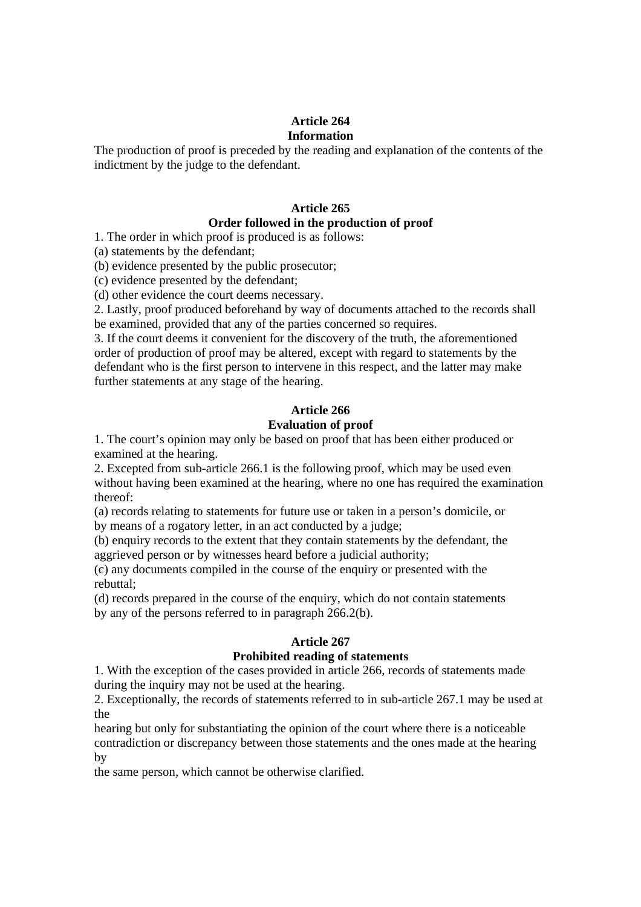#### **Article 264 Information**

The production of proof is preceded by the reading and explanation of the contents of the indictment by the judge to the defendant.

# **Article 265**

# **Order followed in the production of proof**

1. The order in which proof is produced is as follows:

(a) statements by the defendant;

(b) evidence presented by the public prosecutor;

(c) evidence presented by the defendant;

(d) other evidence the court deems necessary.

2. Lastly, proof produced beforehand by way of documents attached to the records shall be examined, provided that any of the parties concerned so requires.

3. If the court deems it convenient for the discovery of the truth, the aforementioned order of production of proof may be altered, except with regard to statements by the defendant who is the first person to intervene in this respect, and the latter may make further statements at any stage of the hearing.

#### **Article 266 Evaluation of proof**

# 1. The court's opinion may only be based on proof that has been either produced or examined at the hearing.

2. Excepted from sub-article 266.1 is the following proof, which may be used even without having been examined at the hearing, where no one has required the examination thereof:

(a) records relating to statements for future use or taken in a person's domicile, or by means of a rogatory letter, in an act conducted by a judge;

(b) enquiry records to the extent that they contain statements by the defendant, the aggrieved person or by witnesses heard before a judicial authority;

(c) any documents compiled in the course of the enquiry or presented with the rebuttal;

(d) records prepared in the course of the enquiry, which do not contain statements by any of the persons referred to in paragraph 266.2(b).

# **Article 267**

# **Prohibited reading of statements**

1. With the exception of the cases provided in article 266, records of statements made during the inquiry may not be used at the hearing.

2. Exceptionally, the records of statements referred to in sub-article 267.1 may be used at the

hearing but only for substantiating the opinion of the court where there is a noticeable contradiction or discrepancy between those statements and the ones made at the hearing by

the same person, which cannot be otherwise clarified.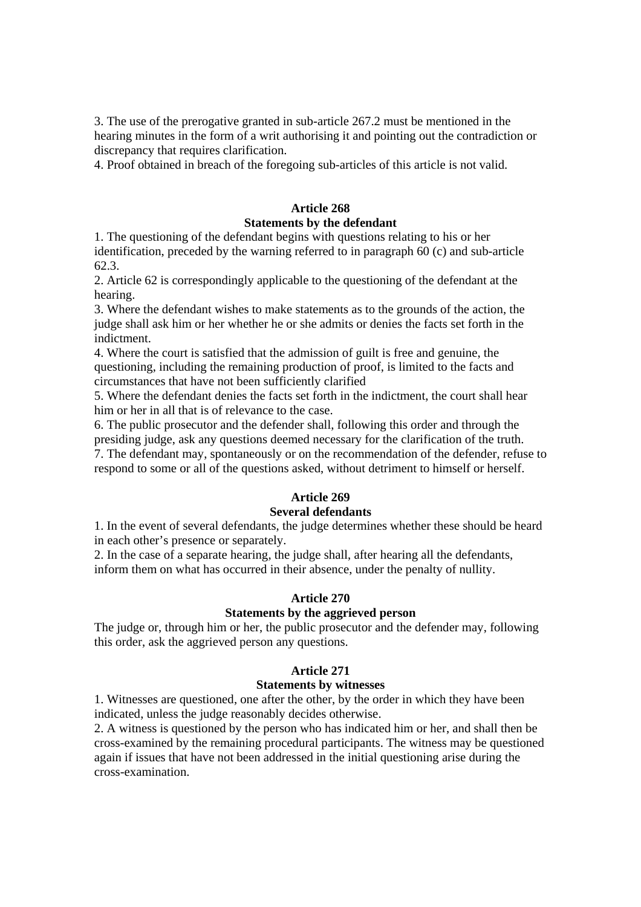3. The use of the prerogative granted in sub-article 267.2 must be mentioned in the hearing minutes in the form of a writ authorising it and pointing out the contradiction or discrepancy that requires clarification.

4. Proof obtained in breach of the foregoing sub-articles of this article is not valid.

# **Article 268**

## **Statements by the defendant**

1. The questioning of the defendant begins with questions relating to his or her identification, preceded by the warning referred to in paragraph 60 (c) and sub-article 62.3.

2. Article 62 is correspondingly applicable to the questioning of the defendant at the hearing.

3. Where the defendant wishes to make statements as to the grounds of the action, the judge shall ask him or her whether he or she admits or denies the facts set forth in the indictment.

4. Where the court is satisfied that the admission of guilt is free and genuine, the questioning, including the remaining production of proof, is limited to the facts and circumstances that have not been sufficiently clarified

5. Where the defendant denies the facts set forth in the indictment, the court shall hear him or her in all that is of relevance to the case.

6. The public prosecutor and the defender shall, following this order and through the presiding judge, ask any questions deemed necessary for the clarification of the truth. 7. The defendant may, spontaneously or on the recommendation of the defender, refuse to respond to some or all of the questions asked, without detriment to himself or herself.

# **Article 269**

# **Several defendants**

1. In the event of several defendants, the judge determines whether these should be heard in each other's presence or separately.

2. In the case of a separate hearing, the judge shall, after hearing all the defendants, inform them on what has occurred in their absence, under the penalty of nullity.

# **Article 270**

# **Statements by the aggrieved person**

The judge or, through him or her, the public prosecutor and the defender may, following this order, ask the aggrieved person any questions.

# **Article 271**

# **Statements by witnesses**

1. Witnesses are questioned, one after the other, by the order in which they have been indicated, unless the judge reasonably decides otherwise.

2. A witness is questioned by the person who has indicated him or her, and shall then be cross-examined by the remaining procedural participants. The witness may be questioned again if issues that have not been addressed in the initial questioning arise during the cross-examination.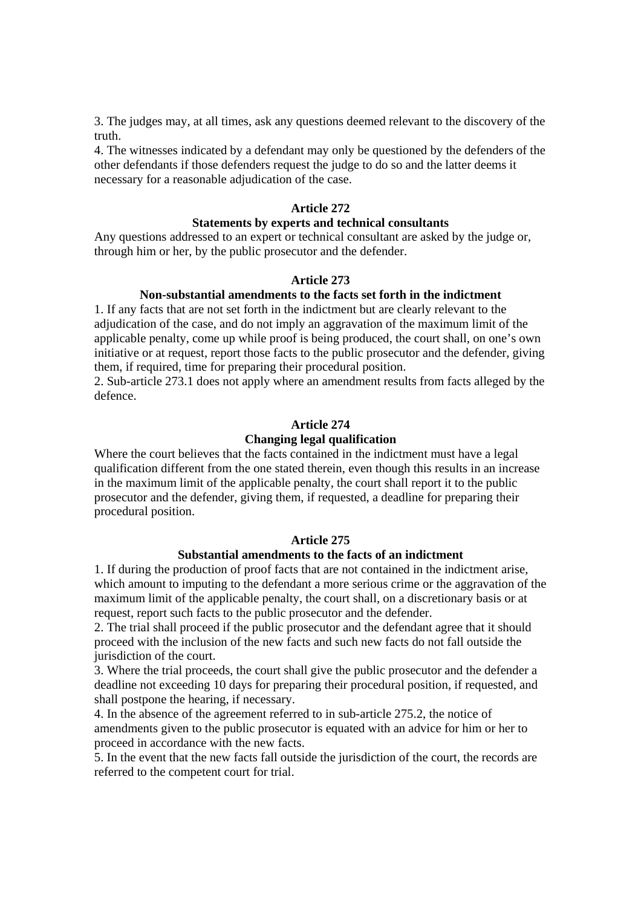3. The judges may, at all times, ask any questions deemed relevant to the discovery of the truth.

4. The witnesses indicated by a defendant may only be questioned by the defenders of the other defendants if those defenders request the judge to do so and the latter deems it necessary for a reasonable adjudication of the case.

#### **Article 272**

#### **Statements by experts and technical consultants**

Any questions addressed to an expert or technical consultant are asked by the judge or, through him or her, by the public prosecutor and the defender.

#### **Article 273**

# **Non-substantial amendments to the facts set forth in the indictment**

1. If any facts that are not set forth in the indictment but are clearly relevant to the adjudication of the case, and do not imply an aggravation of the maximum limit of the applicable penalty, come up while proof is being produced, the court shall, on one's own initiative or at request, report those facts to the public prosecutor and the defender, giving them, if required, time for preparing their procedural position.

2. Sub-article 273.1 does not apply where an amendment results from facts alleged by the defence.

#### **Article 274**

#### **Changing legal qualification**

Where the court believes that the facts contained in the indictment must have a legal qualification different from the one stated therein, even though this results in an increase in the maximum limit of the applicable penalty, the court shall report it to the public prosecutor and the defender, giving them, if requested, a deadline for preparing their procedural position.

#### **Article 275**

#### **Substantial amendments to the facts of an indictment**

1. If during the production of proof facts that are not contained in the indictment arise, which amount to imputing to the defendant a more serious crime or the aggravation of the maximum limit of the applicable penalty, the court shall, on a discretionary basis or at request, report such facts to the public prosecutor and the defender.

2. The trial shall proceed if the public prosecutor and the defendant agree that it should proceed with the inclusion of the new facts and such new facts do not fall outside the jurisdiction of the court.

3. Where the trial proceeds, the court shall give the public prosecutor and the defender a deadline not exceeding 10 days for preparing their procedural position, if requested, and shall postpone the hearing, if necessary.

4. In the absence of the agreement referred to in sub-article 275.2, the notice of amendments given to the public prosecutor is equated with an advice for him or her to proceed in accordance with the new facts.

5. In the event that the new facts fall outside the jurisdiction of the court, the records are referred to the competent court for trial.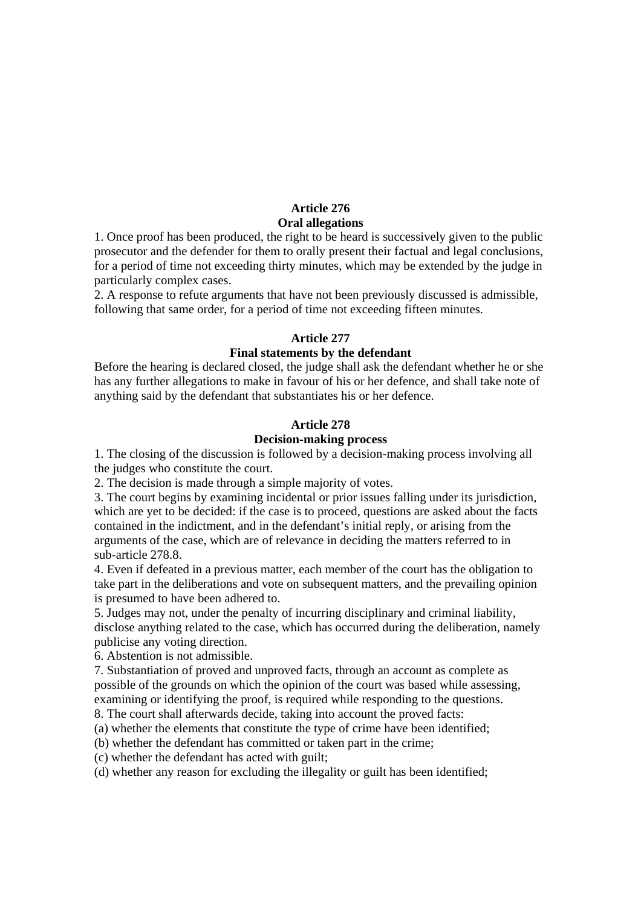## **Article 276 Oral allegations**

1. Once proof has been produced, the right to be heard is successively given to the public prosecutor and the defender for them to orally present their factual and legal conclusions, for a period of time not exceeding thirty minutes, which may be extended by the judge in particularly complex cases.

2. A response to refute arguments that have not been previously discussed is admissible, following that same order, for a period of time not exceeding fifteen minutes.

### **Article 277**

#### **Final statements by the defendant**

Before the hearing is declared closed, the judge shall ask the defendant whether he or she has any further allegations to make in favour of his or her defence, and shall take note of anything said by the defendant that substantiates his or her defence.

## **Article 278**

## **Decision-making process**

1. The closing of the discussion is followed by a decision-making process involving all the judges who constitute the court.

2. The decision is made through a simple majority of votes.

3. The court begins by examining incidental or prior issues falling under its jurisdiction, which are yet to be decided: if the case is to proceed, questions are asked about the facts contained in the indictment, and in the defendant's initial reply, or arising from the arguments of the case, which are of relevance in deciding the matters referred to in sub-article 278.8.

4. Even if defeated in a previous matter, each member of the court has the obligation to take part in the deliberations and vote on subsequent matters, and the prevailing opinion is presumed to have been adhered to.

5. Judges may not, under the penalty of incurring disciplinary and criminal liability, disclose anything related to the case, which has occurred during the deliberation, namely publicise any voting direction.

6. Abstention is not admissible.

7. Substantiation of proved and unproved facts, through an account as complete as possible of the grounds on which the opinion of the court was based while assessing, examining or identifying the proof, is required while responding to the questions. 8. The court shall afterwards decide, taking into account the proved facts:

(a) whether the elements that constitute the type of crime have been identified;

(b) whether the defendant has committed or taken part in the crime;

(c) whether the defendant has acted with guilt;

(d) whether any reason for excluding the illegality or guilt has been identified;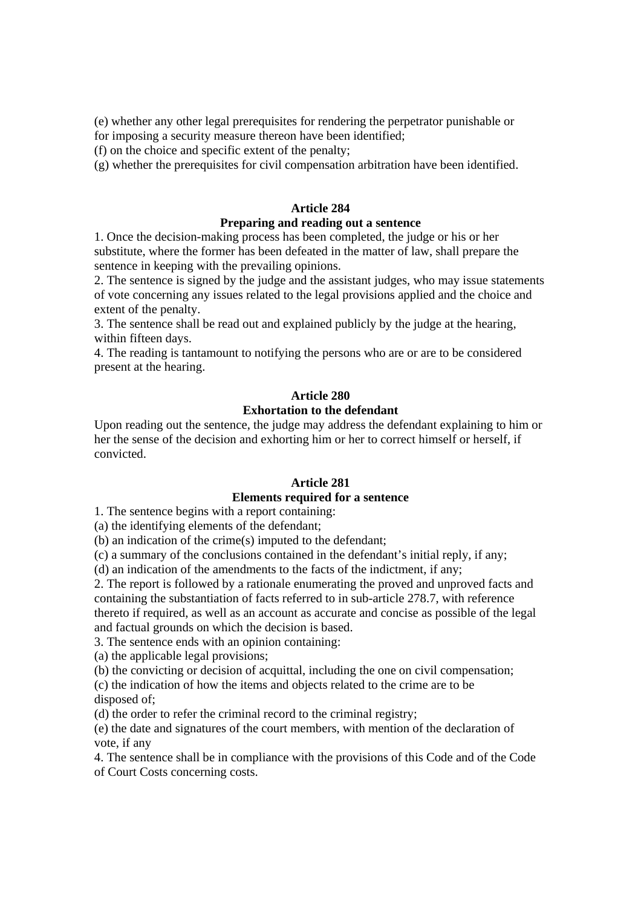(e) whether any other legal prerequisites for rendering the perpetrator punishable or for imposing a security measure thereon have been identified;

(f) on the choice and specific extent of the penalty;

(g) whether the prerequisites for civil compensation arbitration have been identified.

## **Article 284**

#### **Preparing and reading out a sentence**

1. Once the decision-making process has been completed, the judge or his or her substitute, where the former has been defeated in the matter of law, shall prepare the sentence in keeping with the prevailing opinions.

2. The sentence is signed by the judge and the assistant judges, who may issue statements of vote concerning any issues related to the legal provisions applied and the choice and extent of the penalty.

3. The sentence shall be read out and explained publicly by the judge at the hearing, within fifteen days.

4. The reading is tantamount to notifying the persons who are or are to be considered present at the hearing.

#### **Article 280 Exhortation to the defendant**

Upon reading out the sentence, the judge may address the defendant explaining to him or her the sense of the decision and exhorting him or her to correct himself or herself, if convicted.

#### **Article 281**

### **Elements required for a sentence**

1. The sentence begins with a report containing:

(a) the identifying elements of the defendant;

(b) an indication of the crime(s) imputed to the defendant;

(c) a summary of the conclusions contained in the defendant's initial reply, if any;

(d) an indication of the amendments to the facts of the indictment, if any;

2. The report is followed by a rationale enumerating the proved and unproved facts and containing the substantiation of facts referred to in sub-article 278.7, with reference thereto if required, as well as an account as accurate and concise as possible of the legal and factual grounds on which the decision is based.

3. The sentence ends with an opinion containing:

(a) the applicable legal provisions;

(b) the convicting or decision of acquittal, including the one on civil compensation;

(c) the indication of how the items and objects related to the crime are to be disposed of;

(d) the order to refer the criminal record to the criminal registry;

(e) the date and signatures of the court members, with mention of the declaration of vote, if any

4. The sentence shall be in compliance with the provisions of this Code and of the Code of Court Costs concerning costs.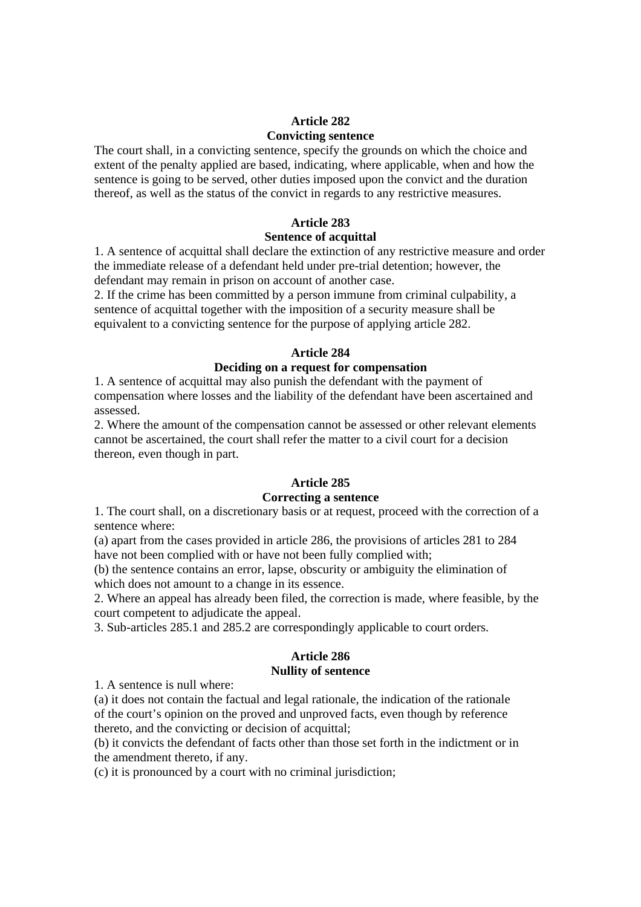## **Article 282 Convicting sentence**

The court shall, in a convicting sentence, specify the grounds on which the choice and extent of the penalty applied are based, indicating, where applicable, when and how the sentence is going to be served, other duties imposed upon the convict and the duration thereof, as well as the status of the convict in regards to any restrictive measures.

## **Article 283**

## **Sentence of acquittal**

1. A sentence of acquittal shall declare the extinction of any restrictive measure and order the immediate release of a defendant held under pre-trial detention; however, the defendant may remain in prison on account of another case.

2. If the crime has been committed by a person immune from criminal culpability, a sentence of acquittal together with the imposition of a security measure shall be equivalent to a convicting sentence for the purpose of applying article 282.

## **Article 284**

## **Deciding on a request for compensation**

1. A sentence of acquittal may also punish the defendant with the payment of compensation where losses and the liability of the defendant have been ascertained and assessed.

2. Where the amount of the compensation cannot be assessed or other relevant elements cannot be ascertained, the court shall refer the matter to a civil court for a decision thereon, even though in part.

## **Article 285**

## **Correcting a sentence**

1. The court shall, on a discretionary basis or at request, proceed with the correction of a sentence where:

(a) apart from the cases provided in article 286, the provisions of articles 281 to 284 have not been complied with or have not been fully complied with;

(b) the sentence contains an error, lapse, obscurity or ambiguity the elimination of which does not amount to a change in its essence.

2. Where an appeal has already been filed, the correction is made, where feasible, by the court competent to adjudicate the appeal.

3. Sub-articles 285.1 and 285.2 are correspondingly applicable to court orders.

### **Article 286 Nullity of sentence**

1. A sentence is null where:

(a) it does not contain the factual and legal rationale, the indication of the rationale of the court's opinion on the proved and unproved facts, even though by reference thereto, and the convicting or decision of acquittal;

(b) it convicts the defendant of facts other than those set forth in the indictment or in the amendment thereto, if any.

(c) it is pronounced by a court with no criminal jurisdiction;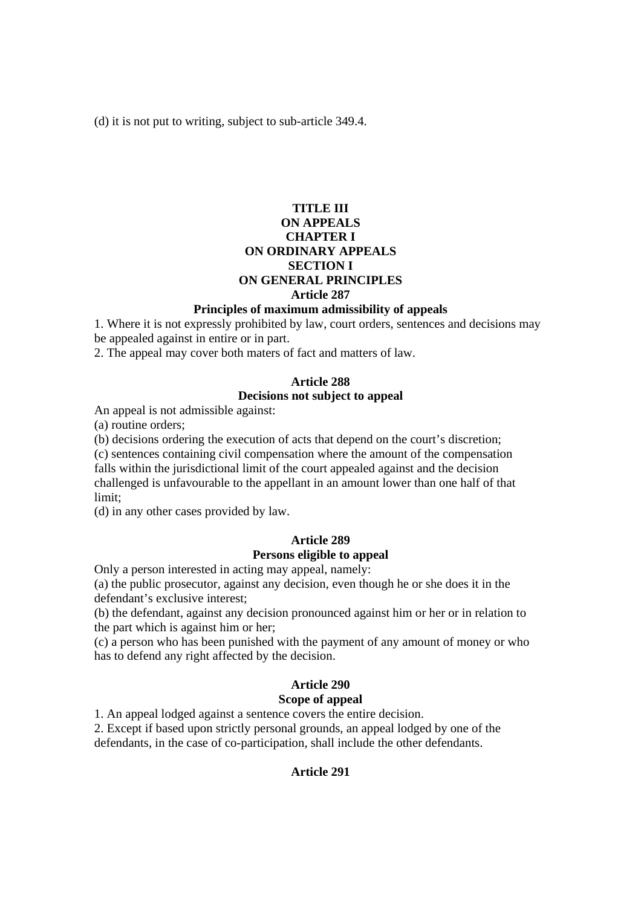(d) it is not put to writing, subject to sub-article 349.4.

## **TITLE III ON APPEALS CHAPTER I ON ORDINARY APPEALS SECTION I ON GENERAL PRINCIPLES Article 287**

#### **Principles of maximum admissibility of appeals**

1. Where it is not expressly prohibited by law, court orders, sentences and decisions may be appealed against in entire or in part.

2. The appeal may cover both maters of fact and matters of law.

## **Article 288**

### **Decisions not subject to appeal**

An appeal is not admissible against:

(a) routine orders;

(b) decisions ordering the execution of acts that depend on the court's discretion;

(c) sentences containing civil compensation where the amount of the compensation falls within the jurisdictional limit of the court appealed against and the decision challenged is unfavourable to the appellant in an amount lower than one half of that limit;

(d) in any other cases provided by law.

### **Article 289 Persons eligible to appeal**

Only a person interested in acting may appeal, namely:

(a) the public prosecutor, against any decision, even though he or she does it in the defendant's exclusive interest;

(b) the defendant, against any decision pronounced against him or her or in relation to the part which is against him or her;

(c) a person who has been punished with the payment of any amount of money or who has to defend any right affected by the decision.

# **Article 290**

## **Scope of appeal**

1. An appeal lodged against a sentence covers the entire decision.

2. Except if based upon strictly personal grounds, an appeal lodged by one of the defendants, in the case of co-participation, shall include the other defendants.

#### **Article 291**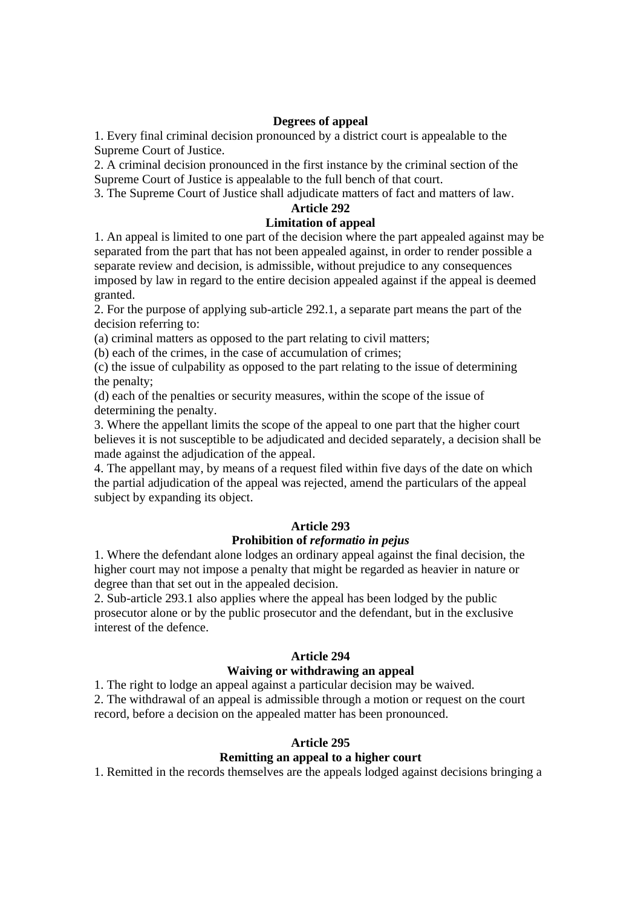### **Degrees of appeal**

1. Every final criminal decision pronounced by a district court is appealable to the Supreme Court of Justice.

2. A criminal decision pronounced in the first instance by the criminal section of the Supreme Court of Justice is appealable to the full bench of that court.

3. The Supreme Court of Justice shall adjudicate matters of fact and matters of law.

## **Article 292**

## **Limitation of appeal**

1. An appeal is limited to one part of the decision where the part appealed against may be separated from the part that has not been appealed against, in order to render possible a separate review and decision, is admissible, without prejudice to any consequences imposed by law in regard to the entire decision appealed against if the appeal is deemed granted.

2. For the purpose of applying sub-article 292.1, a separate part means the part of the decision referring to:

(a) criminal matters as opposed to the part relating to civil matters;

(b) each of the crimes, in the case of accumulation of crimes;

(c) the issue of culpability as opposed to the part relating to the issue of determining the penalty;

(d) each of the penalties or security measures, within the scope of the issue of determining the penalty.

3. Where the appellant limits the scope of the appeal to one part that the higher court believes it is not susceptible to be adjudicated and decided separately, a decision shall be made against the adjudication of the appeal.

4. The appellant may, by means of a request filed within five days of the date on which the partial adjudication of the appeal was rejected, amend the particulars of the appeal subject by expanding its object.

## **Article 293**

## **Prohibition of** *reformatio in pejus*

1. Where the defendant alone lodges an ordinary appeal against the final decision, the higher court may not impose a penalty that might be regarded as heavier in nature or degree than that set out in the appealed decision.

2. Sub-article 293.1 also applies where the appeal has been lodged by the public prosecutor alone or by the public prosecutor and the defendant, but in the exclusive interest of the defence.

#### **Article 294**

## **Waiving or withdrawing an appeal**

1. The right to lodge an appeal against a particular decision may be waived. 2. The withdrawal of an appeal is admissible through a motion or request on the court record, before a decision on the appealed matter has been pronounced.

## **Article 295**

## **Remitting an appeal to a higher court**

1. Remitted in the records themselves are the appeals lodged against decisions bringing a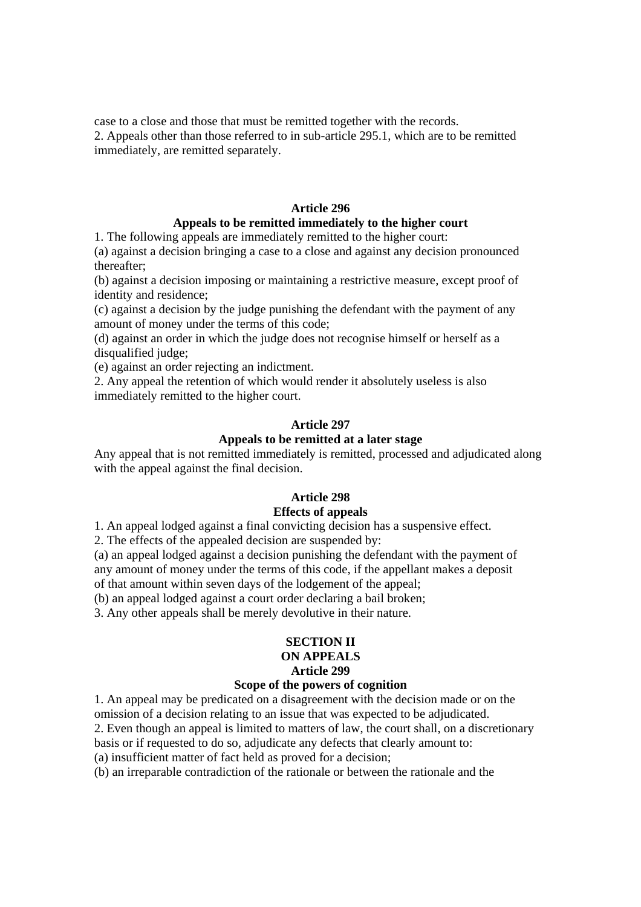case to a close and those that must be remitted together with the records.

2. Appeals other than those referred to in sub-article 295.1, which are to be remitted immediately, are remitted separately.

## **Article 296**

## **Appeals to be remitted immediately to the higher court**

1. The following appeals are immediately remitted to the higher court:

(a) against a decision bringing a case to a close and against any decision pronounced thereafter;

(b) against a decision imposing or maintaining a restrictive measure, except proof of identity and residence;

(c) against a decision by the judge punishing the defendant with the payment of any amount of money under the terms of this code;

(d) against an order in which the judge does not recognise himself or herself as a disqualified judge;

(e) against an order rejecting an indictment.

2. Any appeal the retention of which would render it absolutely useless is also immediately remitted to the higher court.

### **Article 297**

## **Appeals to be remitted at a later stage**

Any appeal that is not remitted immediately is remitted, processed and adjudicated along with the appeal against the final decision.

## **Article 298**

## **Effects of appeals**

1. An appeal lodged against a final convicting decision has a suspensive effect.

2. The effects of the appealed decision are suspended by:

(a) an appeal lodged against a decision punishing the defendant with the payment of any amount of money under the terms of this code, if the appellant makes a deposit of that amount within seven days of the lodgement of the appeal;

(b) an appeal lodged against a court order declaring a bail broken;

3. Any other appeals shall be merely devolutive in their nature.

#### **SECTION II ON APPEALS Article 299**

#### **Scope of the powers of cognition**

1. An appeal may be predicated on a disagreement with the decision made or on the omission of a decision relating to an issue that was expected to be adjudicated.

2. Even though an appeal is limited to matters of law, the court shall, on a discretionary

basis or if requested to do so, adjudicate any defects that clearly amount to:

(a) insufficient matter of fact held as proved for a decision;

(b) an irreparable contradiction of the rationale or between the rationale and the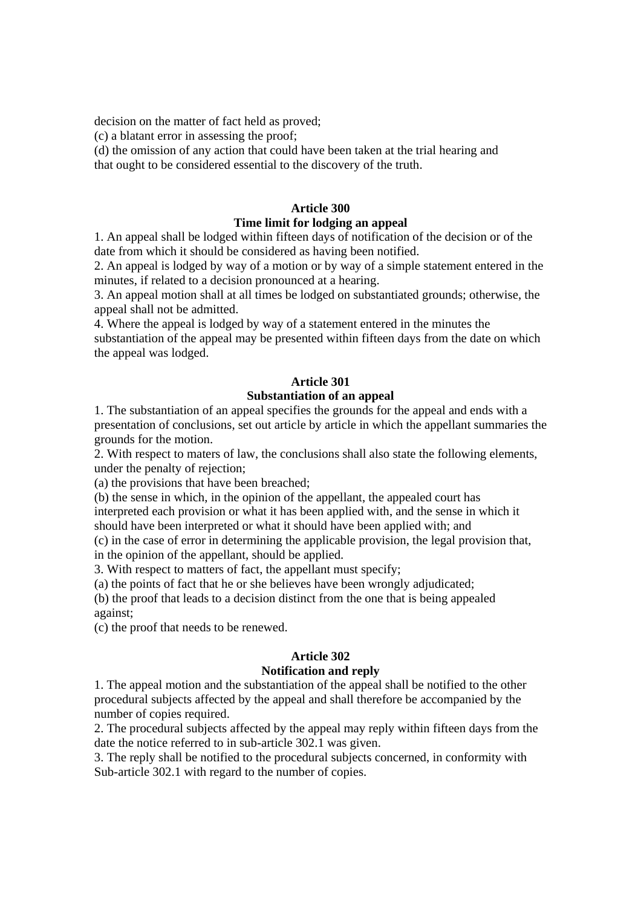decision on the matter of fact held as proved;

(c) a blatant error in assessing the proof;

(d) the omission of any action that could have been taken at the trial hearing and that ought to be considered essential to the discovery of the truth.

## **Article 300**

## **Time limit for lodging an appeal**

1. An appeal shall be lodged within fifteen days of notification of the decision or of the date from which it should be considered as having been notified.

2. An appeal is lodged by way of a motion or by way of a simple statement entered in the minutes, if related to a decision pronounced at a hearing.

3. An appeal motion shall at all times be lodged on substantiated grounds; otherwise, the appeal shall not be admitted.

4. Where the appeal is lodged by way of a statement entered in the minutes the substantiation of the appeal may be presented within fifteen days from the date on which the appeal was lodged.

## **Article 301**

## **Substantiation of an appeal**

1. The substantiation of an appeal specifies the grounds for the appeal and ends with a presentation of conclusions, set out article by article in which the appellant summaries the grounds for the motion.

2. With respect to maters of law, the conclusions shall also state the following elements, under the penalty of rejection;

(a) the provisions that have been breached;

(b) the sense in which, in the opinion of the appellant, the appealed court has

interpreted each provision or what it has been applied with, and the sense in which it should have been interpreted or what it should have been applied with; and

(c) in the case of error in determining the applicable provision, the legal provision that, in the opinion of the appellant, should be applied.

3. With respect to matters of fact, the appellant must specify;

(a) the points of fact that he or she believes have been wrongly adjudicated;

(b) the proof that leads to a decision distinct from the one that is being appealed against;

(c) the proof that needs to be renewed.

## **Article 302**

## **Notification and reply**

1. The appeal motion and the substantiation of the appeal shall be notified to the other procedural subjects affected by the appeal and shall therefore be accompanied by the number of copies required.

2. The procedural subjects affected by the appeal may reply within fifteen days from the date the notice referred to in sub-article 302.1 was given.

3. The reply shall be notified to the procedural subjects concerned, in conformity with Sub-article 302.1 with regard to the number of copies.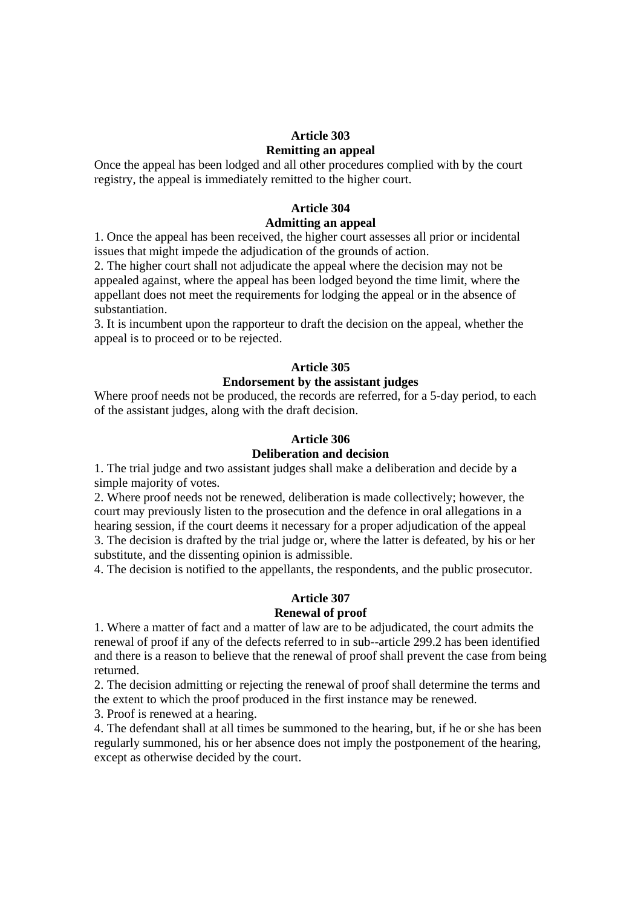## **Article 303**

#### **Remitting an appeal**

Once the appeal has been lodged and all other procedures complied with by the court registry, the appeal is immediately remitted to the higher court.

### **Article 304 Admitting an appeal**

1. Once the appeal has been received, the higher court assesses all prior or incidental issues that might impede the adjudication of the grounds of action.

2. The higher court shall not adjudicate the appeal where the decision may not be appealed against, where the appeal has been lodged beyond the time limit, where the appellant does not meet the requirements for lodging the appeal or in the absence of substantiation.

3. It is incumbent upon the rapporteur to draft the decision on the appeal, whether the appeal is to proceed or to be rejected.

#### **Article 305**

### **Endorsement by the assistant judges**

Where proof needs not be produced, the records are referred, for a 5-day period, to each of the assistant judges, along with the draft decision.

#### **Article 306**

#### **Deliberation and decision**

1. The trial judge and two assistant judges shall make a deliberation and decide by a simple majority of votes.

2. Where proof needs not be renewed, deliberation is made collectively; however, the court may previously listen to the prosecution and the defence in oral allegations in a hearing session, if the court deems it necessary for a proper adjudication of the appeal 3. The decision is drafted by the trial judge or, where the latter is defeated, by his or her substitute, and the dissenting opinion is admissible.

4. The decision is notified to the appellants, the respondents, and the public prosecutor.

#### **Article 307**

#### **Renewal of proof**

1. Where a matter of fact and a matter of law are to be adjudicated, the court admits the renewal of proof if any of the defects referred to in sub--article 299.2 has been identified and there is a reason to believe that the renewal of proof shall prevent the case from being returned.

2. The decision admitting or rejecting the renewal of proof shall determine the terms and the extent to which the proof produced in the first instance may be renewed.

3. Proof is renewed at a hearing.

4. The defendant shall at all times be summoned to the hearing, but, if he or she has been regularly summoned, his or her absence does not imply the postponement of the hearing, except as otherwise decided by the court.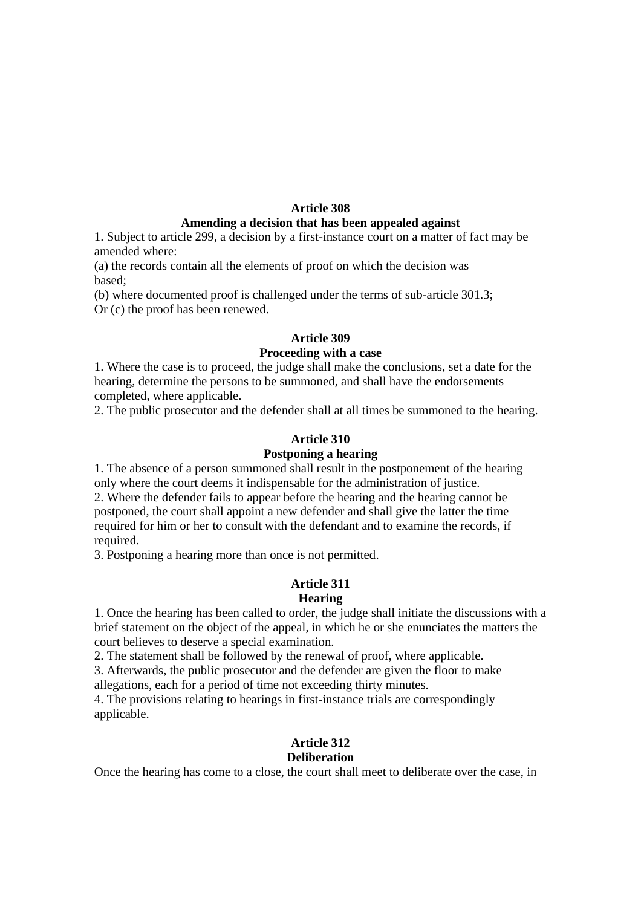### **Article 308**

#### **Amending a decision that has been appealed against**

1. Subject to article 299, a decision by a first-instance court on a matter of fact may be amended where:

(a) the records contain all the elements of proof on which the decision was based;

(b) where documented proof is challenged under the terms of sub-article 301.3; Or (c) the proof has been renewed.

## **Article 309**

#### **Proceeding with a case**

1. Where the case is to proceed, the judge shall make the conclusions, set a date for the hearing, determine the persons to be summoned, and shall have the endorsements completed, where applicable.

2. The public prosecutor and the defender shall at all times be summoned to the hearing.

#### **Article 310**

## **Postponing a hearing**

1. The absence of a person summoned shall result in the postponement of the hearing only where the court deems it indispensable for the administration of justice.

2. Where the defender fails to appear before the hearing and the hearing cannot be postponed, the court shall appoint a new defender and shall give the latter the time required for him or her to consult with the defendant and to examine the records, if required.

3. Postponing a hearing more than once is not permitted.

#### **Article 311 Hearing**

1. Once the hearing has been called to order, the judge shall initiate the discussions with a brief statement on the object of the appeal, in which he or she enunciates the matters the court believes to deserve a special examination.

2. The statement shall be followed by the renewal of proof, where applicable.

3. Afterwards, the public prosecutor and the defender are given the floor to make allegations, each for a period of time not exceeding thirty minutes.

4. The provisions relating to hearings in first-instance trials are correspondingly applicable.

## **Article 312**

### **Deliberation**

Once the hearing has come to a close, the court shall meet to deliberate over the case, in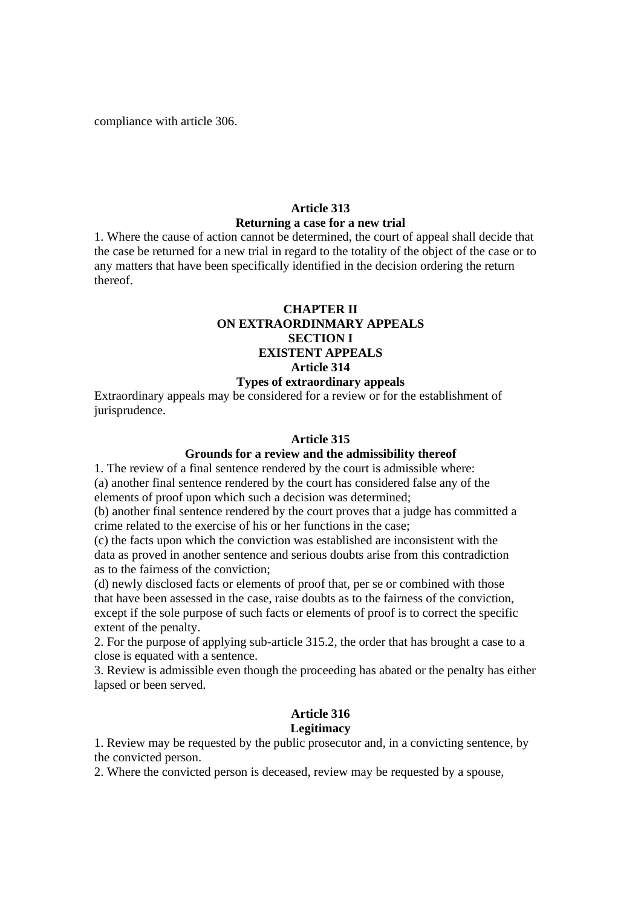compliance with article 306.

#### **Article 313**

#### **Returning a case for a new trial**

1. Where the cause of action cannot be determined, the court of appeal shall decide that the case be returned for a new trial in regard to the totality of the object of the case or to any matters that have been specifically identified in the decision ordering the return thereof.

## **CHAPTER II ON EXTRAORDINMARY APPEALS SECTION I EXISTENT APPEALS Article 314**

#### **Types of extraordinary appeals**

Extraordinary appeals may be considered for a review or for the establishment of jurisprudence.

#### **Article 315**

## **Grounds for a review and the admissibility thereof**

1. The review of a final sentence rendered by the court is admissible where: (a) another final sentence rendered by the court has considered false any of the elements of proof upon which such a decision was determined;

(b) another final sentence rendered by the court proves that a judge has committed a crime related to the exercise of his or her functions in the case;

(c) the facts upon which the conviction was established are inconsistent with the data as proved in another sentence and serious doubts arise from this contradiction as to the fairness of the conviction;

(d) newly disclosed facts or elements of proof that, per se or combined with those that have been assessed in the case, raise doubts as to the fairness of the conviction, except if the sole purpose of such facts or elements of proof is to correct the specific extent of the penalty.

2. For the purpose of applying sub-article 315.2, the order that has brought a case to a close is equated with a sentence.

3. Review is admissible even though the proceeding has abated or the penalty has either lapsed or been served.

#### **Article 316 Legitimacy**

1. Review may be requested by the public prosecutor and, in a convicting sentence, by the convicted person.

2. Where the convicted person is deceased, review may be requested by a spouse,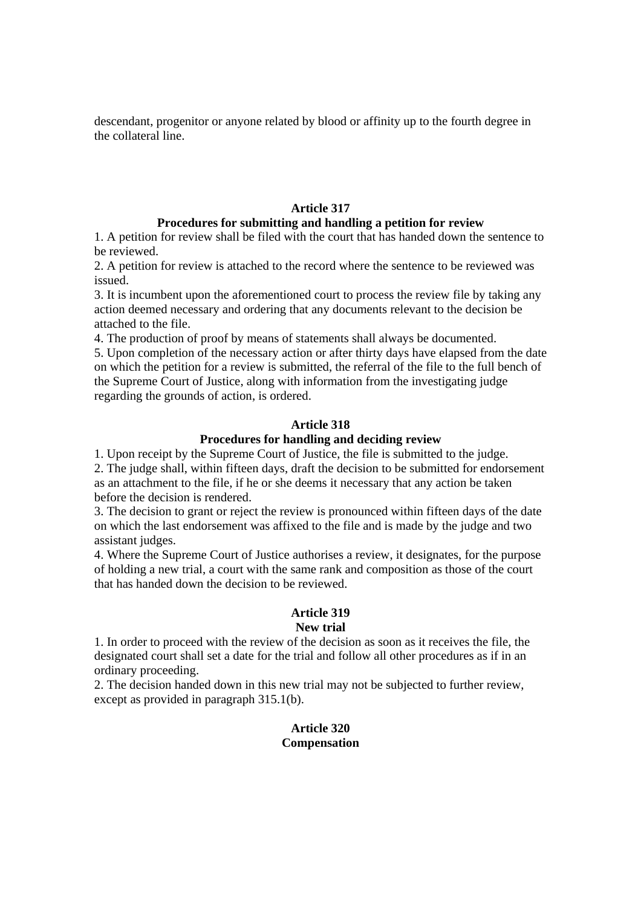descendant, progenitor or anyone related by blood or affinity up to the fourth degree in the collateral line.

## **Article 317**

## **Procedures for submitting and handling a petition for review**

1. A petition for review shall be filed with the court that has handed down the sentence to be reviewed.

2. A petition for review is attached to the record where the sentence to be reviewed was issued.

3. It is incumbent upon the aforementioned court to process the review file by taking any action deemed necessary and ordering that any documents relevant to the decision be attached to the file.

4. The production of proof by means of statements shall always be documented.

5. Upon completion of the necessary action or after thirty days have elapsed from the date on which the petition for a review is submitted, the referral of the file to the full bench of the Supreme Court of Justice, along with information from the investigating judge regarding the grounds of action, is ordered.

### **Article 318**

#### **Procedures for handling and deciding review**

1. Upon receipt by the Supreme Court of Justice, the file is submitted to the judge. 2. The judge shall, within fifteen days, draft the decision to be submitted for endorsement as an attachment to the file, if he or she deems it necessary that any action be taken before the decision is rendered.

3. The decision to grant or reject the review is pronounced within fifteen days of the date on which the last endorsement was affixed to the file and is made by the judge and two assistant judges.

4. Where the Supreme Court of Justice authorises a review, it designates, for the purpose of holding a new trial, a court with the same rank and composition as those of the court that has handed down the decision to be reviewed.

#### **Article 319 New trial**

1. In order to proceed with the review of the decision as soon as it receives the file, the designated court shall set a date for the trial and follow all other procedures as if in an ordinary proceeding.

2. The decision handed down in this new trial may not be subjected to further review, except as provided in paragraph 315.1(b).

## **Article 320 Compensation**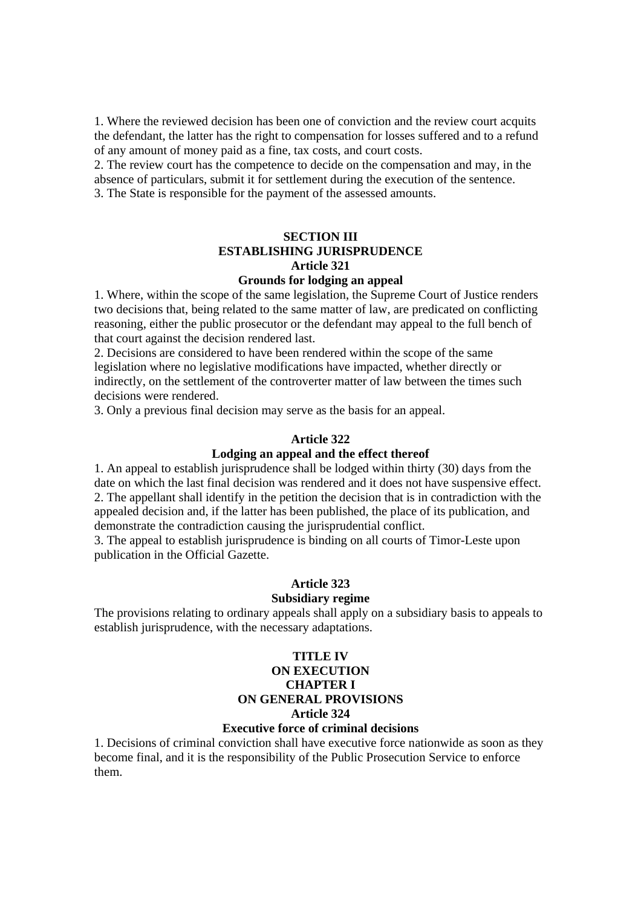1. Where the reviewed decision has been one of conviction and the review court acquits the defendant, the latter has the right to compensation for losses suffered and to a refund of any amount of money paid as a fine, tax costs, and court costs.

2. The review court has the competence to decide on the compensation and may, in the absence of particulars, submit it for settlement during the execution of the sentence. 3. The State is responsible for the payment of the assessed amounts.

## **SECTION III ESTABLISHING JURISPRUDENCE Article 321**

## **Grounds for lodging an appeal**

1. Where, within the scope of the same legislation, the Supreme Court of Justice renders two decisions that, being related to the same matter of law, are predicated on conflicting reasoning, either the public prosecutor or the defendant may appeal to the full bench of that court against the decision rendered last.

2. Decisions are considered to have been rendered within the scope of the same legislation where no legislative modifications have impacted, whether directly or indirectly, on the settlement of the controverter matter of law between the times such decisions were rendered.

3. Only a previous final decision may serve as the basis for an appeal.

#### **Article 322**

## **Lodging an appeal and the effect thereof**

1. An appeal to establish jurisprudence shall be lodged within thirty (30) days from the date on which the last final decision was rendered and it does not have suspensive effect. 2. The appellant shall identify in the petition the decision that is in contradiction with the appealed decision and, if the latter has been published, the place of its publication, and demonstrate the contradiction causing the jurisprudential conflict.

3. The appeal to establish jurisprudence is binding on all courts of Timor-Leste upon publication in the Official Gazette.

### **Article 323**

#### **Subsidiary regime**

The provisions relating to ordinary appeals shall apply on a subsidiary basis to appeals to establish jurisprudence, with the necessary adaptations.

## **TITLE IV ON EXECUTION CHAPTER I ON GENERAL PROVISIONS Article 324**

## **Executive force of criminal decisions**

1. Decisions of criminal conviction shall have executive force nationwide as soon as they become final, and it is the responsibility of the Public Prosecution Service to enforce them.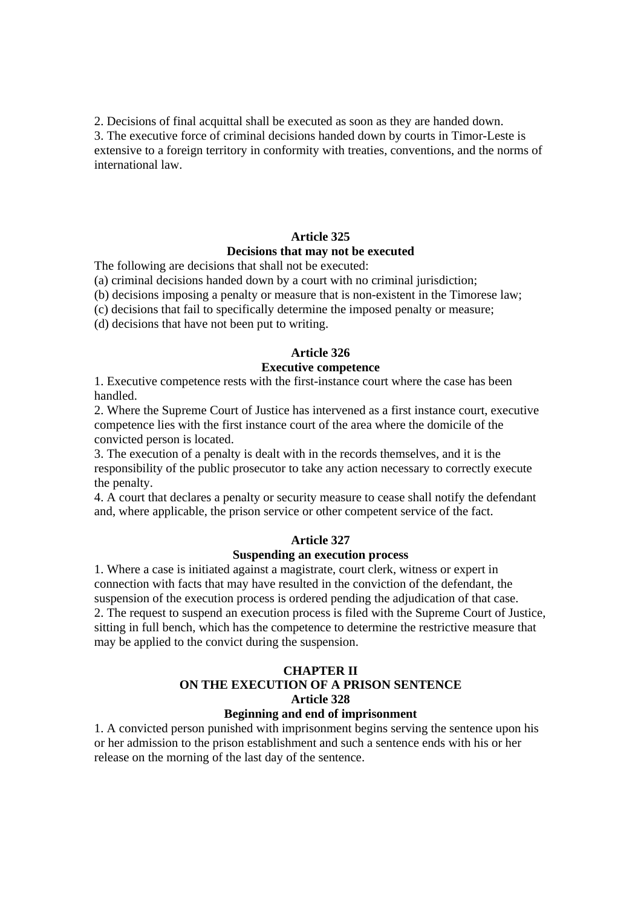2. Decisions of final acquittal shall be executed as soon as they are handed down.

3. The executive force of criminal decisions handed down by courts in Timor-Leste is extensive to a foreign territory in conformity with treaties, conventions, and the norms of international law.

## **Article 325 Decisions that may not be executed**

The following are decisions that shall not be executed:

(a) criminal decisions handed down by a court with no criminal jurisdiction;

(b) decisions imposing a penalty or measure that is non-existent in the Timorese law;

(c) decisions that fail to specifically determine the imposed penalty or measure;

(d) decisions that have not been put to writing.

## **Article 326**

## **Executive competence**

1. Executive competence rests with the first-instance court where the case has been handled.

2. Where the Supreme Court of Justice has intervened as a first instance court, executive competence lies with the first instance court of the area where the domicile of the convicted person is located.

3. The execution of a penalty is dealt with in the records themselves, and it is the responsibility of the public prosecutor to take any action necessary to correctly execute the penalty.

4. A court that declares a penalty or security measure to cease shall notify the defendant and, where applicable, the prison service or other competent service of the fact.

## **Article 327**

## **Suspending an execution process**

1. Where a case is initiated against a magistrate, court clerk, witness or expert in connection with facts that may have resulted in the conviction of the defendant, the suspension of the execution process is ordered pending the adjudication of that case. 2. The request to suspend an execution process is filed with the Supreme Court of Justice, sitting in full bench, which has the competence to determine the restrictive measure that may be applied to the convict during the suspension.

## **CHAPTER II ON THE EXECUTION OF A PRISON SENTENCE Article 328**

## **Beginning and end of imprisonment**

1. A convicted person punished with imprisonment begins serving the sentence upon his or her admission to the prison establishment and such a sentence ends with his or her release on the morning of the last day of the sentence.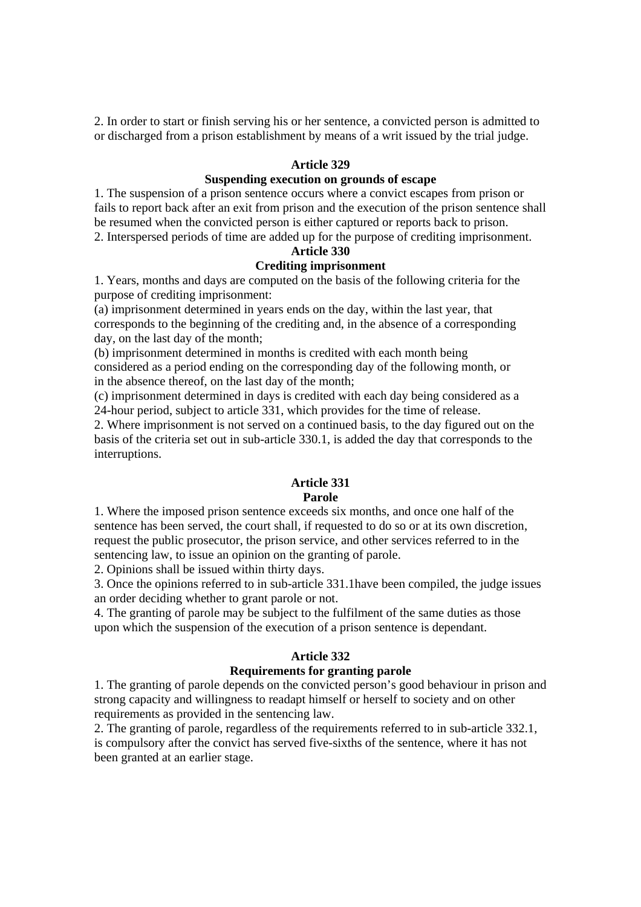2. In order to start or finish serving his or her sentence, a convicted person is admitted to or discharged from a prison establishment by means of a writ issued by the trial judge.

#### **Article 329**

## **Suspending execution on grounds of escape**

1. The suspension of a prison sentence occurs where a convict escapes from prison or fails to report back after an exit from prison and the execution of the prison sentence shall be resumed when the convicted person is either captured or reports back to prison. 2. Interspersed periods of time are added up for the purpose of crediting imprisonment.

#### **Article 330**

#### **Crediting imprisonment**

1. Years, months and days are computed on the basis of the following criteria for the purpose of crediting imprisonment:

(a) imprisonment determined in years ends on the day, within the last year, that corresponds to the beginning of the crediting and, in the absence of a corresponding day, on the last day of the month;

(b) imprisonment determined in months is credited with each month being considered as a period ending on the corresponding day of the following month, or in the absence thereof, on the last day of the month;

(c) imprisonment determined in days is credited with each day being considered as a 24-hour period, subject to article 331, which provides for the time of release.

2. Where imprisonment is not served on a continued basis, to the day figured out on the basis of the criteria set out in sub-article 330.1, is added the day that corresponds to the interruptions.

#### **Article 331 Parole**

1. Where the imposed prison sentence exceeds six months, and once one half of the sentence has been served, the court shall, if requested to do so or at its own discretion, request the public prosecutor, the prison service, and other services referred to in the sentencing law, to issue an opinion on the granting of parole.

2. Opinions shall be issued within thirty days.

3. Once the opinions referred to in sub-article 331.1have been compiled, the judge issues an order deciding whether to grant parole or not.

4. The granting of parole may be subject to the fulfilment of the same duties as those upon which the suspension of the execution of a prison sentence is dependant.

#### **Article 332**

#### **Requirements for granting parole**

1. The granting of parole depends on the convicted person's good behaviour in prison and strong capacity and willingness to readapt himself or herself to society and on other requirements as provided in the sentencing law.

2. The granting of parole, regardless of the requirements referred to in sub-article 332.1, is compulsory after the convict has served five-sixths of the sentence, where it has not been granted at an earlier stage.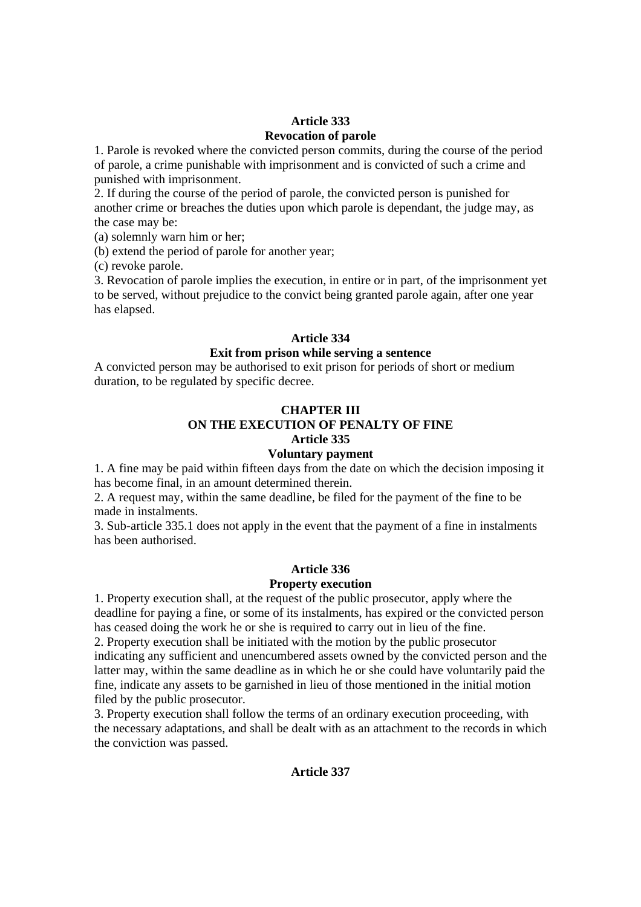## **Article 333 Revocation of parole**

1. Parole is revoked where the convicted person commits, during the course of the period of parole, a crime punishable with imprisonment and is convicted of such a crime and punished with imprisonment.

2. If during the course of the period of parole, the convicted person is punished for another crime or breaches the duties upon which parole is dependant, the judge may, as the case may be:

(a) solemnly warn him or her;

(b) extend the period of parole for another year;

(c) revoke parole.

3. Revocation of parole implies the execution, in entire or in part, of the imprisonment yet to be served, without prejudice to the convict being granted parole again, after one year has elapsed.

### **Article 334**

## **Exit from prison while serving a sentence**

A convicted person may be authorised to exit prison for periods of short or medium duration, to be regulated by specific decree.

## **CHAPTER III**

#### **ON THE EXECUTION OF PENALTY OF FINE Article 335**

## **Voluntary payment**

1. A fine may be paid within fifteen days from the date on which the decision imposing it has become final, in an amount determined therein.

2. A request may, within the same deadline, be filed for the payment of the fine to be made in instalments.

3. Sub-article 335.1 does not apply in the event that the payment of a fine in instalments has been authorised.

## **Article 336**

#### **Property execution**

1. Property execution shall, at the request of the public prosecutor, apply where the deadline for paying a fine, or some of its instalments, has expired or the convicted person has ceased doing the work he or she is required to carry out in lieu of the fine.

2. Property execution shall be initiated with the motion by the public prosecutor indicating any sufficient and unencumbered assets owned by the convicted person and the latter may, within the same deadline as in which he or she could have voluntarily paid the fine, indicate any assets to be garnished in lieu of those mentioned in the initial motion filed by the public prosecutor.

3. Property execution shall follow the terms of an ordinary execution proceeding, with the necessary adaptations, and shall be dealt with as an attachment to the records in which the conviction was passed.

## **Article 337**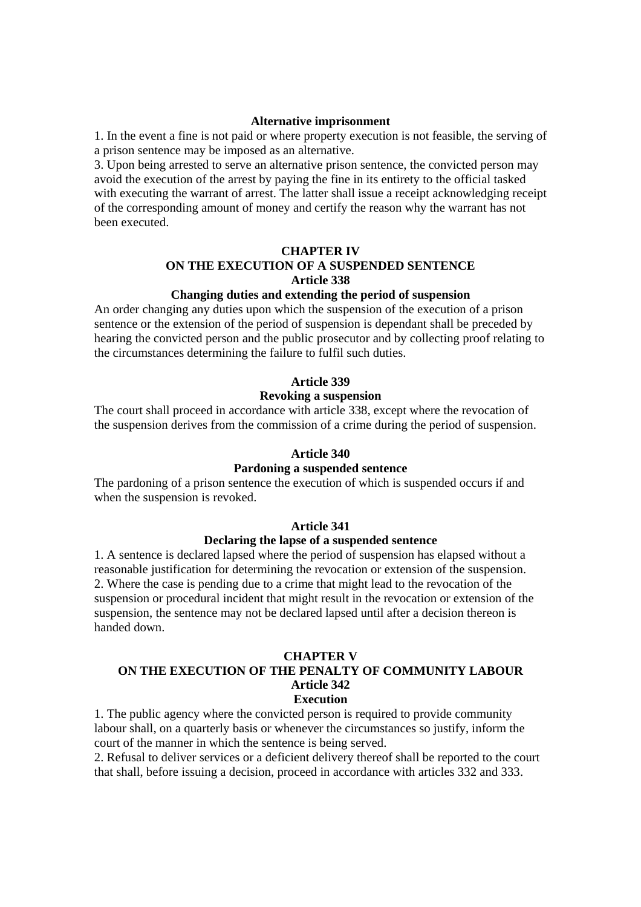#### **Alternative imprisonment**

1. In the event a fine is not paid or where property execution is not feasible, the serving of a prison sentence may be imposed as an alternative.

3. Upon being arrested to serve an alternative prison sentence, the convicted person may avoid the execution of the arrest by paying the fine in its entirety to the official tasked with executing the warrant of arrest. The latter shall issue a receipt acknowledging receipt of the corresponding amount of money and certify the reason why the warrant has not been executed.

## **CHAPTER IV ON THE EXECUTION OF A SUSPENDED SENTENCE Article 338**

### **Changing duties and extending the period of suspension**

An order changing any duties upon which the suspension of the execution of a prison sentence or the extension of the period of suspension is dependant shall be preceded by hearing the convicted person and the public prosecutor and by collecting proof relating to the circumstances determining the failure to fulfil such duties.

### **Article 339**

### **Revoking a suspension**

The court shall proceed in accordance with article 338, except where the revocation of the suspension derives from the commission of a crime during the period of suspension.

#### **Article 340**

#### **Pardoning a suspended sentence**

The pardoning of a prison sentence the execution of which is suspended occurs if and when the suspension is revoked.

#### **Article 341**

#### **Declaring the lapse of a suspended sentence**

1. A sentence is declared lapsed where the period of suspension has elapsed without a reasonable justification for determining the revocation or extension of the suspension. 2. Where the case is pending due to a crime that might lead to the revocation of the suspension or procedural incident that might result in the revocation or extension of the suspension, the sentence may not be declared lapsed until after a decision thereon is handed down.

#### **CHAPTER V**

#### **ON THE EXECUTION OF THE PENALTY OF COMMUNITY LABOUR Article 342 Execution**

1. The public agency where the convicted person is required to provide community labour shall, on a quarterly basis or whenever the circumstances so justify, inform the court of the manner in which the sentence is being served.

2. Refusal to deliver services or a deficient delivery thereof shall be reported to the court that shall, before issuing a decision, proceed in accordance with articles 332 and 333.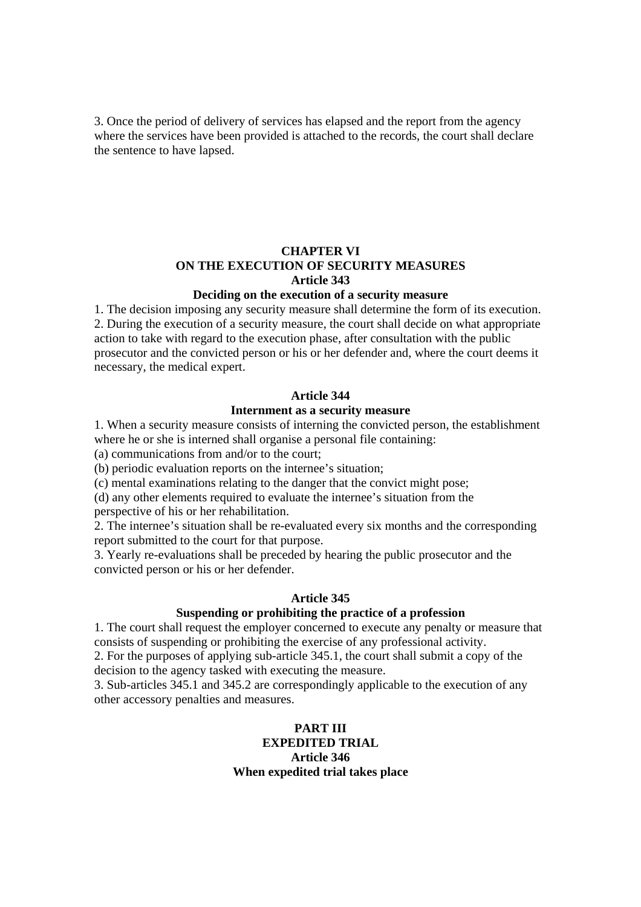3. Once the period of delivery of services has elapsed and the report from the agency where the services have been provided is attached to the records, the court shall declare the sentence to have lapsed.

## **CHAPTER VI ON THE EXECUTION OF SECURITY MEASURES Article 343**

#### **Deciding on the execution of a security measure**

1. The decision imposing any security measure shall determine the form of its execution. 2. During the execution of a security measure, the court shall decide on what appropriate action to take with regard to the execution phase, after consultation with the public prosecutor and the convicted person or his or her defender and, where the court deems it necessary, the medical expert.

#### **Article 344**

#### **Internment as a security measure**

1. When a security measure consists of interning the convicted person, the establishment where he or she is interned shall organise a personal file containing:

(a) communications from and/or to the court;

(b) periodic evaluation reports on the internee's situation;

(c) mental examinations relating to the danger that the convict might pose;

(d) any other elements required to evaluate the internee's situation from the perspective of his or her rehabilitation.

2. The internee's situation shall be re-evaluated every six months and the corresponding report submitted to the court for that purpose.

3. Yearly re-evaluations shall be preceded by hearing the public prosecutor and the convicted person or his or her defender.

#### **Article 345**

#### **Suspending or prohibiting the practice of a profession**

1. The court shall request the employer concerned to execute any penalty or measure that consists of suspending or prohibiting the exercise of any professional activity.

2. For the purposes of applying sub-article 345.1, the court shall submit a copy of the decision to the agency tasked with executing the measure.

3. Sub-articles 345.1 and 345.2 are correspondingly applicable to the execution of any other accessory penalties and measures.

## **PART III EXPEDITED TRIAL Article 346 When expedited trial takes place**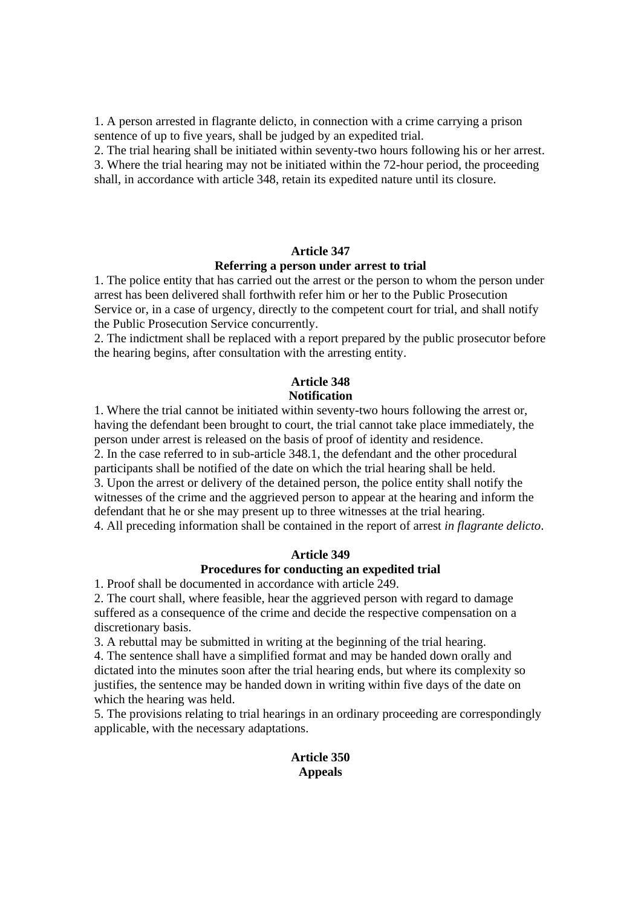1. A person arrested in flagrante delicto, in connection with a crime carrying a prison sentence of up to five years, shall be judged by an expedited trial.

2. The trial hearing shall be initiated within seventy-two hours following his or her arrest. 3. Where the trial hearing may not be initiated within the 72-hour period, the proceeding shall, in accordance with article 348, retain its expedited nature until its closure.

#### **Article 347**

#### **Referring a person under arrest to trial**

1. The police entity that has carried out the arrest or the person to whom the person under arrest has been delivered shall forthwith refer him or her to the Public Prosecution Service or, in a case of urgency, directly to the competent court for trial, and shall notify the Public Prosecution Service concurrently.

2. The indictment shall be replaced with a report prepared by the public prosecutor before the hearing begins, after consultation with the arresting entity.

## **Article 348 Notification**

1. Where the trial cannot be initiated within seventy-two hours following the arrest or, having the defendant been brought to court, the trial cannot take place immediately, the person under arrest is released on the basis of proof of identity and residence. 2. In the case referred to in sub-article 348.1, the defendant and the other procedural participants shall be notified of the date on which the trial hearing shall be held. 3. Upon the arrest or delivery of the detained person, the police entity shall notify the witnesses of the crime and the aggrieved person to appear at the hearing and inform the defendant that he or she may present up to three witnesses at the trial hearing.

4. All preceding information shall be contained in the report of arrest *in flagrante delicto*.

#### **Article 349**

### **Procedures for conducting an expedited trial**

1. Proof shall be documented in accordance with article 249.

2. The court shall, where feasible, hear the aggrieved person with regard to damage suffered as a consequence of the crime and decide the respective compensation on a discretionary basis.

3. A rebuttal may be submitted in writing at the beginning of the trial hearing.

4. The sentence shall have a simplified format and may be handed down orally and dictated into the minutes soon after the trial hearing ends, but where its complexity so justifies, the sentence may be handed down in writing within five days of the date on which the hearing was held.

5. The provisions relating to trial hearings in an ordinary proceeding are correspondingly applicable, with the necessary adaptations.

## **Article 350 Appeals**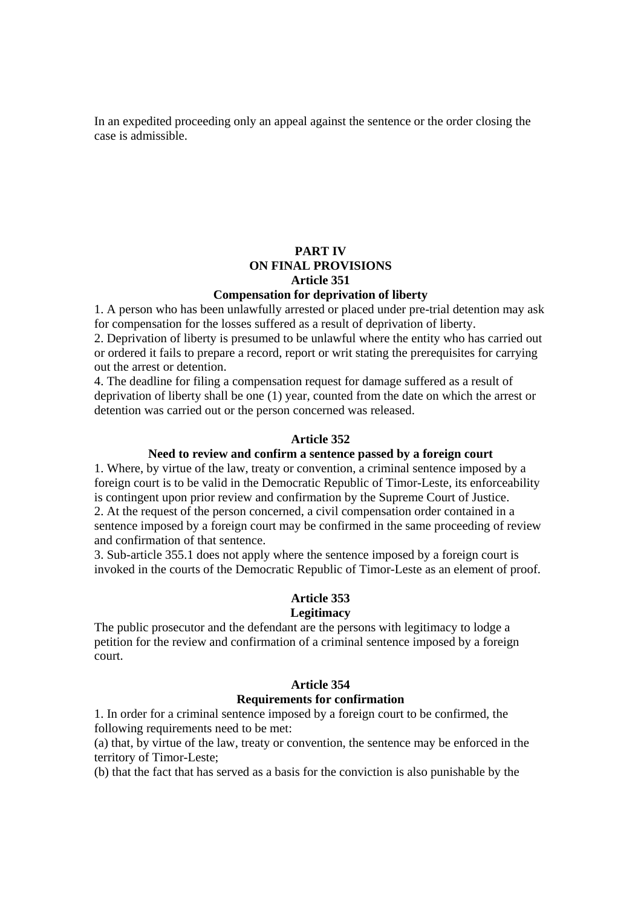In an expedited proceeding only an appeal against the sentence or the order closing the case is admissible.

### **PART IV ON FINAL PROVISIONS Article 351 Compensation for deprivation of liberty**

1. A person who has been unlawfully arrested or placed under pre-trial detention may ask for compensation for the losses suffered as a result of deprivation of liberty.

2. Deprivation of liberty is presumed to be unlawful where the entity who has carried out or ordered it fails to prepare a record, report or writ stating the prerequisites for carrying out the arrest or detention.

4. The deadline for filing a compensation request for damage suffered as a result of deprivation of liberty shall be one (1) year, counted from the date on which the arrest or detention was carried out or the person concerned was released.

#### **Article 352**

## **Need to review and confirm a sentence passed by a foreign court**

1. Where, by virtue of the law, treaty or convention, a criminal sentence imposed by a foreign court is to be valid in the Democratic Republic of Timor-Leste, its enforceability is contingent upon prior review and confirmation by the Supreme Court of Justice. 2. At the request of the person concerned, a civil compensation order contained in a sentence imposed by a foreign court may be confirmed in the same proceeding of review and confirmation of that sentence.

3. Sub-article 355.1 does not apply where the sentence imposed by a foreign court is invoked in the courts of the Democratic Republic of Timor-Leste as an element of proof.

#### **Article 353**

#### **Legitimacy**

The public prosecutor and the defendant are the persons with legitimacy to lodge a petition for the review and confirmation of a criminal sentence imposed by a foreign court.

### **Article 354**

#### **Requirements for confirmation**

1. In order for a criminal sentence imposed by a foreign court to be confirmed, the following requirements need to be met:

(a) that, by virtue of the law, treaty or convention, the sentence may be enforced in the territory of Timor-Leste;

(b) that the fact that has served as a basis for the conviction is also punishable by the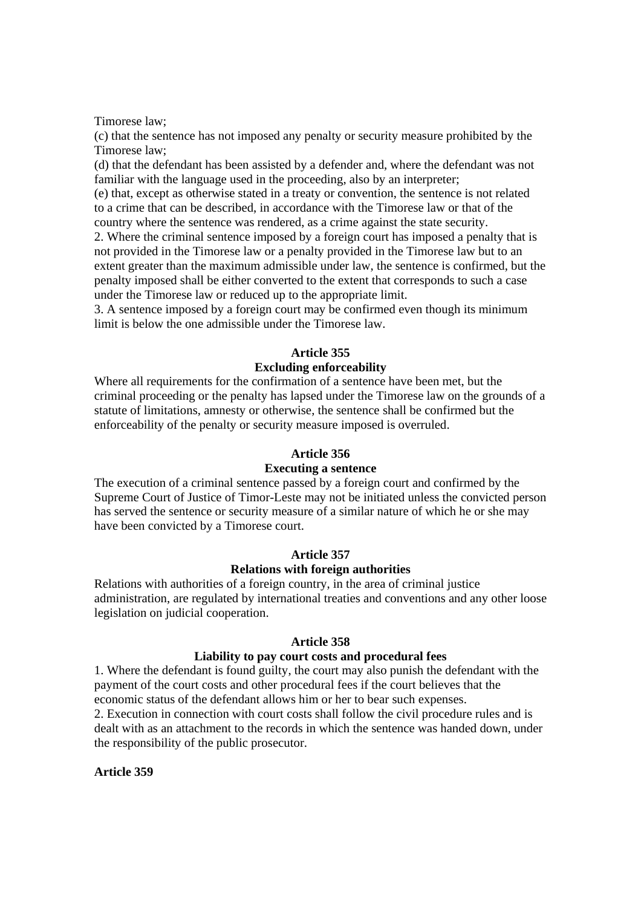Timorese law;

(c) that the sentence has not imposed any penalty or security measure prohibited by the Timorese law;

(d) that the defendant has been assisted by a defender and, where the defendant was not familiar with the language used in the proceeding, also by an interpreter;

(e) that, except as otherwise stated in a treaty or convention, the sentence is not related to a crime that can be described, in accordance with the Timorese law or that of the country where the sentence was rendered, as a crime against the state security.

2. Where the criminal sentence imposed by a foreign court has imposed a penalty that is not provided in the Timorese law or a penalty provided in the Timorese law but to an extent greater than the maximum admissible under law, the sentence is confirmed, but the penalty imposed shall be either converted to the extent that corresponds to such a case under the Timorese law or reduced up to the appropriate limit.

3. A sentence imposed by a foreign court may be confirmed even though its minimum limit is below the one admissible under the Timorese law.

#### **Article 355**

#### **Excluding enforceability**

Where all requirements for the confirmation of a sentence have been met, but the criminal proceeding or the penalty has lapsed under the Timorese law on the grounds of a statute of limitations, amnesty or otherwise, the sentence shall be confirmed but the enforceability of the penalty or security measure imposed is overruled.

#### **Article 356**

#### **Executing a sentence**

The execution of a criminal sentence passed by a foreign court and confirmed by the Supreme Court of Justice of Timor-Leste may not be initiated unless the convicted person has served the sentence or security measure of a similar nature of which he or she may have been convicted by a Timorese court.

#### **Article 357**

## **Relations with foreign authorities**

Relations with authorities of a foreign country, in the area of criminal justice administration, are regulated by international treaties and conventions and any other loose legislation on judicial cooperation.

#### **Article 358**

#### **Liability to pay court costs and procedural fees**

1. Where the defendant is found guilty, the court may also punish the defendant with the payment of the court costs and other procedural fees if the court believes that the economic status of the defendant allows him or her to bear such expenses.

2. Execution in connection with court costs shall follow the civil procedure rules and is dealt with as an attachment to the records in which the sentence was handed down, under the responsibility of the public prosecutor.

### **Article 359**